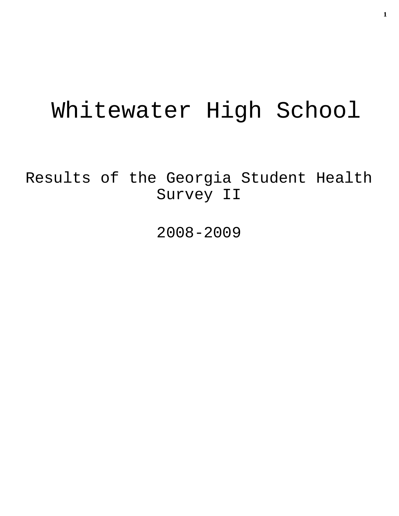# Whitewater High School

Results of the Georgia Student Health Survey II

2008-2009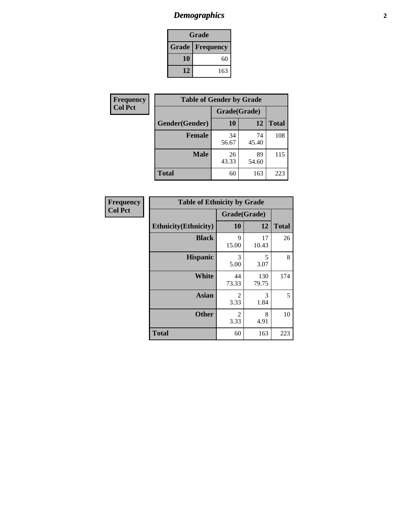# *Demographics* **2**

| Grade                  |     |  |  |
|------------------------|-----|--|--|
| <b>Grade Frequency</b> |     |  |  |
| 10                     | 60  |  |  |
| 12                     | 163 |  |  |

| Frequency      | <b>Table of Gender by Grade</b> |              |             |              |  |
|----------------|---------------------------------|--------------|-------------|--------------|--|
| <b>Col Pct</b> |                                 | Grade(Grade) |             |              |  |
|                | Gender(Gender)                  | 10           | 12          | <b>Total</b> |  |
|                | <b>Female</b>                   | 34<br>56.67  | 74<br>45.40 | 108          |  |
|                | <b>Male</b>                     | 26<br>43.33  | 89<br>54.60 | 115          |  |
|                | <b>Total</b>                    | 60           | 163         | 223          |  |

| <b>Frequency</b> |  |
|------------------|--|
| <b>Col Pct</b>   |  |

| <b>Table of Ethnicity by Grade</b> |              |              |              |  |  |  |
|------------------------------------|--------------|--------------|--------------|--|--|--|
|                                    | Grade(Grade) |              |              |  |  |  |
| <b>Ethnicity</b> (Ethnicity)       | 10           | 12           | <b>Total</b> |  |  |  |
| <b>Black</b>                       | 9<br>15.00   | 17<br>10.43  | 26           |  |  |  |
| <b>Hispanic</b>                    | 3<br>5.00    | 5<br>3.07    | 8            |  |  |  |
| White                              | 44<br>73.33  | 130<br>79.75 | 174          |  |  |  |
| <b>Asian</b>                       | 2<br>3.33    | 3<br>1.84    | 5            |  |  |  |
| <b>Other</b>                       | 2<br>3.33    | 8<br>4.91    | 10           |  |  |  |
| <b>Total</b>                       | 60           | 163          | 223          |  |  |  |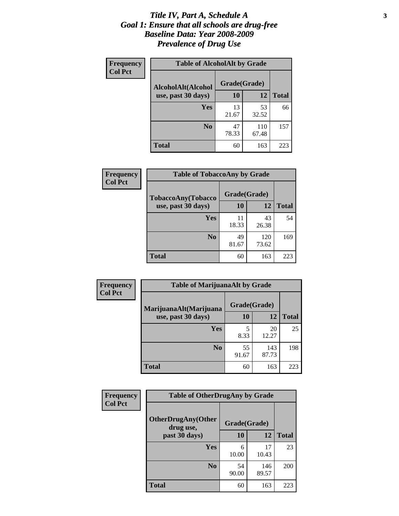#### *Title IV, Part A, Schedule A* **3** *Goal 1: Ensure that all schools are drug-free Baseline Data: Year 2008-2009 Prevalence of Drug Use*

| Frequency<br><b>Col Pct</b> | <b>Table of AlcoholAlt by Grade</b> |              |              |              |  |  |
|-----------------------------|-------------------------------------|--------------|--------------|--------------|--|--|
|                             | AlcoholAlt(Alcohol                  | Grade(Grade) |              |              |  |  |
|                             | use, past 30 days)                  | 10           | 12           | <b>Total</b> |  |  |
|                             | Yes                                 | 13<br>21.67  | 53<br>32.52  | 66           |  |  |
|                             | N <sub>0</sub>                      | 47<br>78.33  | 110<br>67.48 | 157          |  |  |
|                             | <b>Total</b>                        | 60           | 163          | 223          |  |  |

| Frequency      | <b>Table of TobaccoAny by Grade</b> |              |              |              |  |
|----------------|-------------------------------------|--------------|--------------|--------------|--|
| <b>Col Pct</b> | <b>TobaccoAny(Tobacco</b>           | Grade(Grade) |              |              |  |
|                | use, past 30 days)                  | 10           | 12           | <b>Total</b> |  |
|                | Yes                                 | 11<br>18.33  | 43<br>26.38  | 54           |  |
|                | N <sub>0</sub>                      | 49<br>81.67  | 120<br>73.62 | 169          |  |
|                | <b>Total</b>                        | 60           | 163          | 223          |  |

| Frequency<br><b>Col Pct</b> | <b>Table of MarijuanaAlt by Grade</b> |              |              |              |  |
|-----------------------------|---------------------------------------|--------------|--------------|--------------|--|
|                             | MarijuanaAlt(Marijuana                | Grade(Grade) |              |              |  |
|                             | use, past 30 days)                    | <b>10</b>    | 12           | <b>Total</b> |  |
|                             | <b>Yes</b>                            | 5<br>8.33    | 20<br>12.27  | 25           |  |
|                             | N <sub>0</sub>                        | 55<br>91.67  | 143<br>87.73 | 198          |  |
|                             | <b>Total</b>                          | 60           | 163          | 223          |  |

| Frequency<br><b>Col Pct</b> | <b>Table of OtherDrugAny by Grade</b>  |              |              |              |  |
|-----------------------------|----------------------------------------|--------------|--------------|--------------|--|
|                             | <b>OtherDrugAny(Other</b><br>drug use, | Grade(Grade) |              |              |  |
|                             | past 30 days)                          | 10           | 12           | <b>Total</b> |  |
|                             | <b>Yes</b>                             | 6<br>10.00   | 17<br>10.43  | 23           |  |
|                             | N <sub>0</sub>                         | 54<br>90.00  | 146<br>89.57 | 200          |  |
|                             | <b>Total</b>                           | 60           | 163          | 223          |  |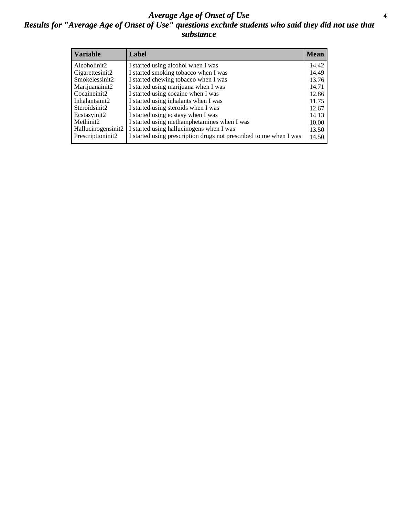#### *Average Age of Onset of Use* **4** *Results for "Average Age of Onset of Use" questions exclude students who said they did not use that substance*

| <b>Variable</b>    | Label                                                              | <b>Mean</b> |
|--------------------|--------------------------------------------------------------------|-------------|
| Alcoholinit2       | I started using alcohol when I was                                 | 14.42       |
| Cigarettesinit2    | I started smoking tobacco when I was                               | 14.49       |
| Smokelessinit2     | I started chewing tobacco when I was                               | 13.76       |
| Marijuanainit2     | I started using marijuana when I was                               | 14.71       |
| Cocaineinit2       | I started using cocaine when I was                                 | 12.86       |
| Inhalantsinit2     | I started using inhalants when I was                               | 11.75       |
| Steroidsinit2      | I started using steroids when I was                                | 12.67       |
| Ecstasyinit2       | I started using ecstasy when I was                                 | 14.13       |
| Methinit2          | I started using methamphetamines when I was                        | 10.00       |
| Hallucinogensinit2 | I started using hallucinogens when I was                           | 13.50       |
| Prescriptioninit2  | I started using prescription drugs not prescribed to me when I was | 14.50       |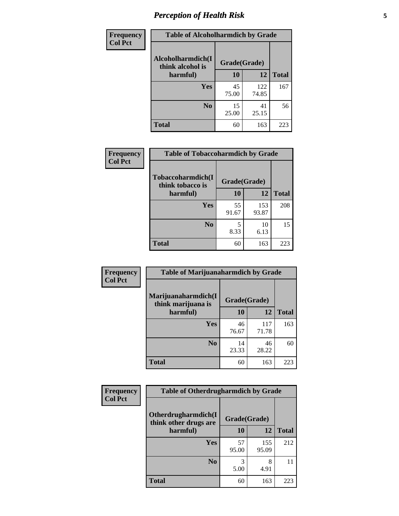# *Perception of Health Risk* **5**

| <b>Frequency</b> | <b>Table of Alcoholharmdich by Grade</b> |              |              |              |  |
|------------------|------------------------------------------|--------------|--------------|--------------|--|
| <b>Col Pct</b>   | Alcoholharmdich(I<br>think alcohol is    | Grade(Grade) |              |              |  |
|                  | harmful)                                 | 10           | 12           | <b>Total</b> |  |
|                  | <b>Yes</b>                               | 45<br>75.00  | 122<br>74.85 | 167          |  |
|                  | N <sub>0</sub>                           | 15<br>25.00  | 41<br>25.15  | 56           |  |
|                  | <b>Total</b>                             | 60           | 163          | 223          |  |

| Frequency      | <b>Table of Tobaccoharmdich by Grade</b> |              |              |              |  |
|----------------|------------------------------------------|--------------|--------------|--------------|--|
| <b>Col Pct</b> | Tobaccoharmdich(I<br>think tobacco is    | Grade(Grade) |              |              |  |
|                | harmful)                                 | 10           | 12           | <b>Total</b> |  |
|                | <b>Yes</b>                               | 55<br>91.67  | 153<br>93.87 | 208          |  |
|                | N <sub>0</sub>                           | 8.33         | 10<br>6.13   | 15           |  |
|                | <b>Total</b>                             | 60           | 163          | 223          |  |

| <b>Frequency</b> | <b>Table of Marijuanaharmdich by Grade</b>                |             |              |              |  |  |
|------------------|-----------------------------------------------------------|-------------|--------------|--------------|--|--|
| <b>Col Pct</b>   | Marijuanaharmdich(I<br>Grade(Grade)<br>think marijuana is |             |              |              |  |  |
|                  | harmful)                                                  | 10          | 12           | <b>Total</b> |  |  |
|                  | Yes                                                       | 46<br>76.67 | 117<br>71.78 | 163          |  |  |
|                  | N <sub>0</sub>                                            | 14<br>23.33 | 46<br>28.22  | 60           |  |  |
|                  | <b>Total</b>                                              | 60          | 163          | 223          |  |  |

| <b>Frequency</b> | <b>Table of Otherdrugharmdich by Grade</b>   |              |              |              |  |
|------------------|----------------------------------------------|--------------|--------------|--------------|--|
| <b>Col Pct</b>   | Otherdrugharmdich(I<br>think other drugs are | Grade(Grade) |              |              |  |
|                  | harmful)                                     | 10           | 12           | <b>Total</b> |  |
|                  | <b>Yes</b>                                   | 57<br>95.00  | 155<br>95.09 | 212          |  |
|                  | N <sub>0</sub>                               | 5.00         | 8<br>4.91    | 11           |  |
|                  | <b>Total</b>                                 | 60           | 163          | 223          |  |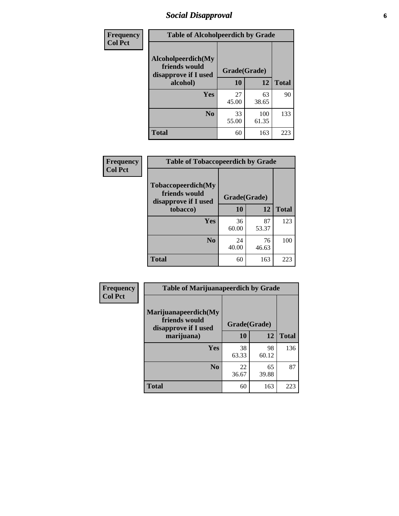# *Social Disapproval* **6**

| Frequency      | <b>Table of Alcoholpeerdich by Grade</b>                                |              |              |              |
|----------------|-------------------------------------------------------------------------|--------------|--------------|--------------|
| <b>Col Pct</b> | Alcoholpeerdich(My<br>friends would<br>disapprove if I used<br>alcohol) | Grade(Grade) |              |              |
|                |                                                                         | 10           | 12           | <b>Total</b> |
|                | <b>Yes</b>                                                              | 27<br>45.00  | 63<br>38.65  | 90           |
|                | N <sub>0</sub>                                                          | 33<br>55.00  | 100<br>61.35 | 133          |
|                | <b>Total</b>                                                            | 60           | 163          | 223          |

| <b>Frequency</b> |
|------------------|
| <b>Col Pct</b>   |

| <b>Table of Tobaccopeerdich by Grade</b>                            |              |             |              |  |  |
|---------------------------------------------------------------------|--------------|-------------|--------------|--|--|
| <b>Tobaccopeerdich</b> (My<br>friends would<br>disapprove if I used | Grade(Grade) |             |              |  |  |
| tobacco)                                                            | 10           | 12          | <b>Total</b> |  |  |
| Yes                                                                 | 36<br>60.00  | 87<br>53.37 | 123          |  |  |
| N <sub>0</sub>                                                      | 24<br>40.00  | 76<br>46.63 | 100          |  |  |
| <b>Total</b>                                                        | 60           | 163         | 223          |  |  |

| <b>Frequency</b> | <b>Table of Marijuanapeerdich by Grade</b>                    |              |             |              |  |  |
|------------------|---------------------------------------------------------------|--------------|-------------|--------------|--|--|
| <b>Col Pct</b>   | Marijuanapeerdich(My<br>friends would<br>disapprove if I used | Grade(Grade) |             |              |  |  |
|                  | marijuana)                                                    | 10           | 12          | <b>Total</b> |  |  |
|                  | <b>Yes</b>                                                    | 38<br>63.33  | 98<br>60.12 | 136          |  |  |
|                  | N <sub>0</sub>                                                | 22<br>36.67  | 65<br>39.88 | 87           |  |  |
|                  | <b>Total</b>                                                  | 60           | 163         | 223          |  |  |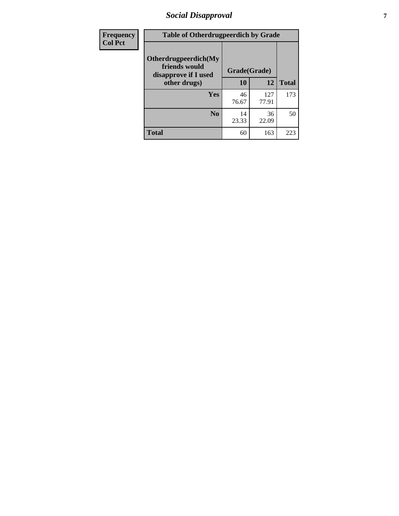# *Social Disapproval* **7**

| Frequency      | <b>Table of Otherdrugpeerdich by Grade</b>                    |              |              |              |  |
|----------------|---------------------------------------------------------------|--------------|--------------|--------------|--|
| <b>Col Pct</b> | Otherdrugpeerdich(My<br>friends would<br>disapprove if I used | Grade(Grade) |              |              |  |
|                | other drugs)                                                  | 10           | 12           | <b>Total</b> |  |
|                | Yes                                                           | 46<br>76.67  | 127<br>77.91 | 173          |  |
|                | N <sub>0</sub>                                                | 14<br>23.33  | 36<br>22.09  | 50           |  |
|                | <b>Total</b>                                                  | 60           | 163          | 223          |  |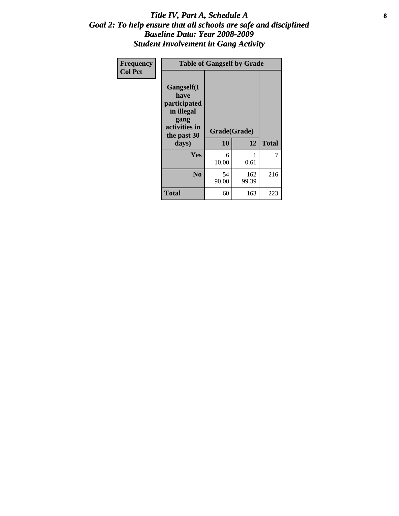### Title IV, Part A, Schedule A **8** *Goal 2: To help ensure that all schools are safe and disciplined Baseline Data: Year 2008-2009 Student Involvement in Gang Activity*

| Frequency      | <b>Table of Gangself by Grade</b>                                                                 |                    |              |              |
|----------------|---------------------------------------------------------------------------------------------------|--------------------|--------------|--------------|
| <b>Col Pct</b> | Gangself(I<br>have<br>participated<br>in illegal<br>gang<br>activities in<br>the past 30<br>days) | Grade(Grade)<br>10 | 12           | <b>Total</b> |
|                | Yes                                                                                               | 6<br>10.00         | 1<br>0.61    | 7            |
|                | N <sub>0</sub>                                                                                    | 54<br>90.00        | 162<br>99.39 | 216          |
|                | <b>Total</b>                                                                                      | 60                 | 163          | 223          |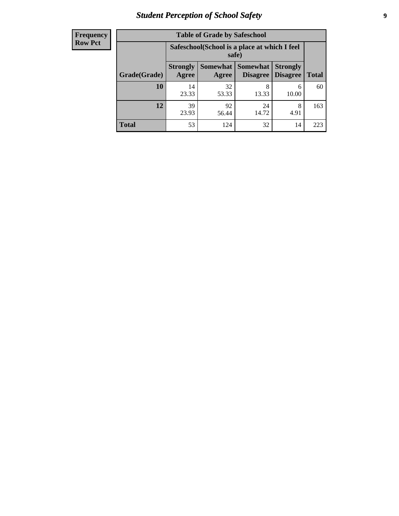# *Student Perception of School Safety* **9**

| <b>Frequency</b><br>Row Pct |
|-----------------------------|
|                             |

| <b>Table of Grade by Safeschool</b> |                                                                                                                            |                                                        |             |            |     |  |  |
|-------------------------------------|----------------------------------------------------------------------------------------------------------------------------|--------------------------------------------------------|-------------|------------|-----|--|--|
|                                     |                                                                                                                            | Safeschool (School is a place at which I feel<br>safe) |             |            |     |  |  |
| Grade(Grade)                        | Somewhat   Somewhat<br><b>Strongly</b><br><b>Strongly</b><br><b>Disagree</b><br>Agree<br><b>Total</b><br>Disagree<br>Agree |                                                        |             |            |     |  |  |
| 10                                  | 14<br>23.33                                                                                                                | 32<br>53.33                                            | 8<br>13.33  | 6<br>10.00 | 60  |  |  |
| 12                                  | 39<br>23.93                                                                                                                | 92<br>56.44                                            | 24<br>14.72 | 8<br>4.91  | 163 |  |  |
| <b>Total</b>                        | 53                                                                                                                         | 124                                                    | 32          | 14         | 223 |  |  |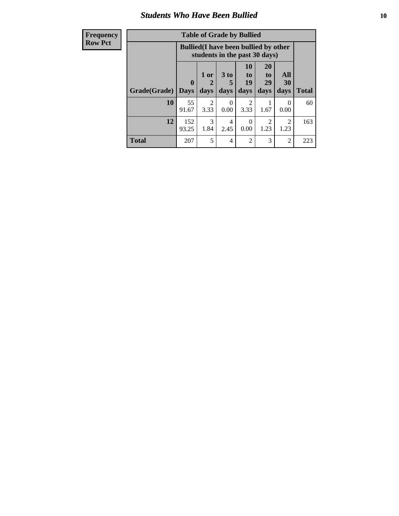### *Students Who Have Been Bullied* **10**

| <b>Frequency</b> | <b>Table of Grade by Bullied</b> |              |                        |                      |                                                                               |                       |                        |              |
|------------------|----------------------------------|--------------|------------------------|----------------------|-------------------------------------------------------------------------------|-----------------------|------------------------|--------------|
| <b>Row Pct</b>   |                                  |              |                        |                      | <b>Bullied</b> (I have been bullied by other<br>students in the past 30 days) |                       |                        |              |
|                  |                                  | $\mathbf{0}$ | 1 or<br>2              | 3 <sub>to</sub><br>5 | 10<br>to  <br>19                                                              | <b>20</b><br>to<br>29 | All<br>30              |              |
|                  | <b>Grade</b> (Grade)             | <b>Days</b>  | days                   | days                 | days                                                                          | days                  | days                   | <b>Total</b> |
|                  | 10                               | 55<br>91.67  | $\mathfrak{D}$<br>3.33 | $\Omega$<br>0.00     | $\mathfrak{D}$<br>3.33                                                        | 1.67                  | $\Omega$<br>0.00       | 60           |
|                  | 12                               | 152<br>93.25 | 3<br>1.84              | 4<br>2.45            | $\Omega$<br>0.00                                                              | 2<br>1.23             | $\overline{2}$<br>1.23 | 163          |
|                  | <b>Total</b>                     | 207          | 5                      | 4                    | $\overline{2}$                                                                | 3                     | $\overline{2}$         | 223          |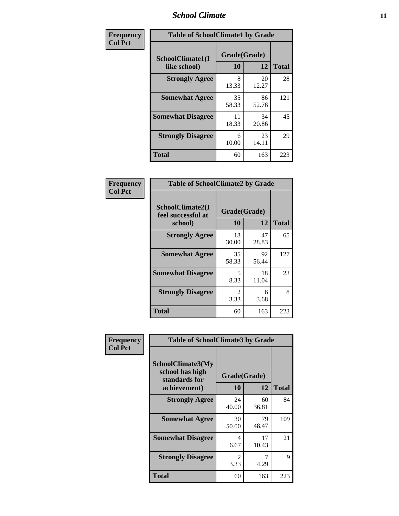### *School Climate* **11**

| <b>Frequency</b> | <b>Table of SchoolClimate1 by Grade</b> |                    |             |              |  |
|------------------|-----------------------------------------|--------------------|-------------|--------------|--|
| <b>Col Pct</b>   | SchoolClimate1(I<br>like school)        | Grade(Grade)<br>10 | 12          | <b>Total</b> |  |
|                  | <b>Strongly Agree</b>                   | 8<br>13.33         | 20<br>12.27 | 28           |  |
|                  | <b>Somewhat Agree</b>                   | 35<br>58.33        | 86<br>52.76 | 121          |  |
|                  | <b>Somewhat Disagree</b>                | 11<br>18.33        | 34<br>20.86 | 45           |  |
|                  | <b>Strongly Disagree</b>                | 6<br>10.00         | 23<br>14.11 | 29           |  |
|                  | <b>Total</b>                            | 60                 | 163         | 223          |  |

| <b>Table of SchoolClimate2 by Grade</b>           |                    |             |              |  |  |
|---------------------------------------------------|--------------------|-------------|--------------|--|--|
| SchoolClimate2(I<br>feel successful at<br>school) | Grade(Grade)<br>10 | 12          | <b>Total</b> |  |  |
| <b>Strongly Agree</b>                             | 18<br>30.00        | 47<br>28.83 | 65           |  |  |
| <b>Somewhat Agree</b>                             | 35<br>58.33        | 92<br>56.44 | 127          |  |  |
| <b>Somewhat Disagree</b>                          | 5<br>8.33          | 18<br>11.04 | 23           |  |  |
| <b>Strongly Disagree</b>                          | 2<br>3.33          | 6<br>3.68   | 8            |  |  |
| <b>Total</b>                                      | 60                 | 163         | 223          |  |  |

| Frequency      | <b>Table of SchoolClimate3 by Grade</b>                      |                                     |             |              |  |
|----------------|--------------------------------------------------------------|-------------------------------------|-------------|--------------|--|
| <b>Col Pct</b> | <b>SchoolClimate3(My</b><br>school has high<br>standards for | Grade(Grade)                        |             |              |  |
|                | achievement)                                                 | 10                                  | 12          | <b>Total</b> |  |
|                | <b>Strongly Agree</b>                                        | 24<br>40.00                         | 60<br>36.81 | 84           |  |
|                | <b>Somewhat Agree</b>                                        | 30<br>50.00                         | 79<br>48.47 | 109          |  |
|                | <b>Somewhat Disagree</b>                                     | 4<br>6.67                           | 17<br>10.43 | 21           |  |
|                | <b>Strongly Disagree</b>                                     | $\mathcal{D}_{\mathcal{L}}$<br>3.33 | 7<br>4.29   | 9            |  |
|                | Total                                                        | 60                                  | 163         | 223          |  |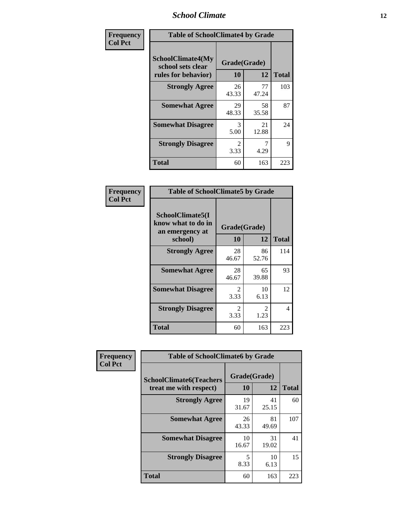### *School Climate* **12**

| Frequency      | <b>Table of SchoolClimate4 by Grade</b>                              |                        |             |              |
|----------------|----------------------------------------------------------------------|------------------------|-------------|--------------|
| <b>Col Pct</b> | <b>SchoolClimate4(My</b><br>school sets clear<br>rules for behavior) | Grade(Grade)<br>10     | 12          | <b>Total</b> |
|                | <b>Strongly Agree</b>                                                | 26<br>43.33            | 77<br>47.24 | 103          |
|                | <b>Somewhat Agree</b>                                                | 29<br>48.33            | 58<br>35.58 | 87           |
|                | <b>Somewhat Disagree</b>                                             | 3<br>5.00              | 21<br>12.88 | 24           |
|                | <b>Strongly Disagree</b>                                             | $\mathfrak{D}$<br>3.33 | 4.29        | 9            |
|                | <b>Total</b>                                                         | 60                     | 163         | 223          |

| <b>Table of SchoolClimate5 by Grade</b>                   |                        |             |     |  |  |
|-----------------------------------------------------------|------------------------|-------------|-----|--|--|
| SchoolClimate5(I<br>know what to do in<br>an emergency at | Grade(Grade)           |             |     |  |  |
| school)                                                   | <b>Total</b>           |             |     |  |  |
| <b>Strongly Agree</b>                                     | 28<br>46.67            | 86<br>52.76 | 114 |  |  |
| <b>Somewhat Agree</b>                                     | 28<br>46.67            | 65<br>39.88 | 93  |  |  |
| <b>Somewhat Disagree</b>                                  | $\mathfrak{D}$<br>3.33 | 10<br>6.13  | 12  |  |  |
| <b>Strongly Disagree</b>                                  | 2<br>3.33              | 2<br>1.23   | 4   |  |  |
| <b>Total</b>                                              | 60                     | 163         | 223 |  |  |

| Frequency      | <b>Table of SchoolClimate6 by Grade</b>                  |                    |             |              |  |
|----------------|----------------------------------------------------------|--------------------|-------------|--------------|--|
| <b>Col Pct</b> | <b>SchoolClimate6(Teachers</b><br>treat me with respect) | Grade(Grade)<br>10 | 12          | <b>Total</b> |  |
|                | <b>Strongly Agree</b>                                    | 19<br>31.67        | 41<br>25.15 | 60           |  |
|                | <b>Somewhat Agree</b>                                    | 26<br>43.33        | 81<br>49.69 | 107          |  |
|                | <b>Somewhat Disagree</b>                                 | 10<br>16.67        | 31<br>19.02 | 41           |  |
|                | <b>Strongly Disagree</b>                                 | 5<br>8.33          | 10<br>6.13  | 15           |  |
|                | <b>Total</b>                                             | 60                 | 163         | 223          |  |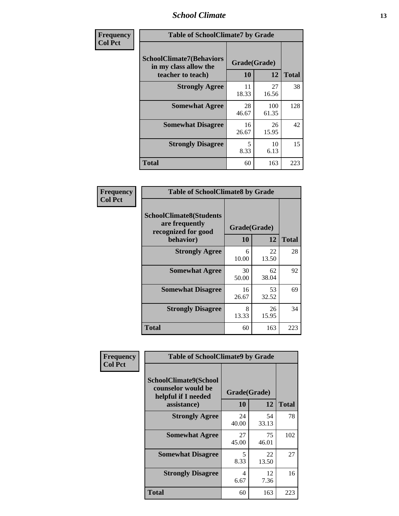### *School Climate* **13**

| Frequency      | <b>Table of SchoolClimate7 by Grade</b>                                       |                           |              |              |
|----------------|-------------------------------------------------------------------------------|---------------------------|--------------|--------------|
| <b>Col Pct</b> | <b>SchoolClimate7(Behaviors</b><br>in my class allow the<br>teacher to teach) | Grade(Grade)<br><b>10</b> | 12           | <b>Total</b> |
|                | <b>Strongly Agree</b>                                                         | 11<br>18.33               | 27<br>16.56  | 38           |
|                | <b>Somewhat Agree</b>                                                         | 28<br>46.67               | 100<br>61.35 | 128          |
|                | <b>Somewhat Disagree</b>                                                      | 16<br>26.67               | 26<br>15.95  | 42           |
|                | <b>Strongly Disagree</b>                                                      | 5<br>8.33                 | 10<br>6.13   | 15           |
|                | <b>Total</b>                                                                  | 60                        | 163          | 223          |

| Frequency      | <b>Table of SchoolClimate8 by Grade</b>                                              |                    |             |              |
|----------------|--------------------------------------------------------------------------------------|--------------------|-------------|--------------|
| <b>Col Pct</b> | <b>SchoolClimate8(Students</b><br>are frequently<br>recognized for good<br>behavior) | Grade(Grade)<br>10 | 12          | <b>Total</b> |
|                | <b>Strongly Agree</b>                                                                | 6<br>10.00         | 22<br>13.50 | 28           |
|                | <b>Somewhat Agree</b>                                                                | 30<br>50.00        | 62<br>38.04 | 92           |
|                | <b>Somewhat Disagree</b>                                                             | 16<br>26.67        | 53<br>32.52 | 69           |
|                | <b>Strongly Disagree</b>                                                             | 8<br>13.33         | 26<br>15.95 | 34           |
|                | <b>Total</b>                                                                         | 60                 | 163         | 223          |

| Frequency      | <b>Table of SchoolClimate9 by Grade</b>                                           |                    |             |              |
|----------------|-----------------------------------------------------------------------------------|--------------------|-------------|--------------|
| <b>Col Pct</b> | SchoolClimate9(School<br>counselor would be<br>helpful if I needed<br>assistance) | Grade(Grade)<br>10 | 12          | <b>Total</b> |
|                | <b>Strongly Agree</b>                                                             | 24<br>40.00        | 54<br>33.13 | 78           |
|                | <b>Somewhat Agree</b>                                                             | 27<br>45.00        | 75<br>46.01 | 102          |
|                | <b>Somewhat Disagree</b>                                                          | 5<br>8.33          | 22<br>13.50 | 27           |
|                | <b>Strongly Disagree</b>                                                          | 4<br>6.67          | 12<br>7.36  | 16           |
|                | Total                                                                             | 60                 | 163         | 223          |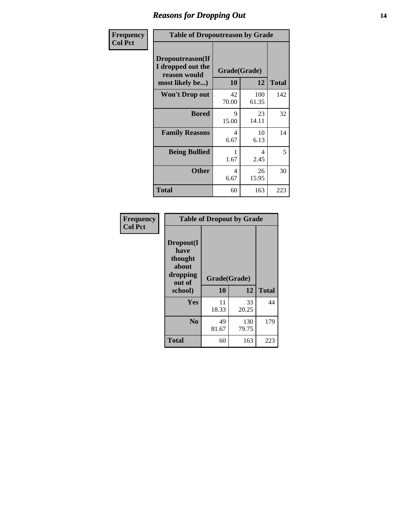### *Reasons for Dropping Out* **14**

| Frequency      | <b>Table of Dropoutreason by Grade</b>                                   |                           |              |              |
|----------------|--------------------------------------------------------------------------|---------------------------|--------------|--------------|
| <b>Col Pct</b> | Dropoutreason(If<br>I dropped out the<br>reason would<br>most likely be) | Grade(Grade)<br><b>10</b> | 12           | <b>Total</b> |
|                | Won't Drop out                                                           | 42<br>70.00               | 100<br>61.35 | 142          |
|                | <b>Bored</b>                                                             | 9<br>15.00                | 23<br>14.11  | 32           |
|                | <b>Family Reasons</b>                                                    | 4<br>6.67                 | 10<br>6.13   | 14           |
|                | <b>Being Bullied</b>                                                     | 1<br>1.67                 | 4<br>2.45    | 5            |
|                | <b>Other</b>                                                             | 4<br>6.67                 | 26<br>15.95  | 30           |
|                | <b>Total</b>                                                             | 60                        | 163          | 223          |

| Frequency<br><b>Col Pct</b> | <b>Table of Dropout by Grade</b>                                       |                    |              |              |  |
|-----------------------------|------------------------------------------------------------------------|--------------------|--------------|--------------|--|
|                             | Dropout(I<br>have<br>thought<br>about<br>dropping<br>out of<br>school) | Grade(Grade)<br>10 | 12           | <b>Total</b> |  |
|                             |                                                                        |                    |              |              |  |
|                             | Yes                                                                    | 11<br>18.33        | 33<br>20.25  | 44           |  |
|                             | N <sub>0</sub>                                                         | 49<br>81.67        | 130<br>79.75 | 179          |  |
|                             | <b>Total</b>                                                           | 60                 | 163          | 223          |  |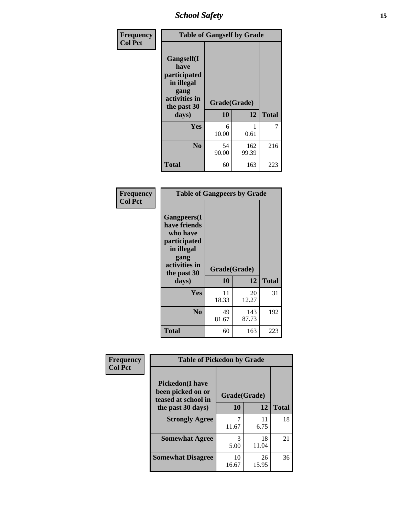*School Safety* **15**

| Frequency      | <b>Table of Gangself by Grade</b>                                                                 |                    |              |              |
|----------------|---------------------------------------------------------------------------------------------------|--------------------|--------------|--------------|
| <b>Col Pct</b> | Gangself(I<br>have<br>participated<br>in illegal<br>gang<br>activities in<br>the past 30<br>days) | Grade(Grade)<br>10 | 12           | <b>Total</b> |
|                | Yes                                                                                               | 6<br>10.00         | 1<br>0.61    | 7            |
|                | N <sub>0</sub>                                                                                    | 54<br>90.00        | 162<br>99.39 | 216          |
|                | <b>Total</b>                                                                                      | 60                 | 163          | 223          |

| Frequency<br><b>Col Pct</b> | <b>Table of Gangpeers by Grade</b>                                                                                             |                    |              |              |
|-----------------------------|--------------------------------------------------------------------------------------------------------------------------------|--------------------|--------------|--------------|
|                             | <b>Gangpeers</b> (I<br>have friends<br>who have<br>participated<br>in illegal<br>gang<br>activities in<br>the past 30<br>days) | Grade(Grade)<br>10 | 12           | <b>Total</b> |
|                             | Yes                                                                                                                            | 11<br>18.33        | 20<br>12.27  | 31           |
|                             | N <sub>0</sub>                                                                                                                 | 49<br>81.67        | 143<br>87.73 | 192          |
|                             | <b>Total</b>                                                                                                                   | 60                 | 163          | 223          |

| Frequency      | <b>Table of Pickedon by Grade</b>                                                        |                          |             |              |
|----------------|------------------------------------------------------------------------------------------|--------------------------|-------------|--------------|
| <b>Col Pct</b> | <b>Pickedon</b> (I have<br>been picked on or<br>teased at school in<br>the past 30 days) | Grade(Grade)<br>12<br>10 |             | <b>Total</b> |
|                | <b>Strongly Agree</b>                                                                    | 11.67                    | 11<br>6.75  | 18           |
|                | <b>Somewhat Agree</b>                                                                    | 3<br>5.00                | 18<br>11.04 | 21           |
|                | <b>Somewhat Disagree</b>                                                                 | 10<br>16.67              | 26<br>15.95 | 36           |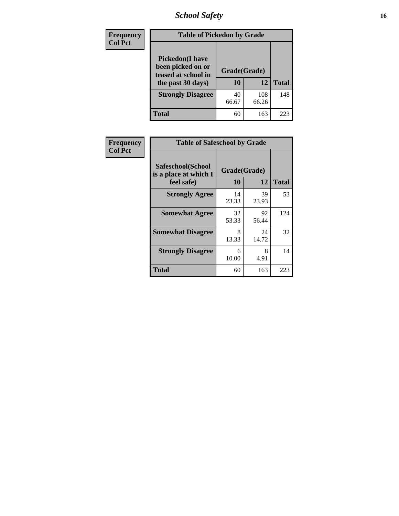# *School Safety* **16**

| <b>Frequency</b> |                                                                                         | <b>Table of Pickedon by Grade</b> |              |              |  |  |  |  |  |  |  |
|------------------|-----------------------------------------------------------------------------------------|-----------------------------------|--------------|--------------|--|--|--|--|--|--|--|
| <b>Col Pct</b>   | <b>Pickedon(I have</b><br>been picked on or<br>teased at school in<br>the past 30 days) | Grade(Grade)<br>10                | 12           | <b>Total</b> |  |  |  |  |  |  |  |
|                  | <b>Strongly Disagree</b>                                                                | 40<br>66.67                       | 108<br>66.26 | 148          |  |  |  |  |  |  |  |
|                  | Total                                                                                   | 60                                | 163          | 223          |  |  |  |  |  |  |  |

| Frequency      | <b>Table of Safeschool by Grade</b>                      |                    |             |              |
|----------------|----------------------------------------------------------|--------------------|-------------|--------------|
| <b>Col Pct</b> | Safeschool(School<br>is a place at which I<br>feel safe) | Grade(Grade)<br>10 | 12          | <b>Total</b> |
|                | <b>Strongly Agree</b>                                    | 14<br>23.33        | 39<br>23.93 | 53           |
|                | <b>Somewhat Agree</b>                                    | 32<br>53.33        | 92<br>56.44 | 124          |
|                | <b>Somewhat Disagree</b>                                 | 8<br>13.33         | 24<br>14.72 | 32           |
|                | <b>Strongly Disagree</b>                                 | 6<br>10.00         | 8<br>4.91   | 14           |
|                | Total                                                    | 60                 | 163         | 223          |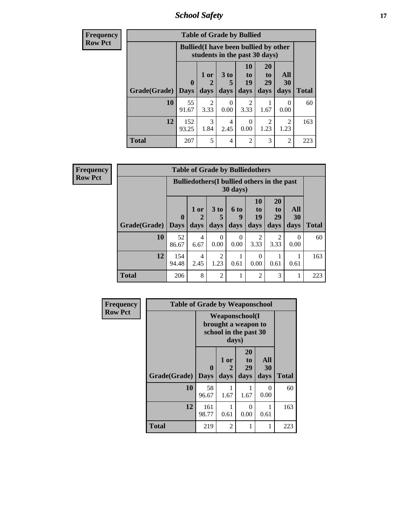*School Safety* **17**

| <b>Frequency</b> | <b>Table of Grade by Bullied</b> |              |                                                                               |                      |                                                             |                        |                  |              |  |  |  |  |
|------------------|----------------------------------|--------------|-------------------------------------------------------------------------------|----------------------|-------------------------------------------------------------|------------------------|------------------|--------------|--|--|--|--|
| <b>Row Pct</b>   |                                  |              | <b>Bullied</b> (I have been bullied by other<br>students in the past 30 days) |                      |                                                             |                        |                  |              |  |  |  |  |
|                  |                                  | $\mathbf 0$  | 1 or<br>2                                                                     | 3 <sub>to</sub><br>5 | 10<br>$\mathbf{t}$ <sup><math>\mathbf{0}</math></sup><br>19 | <b>20</b><br>to<br>29  | All<br>30        |              |  |  |  |  |
|                  | Grade(Grade)                     | Days         | days                                                                          | days                 | days                                                        | days                   | days             | <b>Total</b> |  |  |  |  |
|                  | 10                               | 55<br>91.67  | $\mathfrak{D}$<br>3.33                                                        | $\Omega$<br>0.00     | $\mathfrak{D}$<br>3.33                                      | 1.67                   | $\Omega$<br>0.00 | 60           |  |  |  |  |
|                  | 12                               | 152<br>93.25 | 3<br>1.84                                                                     | 4<br>2.45            | 0<br>0.00                                                   | $\mathfrak{D}$<br>1.23 | 2<br>1.23        | 163          |  |  |  |  |
|                  | <b>Total</b>                     | 207          | 5                                                                             | 4                    | $\mathfrak{D}$                                              | 3                      | 2                | 223          |  |  |  |  |

| Frequency      | <b>Table of Grade by Bulliedothers</b> |                                                                  |           |                        |                  |                       |                        |                  |              |  |  |
|----------------|----------------------------------------|------------------------------------------------------------------|-----------|------------------------|------------------|-----------------------|------------------------|------------------|--------------|--|--|
| <b>Row Pct</b> |                                        | Bulliedothers (I bullied others in the past<br>$30 \text{ days}$ |           |                        |                  |                       |                        |                  |              |  |  |
|                |                                        | $\mathbf{0}$                                                     | $1$ or    | 3 to<br>5              | 6 to<br>9        | <b>10</b><br>to<br>19 | <b>20</b><br>to<br>29  | <b>All</b><br>30 |              |  |  |
|                | Grade(Grade)   Days                    |                                                                  | days      | days                   | days             | days                  | days                   | days             | <b>Total</b> |  |  |
|                | 10                                     | 52<br>86.67                                                      | 4<br>6.67 | $\Omega$<br>0.00       | $\Omega$<br>0.00 | 2<br>3.33             | $\mathfrak{D}$<br>3.33 | $\Omega$<br>0.00 | 60           |  |  |
|                | 12                                     | 154<br>94.48                                                     | 4<br>2.45 | $\overline{2}$<br>1.23 | 0.61             | $\Omega$<br>0.00      | 0.61                   | 0.61             | 163          |  |  |
|                | <b>Total</b>                           | 206                                                              | 8         | $\overline{2}$         |                  | $\mathfrak{D}$        | 3                      | 1                | 223          |  |  |

| <b>Frequency</b> | <b>Table of Grade by Weaponschool</b> |                                                                        |                   |                        |                          |              |  |  |  |  |  |
|------------------|---------------------------------------|------------------------------------------------------------------------|-------------------|------------------------|--------------------------|--------------|--|--|--|--|--|
| <b>Row Pct</b>   |                                       | <b>Weaponschool</b> (I<br>brought a weapon to<br>school in the past 30 |                   |                        |                          |              |  |  |  |  |  |
|                  | Grade(Grade)                          | $\bf{0}$<br><b>Days</b>                                                | 1 or<br>2<br>days | 20<br>to<br>29<br>days | <b>All</b><br>30<br>days | <b>Total</b> |  |  |  |  |  |
|                  | 10                                    | 58<br>96.67                                                            | 1.67              | 1.67                   | $\Omega$<br>0.00         | 60           |  |  |  |  |  |
|                  | 12                                    | 161<br>98.77                                                           | 0.61              | 0<br>0.00              | 1<br>0.61                | 163          |  |  |  |  |  |
|                  | <b>Total</b>                          | 219                                                                    | $\mathfrak{D}$    | 1                      | 1                        | 223          |  |  |  |  |  |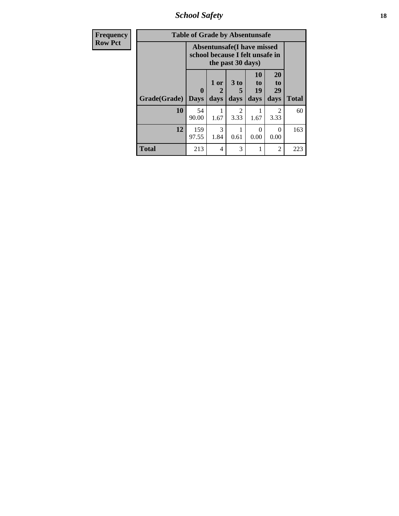*School Safety* **18**

| Frequency      | <b>Table of Grade by Absentunsafe</b> |                                                                      |                              |                                     |                        |                        |              |  |  |  |
|----------------|---------------------------------------|----------------------------------------------------------------------|------------------------------|-------------------------------------|------------------------|------------------------|--------------|--|--|--|
| <b>Row Pct</b> |                                       | <b>Absentunsafe(I have missed</b><br>school because I felt unsafe in |                              |                                     |                        |                        |              |  |  |  |
|                | Grade(Grade)                          | 0<br><b>Days</b>                                                     | 1 or<br>$\mathbf{2}$<br>days | 3 to<br>days                        | 10<br>to<br>19<br>days | 20<br>to<br>29<br>days | <b>Total</b> |  |  |  |
|                | 10                                    | 54<br>90.00                                                          | 1.67                         | $\mathcal{D}_{\mathcal{L}}$<br>3.33 | 1.67                   | $\mathfrak{D}$<br>3.33 | 60           |  |  |  |
|                | 12                                    | 159<br>97.55                                                         | 3<br>1.84                    | 0.61                                | 0.00                   | $\Omega$<br>0.00       | 163          |  |  |  |
|                | <b>Total</b>                          | 213                                                                  | 4                            | 3                                   | 1                      | $\overline{2}$         | 223          |  |  |  |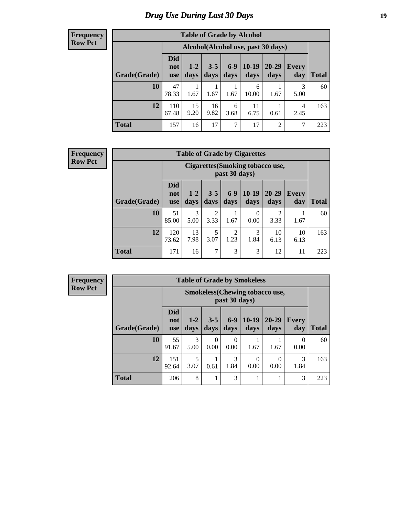# *Drug Use During Last 30 Days* **19**

#### **Frequency Row Pct**

| <b>Table of Grade by Alcohol</b> |                                 |                                    |                 |               |                 |                |              |       |  |  |
|----------------------------------|---------------------------------|------------------------------------|-----------------|---------------|-----------------|----------------|--------------|-------|--|--|
|                                  |                                 | Alcohol(Alcohol use, past 30 days) |                 |               |                 |                |              |       |  |  |
| Grade(Grade)                     | <b>Did</b><br>not<br><b>use</b> | $1-2$<br>days                      | $3 - 5$<br>days | $6-9$<br>days | $10-19$<br>days | 20-29<br>days  | Every<br>day | Total |  |  |
| 10                               | 47<br>78.33                     | 1.67                               | 1.67            | 1.67          | 6<br>10.00      | 1.67           | 3<br>5.00    | 60    |  |  |
| 12                               | 110<br>67.48                    | 15<br>9.20                         | 16<br>9.82      | 6<br>3.68     | 11<br>6.75      | 0.61           | 4<br>2.45    | 163   |  |  |
| <b>Total</b>                     | 157                             | 16                                 | 17              | 7             | 17              | $\overline{2}$ | 7            | 223   |  |  |

#### **Frequency Row Pct**

| <b>Table of Grade by Cigarettes</b> |                                 |                                                                                                                                    |           |                        |                  |                       |            |     |  |  |
|-------------------------------------|---------------------------------|------------------------------------------------------------------------------------------------------------------------------------|-----------|------------------------|------------------|-----------------------|------------|-----|--|--|
|                                     |                                 | Cigarettes (Smoking tobacco use,<br>past 30 days)                                                                                  |           |                        |                  |                       |            |     |  |  |
| Grade(Grade)                        | <b>Did</b><br>not<br><b>use</b> | $6-9$<br>$10-19$<br>$3 - 5$<br>$20 - 29$<br>$1 - 2$<br><b>Every</b><br>days<br><b>Total</b><br>days<br>days<br>days<br>day<br>days |           |                        |                  |                       |            |     |  |  |
| 10                                  | 51<br>85.00                     | $\mathcal{R}$<br>5.00                                                                                                              | 2<br>3.33 | 1.67                   | $\Omega$<br>0.00 | $\mathcal{D}$<br>3.33 | 1.67       | 60  |  |  |
| 12                                  | 120<br>73.62                    | 13<br>7.98                                                                                                                         | 5<br>3.07 | $\overline{c}$<br>1.23 | 3<br>1.84        | 10<br>6.13            | 10<br>6.13 | 163 |  |  |
| <b>Total</b>                        | 171                             | 16                                                                                                                                 | 7         | 3                      | 3                | 12                    | 11         | 223 |  |  |

**Frequency Row Pct**

| <b>Table of Grade by Smokeless</b> |                                 |                                                         |                 |                  |                 |                   |                     |              |  |  |
|------------------------------------|---------------------------------|---------------------------------------------------------|-----------------|------------------|-----------------|-------------------|---------------------|--------------|--|--|
|                                    |                                 | <b>Smokeless</b> (Chewing tobacco use,<br>past 30 days) |                 |                  |                 |                   |                     |              |  |  |
| Grade(Grade)                       | <b>Did</b><br>not<br><b>use</b> | $1-2$<br>days                                           | $3 - 5$<br>days | $6-9$<br>days    | $10-19$<br>days | $20 - 29$<br>days | <b>Every</b><br>day | <b>Total</b> |  |  |
| 10                                 | 55<br>91.67                     | 3<br>5.00                                               | 0<br>0.00       | $\Omega$<br>0.00 | 1.67            | 1.67              | 0<br>0.00           | 60           |  |  |
| 12                                 | 151<br>92.64                    | 5<br>3.07                                               | 0.61            | 3<br>1.84        | 0<br>0.00       | 0.00              | 3<br>1.84           | 163          |  |  |
| <b>Total</b>                       | 206                             | 8                                                       | 1               | 3                |                 |                   | 3                   | 223          |  |  |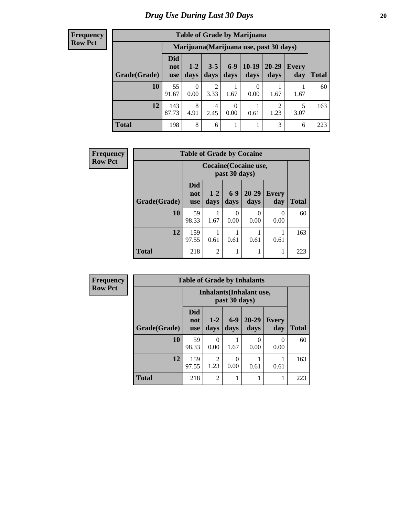#### **Frequency Row Pct**

| <b>Table of Grade by Marijuana</b> |                                 |                                         |                 |                 |                 |                        |              |              |  |  |
|------------------------------------|---------------------------------|-----------------------------------------|-----------------|-----------------|-----------------|------------------------|--------------|--------------|--|--|
|                                    |                                 | Marijuana (Marijuana use, past 30 days) |                 |                 |                 |                        |              |              |  |  |
| Grade(Grade)                       | <b>Did</b><br>not<br><b>use</b> | $1 - 2$<br>days                         | $3 - 5$<br>days | $6 - 9$<br>days | $10-19$<br>days | $20 - 29$<br>days      | Every<br>day | <b>Total</b> |  |  |
| 10                                 | 55<br>91.67                     | $\Omega$<br>0.00                        | 2<br>3.33       | 1.67            | 0.00            | 1.67                   | 1.67         | 60           |  |  |
| 12                                 | 143<br>87.73                    | 8<br>4.91                               | 4<br>2.45       | 0<br>0.00       | 0.61            | $\overline{2}$<br>1.23 | 5<br>3.07    | 163          |  |  |
| <b>Total</b>                       | 198                             | 8                                       | 6               |                 | 1               | 3                      | 6            | 223          |  |  |

| <b>Frequency</b> |              |                                 |                |               | <b>Table of Grade by Cocaine</b> |                     |       |
|------------------|--------------|---------------------------------|----------------|---------------|----------------------------------|---------------------|-------|
| <b>Row Pct</b>   |              |                                 |                | past 30 days) | Cocaine (Cocaine use,            |                     |       |
|                  | Grade(Grade) | <b>Did</b><br>not<br><b>use</b> | $1-2$<br>days  | $6-9$<br>days | 20-29<br>days                    | <b>Every</b><br>day | Total |
|                  | 10           | 59<br>98.33                     | 1.67           | 0<br>0.00     | 0<br>0.00                        | $\Omega$<br>0.00    | 60    |
|                  | 12           | 159<br>97.55                    | 0.61           | 0.61          | 0.61                             | 0.61                | 163   |
|                  | <b>Total</b> | 218                             | $\mathfrak{D}$ |               |                                  |                     | 223   |

| Frequency      |              | <b>Table of Grade by Inhalants</b> |                        |               |                   |              |              |  |  |
|----------------|--------------|------------------------------------|------------------------|---------------|-------------------|--------------|--------------|--|--|
| <b>Row Pct</b> |              | Inhalants (Inhalant use,           |                        |               |                   |              |              |  |  |
|                | Grade(Grade) | <b>Did</b><br>not<br><b>use</b>    | $1-2$<br>days          | $6-9$<br>days | $20 - 29$<br>days | Every<br>day | <b>Total</b> |  |  |
|                | 10           | 59<br>98.33                        | $\Omega$<br>0.00       | 1.67          | 0.00              | 0<br>0.00    | 60           |  |  |
|                | 12           | 159<br>97.55                       | $\overline{2}$<br>1.23 | 0<br>0.00     | 0.61              | 0.61         | 163          |  |  |
|                | <b>Total</b> | 218                                | $\overline{2}$         |               |                   |              | 223          |  |  |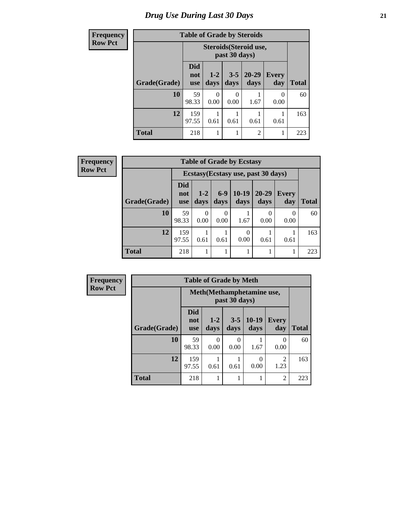# *Drug Use During Last 30 Days* **21**

| <b>Frequency</b> | <b>Table of Grade by Steroids</b> |                                 |                 |                 |                   |                     |              |
|------------------|-----------------------------------|---------------------------------|-----------------|-----------------|-------------------|---------------------|--------------|
| <b>Row Pct</b>   |                                   |                                 |                 |                 |                   |                     |              |
|                  | Grade(Grade)                      | <b>Did</b><br>not<br><b>use</b> | $1 - 2$<br>days | $3 - 5$<br>days | $20 - 29$<br>days | <b>Every</b><br>day | <b>Total</b> |
|                  | 10                                | 59<br>98.33                     | 0<br>0.00       | 0<br>0.00       | 1.67              | 0<br>0.00           | 60           |
|                  | 12                                | 159<br>97.55                    | 0.61            | 0.61            | 0.61              | 0.61                | 163          |
|                  | <b>Total</b>                      | 218                             |                 |                 | $\overline{c}$    |                     | 223          |

| Frequency      | <b>Table of Grade by Ecstasy</b>    |                                 |               |               |                  |                   |              |              |  |  |
|----------------|-------------------------------------|---------------------------------|---------------|---------------|------------------|-------------------|--------------|--------------|--|--|
| <b>Row Pct</b> | Ecstasy (Ecstasy use, past 30 days) |                                 |               |               |                  |                   |              |              |  |  |
|                | Grade(Grade)                        | <b>Did</b><br>not<br><b>use</b> | $1-2$<br>days | $6-9$<br>days | $10-19$<br>days  | $20 - 29$<br>days | Every<br>day | <b>Total</b> |  |  |
|                | 10                                  | 59<br>98.33                     | 0<br>0.00     | 0.00          | 1.67             | $\Omega$<br>0.00  | 0.00         | 60           |  |  |
|                | 12                                  | 159<br>97.55                    | 0.61          | 0.61          | $\Omega$<br>0.00 | 0.61              | 0.61         | 163          |  |  |
|                | <b>Total</b>                        | 218                             |               |               |                  |                   |              | 223          |  |  |

| <b>Frequency</b> | <b>Table of Grade by Meth</b> |                                 |                                             |                 |               |                        |              |  |
|------------------|-------------------------------|---------------------------------|---------------------------------------------|-----------------|---------------|------------------------|--------------|--|
| <b>Row Pct</b>   |                               |                                 | Meth (Methamphetamine use,<br>past 30 days) |                 |               |                        |              |  |
|                  | Grade(Grade)                  | <b>Did</b><br>not<br><b>use</b> | $1 - 2$<br>days                             | $3 - 5$<br>days | 10-19<br>days | <b>Every</b><br>day    | <b>Total</b> |  |
|                  | 10                            | 59<br>98.33                     | $\Omega$<br>0.00                            | 0<br>0.00       | 1.67          | 0<br>0.00              | 60           |  |
|                  | 12                            | 159<br>97.55                    | 0.61                                        | 0.61            | 0<br>0.00     | $\overline{2}$<br>1.23 | 163          |  |
|                  | <b>Total</b>                  | 218                             |                                             |                 |               | $\overline{2}$         | 223          |  |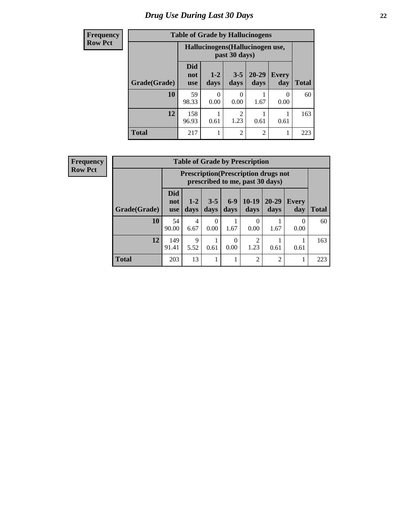# *Drug Use During Last 30 Days* **22**

| <b>Frequency</b> | <b>Table of Grade by Hallucinogens</b> |                                  |                 |                  |                   |                     |              |
|------------------|----------------------------------------|----------------------------------|-----------------|------------------|-------------------|---------------------|--------------|
| <b>Row Pct</b>   |                                        | Hallucinogens (Hallucinogen use, |                 |                  |                   |                     |              |
|                  | Grade(Grade)                           | <b>Did</b><br>not<br><b>use</b>  | $1 - 2$<br>days | $3 - 5$<br>days  | $20 - 29$<br>days | <b>Every</b><br>day | <b>Total</b> |
|                  | 10                                     | 59<br>98.33                      | 0<br>0.00       | $\Omega$<br>0.00 | 1.67              | 0<br>0.00           | 60           |
|                  | 12                                     | 158<br>96.93                     | 0.61            | 2<br>1.23        | 0.61              | 0.61                | 163          |
|                  | <b>Total</b>                           | 217                              |                 | $\overline{2}$   | $\overline{2}$    |                     | 223          |

| Frequency<br>Row Pct |
|----------------------|

| <b>Table of Grade by Prescription</b> |                                 |                                                                                |                 |               |                 |                   |                     |              |  |
|---------------------------------------|---------------------------------|--------------------------------------------------------------------------------|-----------------|---------------|-----------------|-------------------|---------------------|--------------|--|
|                                       |                                 | <b>Prescription</b> (Prescription drugs not<br>prescribed to me, past 30 days) |                 |               |                 |                   |                     |              |  |
| Grade(Grade)                          | <b>Did</b><br>not<br><b>use</b> | $1 - 2$<br>days                                                                | $3 - 5$<br>days | $6-9$<br>days | $10-19$<br>days | $20 - 29$<br>days | <b>Every</b><br>day | <b>Total</b> |  |
| 10                                    | 54<br>90.00                     | 4<br>6.67                                                                      | 0<br>0.00       | 1.67          | 0<br>0.00       | 1.67              | 0<br>0.00           | 60           |  |
| 12                                    | 149<br>91.41                    | $\mathbf Q$<br>5.52                                                            | 0.61            | 0<br>0.00     | 2<br>1.23       | 0.61              | 0.61                | 163          |  |
| <b>Total</b>                          | 203                             | 13                                                                             | 1               |               | $\overline{2}$  | 2                 | 1                   | 223          |  |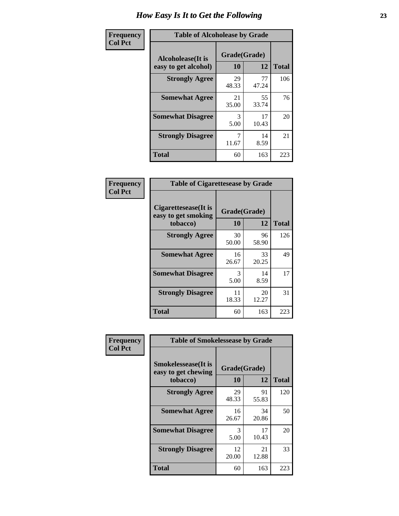| Frequency      | <b>Table of Alcoholease by Grade</b>              |                    |             |              |  |
|----------------|---------------------------------------------------|--------------------|-------------|--------------|--|
| <b>Col Pct</b> | <b>Alcoholease</b> (It is<br>easy to get alcohol) | Grade(Grade)<br>10 | 12          | <b>Total</b> |  |
|                | <b>Strongly Agree</b>                             | 29<br>48.33        | 77<br>47.24 | 106          |  |
|                | <b>Somewhat Agree</b>                             | 21<br>35.00        | 55<br>33.74 | 76           |  |
|                | <b>Somewhat Disagree</b>                          | 3<br>5.00          | 17<br>10.43 | 20           |  |
|                | <b>Strongly Disagree</b>                          | 7<br>11.67         | 14<br>8.59  | 21           |  |
|                | <b>Total</b>                                      | 60                 | 163         | 223          |  |

| Frequency      | <b>Table of Cigarettesease by Grade</b>                  |                    |             |              |  |
|----------------|----------------------------------------------------------|--------------------|-------------|--------------|--|
| <b>Col Pct</b> | Cigarettesease (It is<br>easy to get smoking<br>tobacco) | Grade(Grade)<br>10 | 12          | <b>Total</b> |  |
|                | <b>Strongly Agree</b>                                    | 30<br>50.00        | 96<br>58.90 | 126          |  |
|                | <b>Somewhat Agree</b>                                    | 16<br>26.67        | 33<br>20.25 | 49           |  |
|                | <b>Somewhat Disagree</b>                                 | 3<br>5.00          | 14<br>8.59  | 17           |  |
|                | <b>Strongly Disagree</b>                                 | 11<br>18.33        | 20<br>12.27 | 31           |  |
|                | <b>Total</b>                                             | 60                 | 163         | 223          |  |

| Frequency      | <b>Table of Smokelessease by Grade</b>                         |                    |              |     |  |  |  |  |
|----------------|----------------------------------------------------------------|--------------------|--------------|-----|--|--|--|--|
| <b>Col Pct</b> | <b>Smokelessease</b> (It is<br>easy to get chewing<br>tobacco) | Grade(Grade)<br>10 | <b>Total</b> |     |  |  |  |  |
|                | <b>Strongly Agree</b>                                          | 29<br>48.33        | 91<br>55.83  | 120 |  |  |  |  |
|                | <b>Somewhat Agree</b>                                          | 16<br>26.67        | 34<br>20.86  | 50  |  |  |  |  |
|                | <b>Somewhat Disagree</b>                                       | 3<br>5.00          | 17<br>10.43  | 20  |  |  |  |  |
|                | <b>Strongly Disagree</b>                                       | 12<br>20.00        | 21<br>12.88  | 33  |  |  |  |  |
|                | <b>Total</b>                                                   | 60                 | 163          | 223 |  |  |  |  |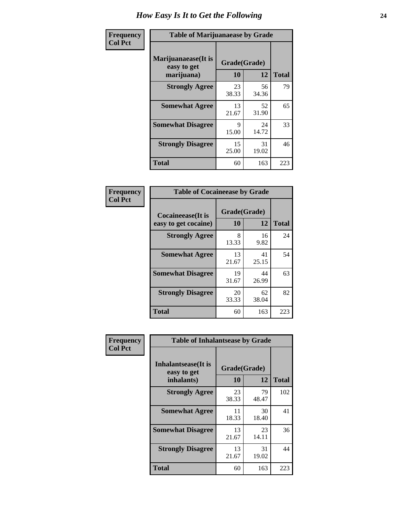| Frequency      | <b>Table of Marijuanaease by Grade</b>           |                    |             |              |  |
|----------------|--------------------------------------------------|--------------------|-------------|--------------|--|
| <b>Col Pct</b> | Marijuanaease(It is<br>easy to get<br>marijuana) | Grade(Grade)<br>10 | 12          | <b>Total</b> |  |
|                | <b>Strongly Agree</b>                            | 23<br>38.33        | 56<br>34.36 | 79           |  |
|                | <b>Somewhat Agree</b>                            | 13<br>21.67        | 52<br>31.90 | 65           |  |
|                | <b>Somewhat Disagree</b>                         | 9<br>15.00         | 24<br>14.72 | 33           |  |
|                | <b>Strongly Disagree</b>                         | 15<br>25.00        | 31<br>19.02 | 46           |  |
|                | <b>Total</b>                                     | 60                 | 163         | 223          |  |

| <b>Table of Cocaineease by Grade</b>              |                    |             |              |  |  |  |  |
|---------------------------------------------------|--------------------|-------------|--------------|--|--|--|--|
| <b>Cocaineease</b> (It is<br>easy to get cocaine) | Grade(Grade)<br>10 | 12          | <b>Total</b> |  |  |  |  |
| <b>Strongly Agree</b>                             | 8<br>13.33         | 16<br>9.82  | 24           |  |  |  |  |
| <b>Somewhat Agree</b>                             | 13<br>21.67        | 41<br>25.15 | 54           |  |  |  |  |
| <b>Somewhat Disagree</b>                          | 19<br>31.67        | 44<br>26.99 | 63           |  |  |  |  |
| <b>Strongly Disagree</b>                          | 20<br>33.33        | 62<br>38.04 | 82           |  |  |  |  |
| <b>Total</b>                                      | 60                 | 163         | 223          |  |  |  |  |

| Frequency      | <b>Table of Inhalantsease by Grade</b> |              |             |              |  |  |  |
|----------------|----------------------------------------|--------------|-------------|--------------|--|--|--|
| <b>Col Pct</b> | Inhalantsease(It is<br>easy to get     | Grade(Grade) |             |              |  |  |  |
|                | inhalants)                             | 10           | 12          | <b>Total</b> |  |  |  |
|                | <b>Strongly Agree</b>                  | 23<br>38.33  | 79<br>48.47 | 102          |  |  |  |
|                | <b>Somewhat Agree</b>                  | 11<br>18.33  | 30<br>18.40 | 41           |  |  |  |
|                | <b>Somewhat Disagree</b>               | 13<br>21.67  | 23<br>14.11 | 36           |  |  |  |
|                | <b>Strongly Disagree</b>               | 13<br>21.67  | 31<br>19.02 | 44           |  |  |  |
|                | <b>Total</b>                           | 60           | 163         | 223          |  |  |  |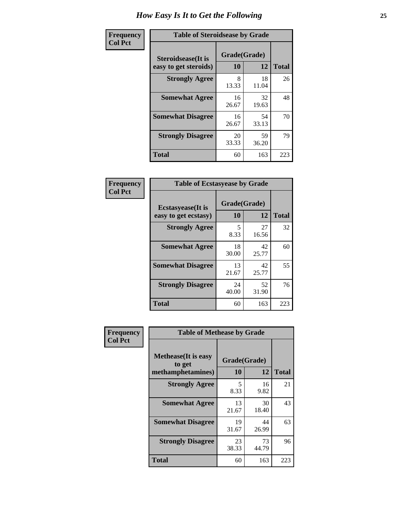| Frequency      | <b>Table of Steroidsease by Grade</b>               |                          |             |     |  |  |  |  |
|----------------|-----------------------------------------------------|--------------------------|-------------|-----|--|--|--|--|
| <b>Col Pct</b> | <b>Steroidsease</b> (It is<br>easy to get steroids) | Grade(Grade)<br>10<br>12 |             |     |  |  |  |  |
|                | <b>Strongly Agree</b>                               | 8<br>13.33               | 18<br>11.04 | 26  |  |  |  |  |
|                | <b>Somewhat Agree</b>                               | 16<br>26.67              | 32<br>19.63 | 48  |  |  |  |  |
|                | <b>Somewhat Disagree</b>                            | 16<br>26.67              | 54<br>33.13 | 70  |  |  |  |  |
|                | <b>Strongly Disagree</b>                            | 20<br>33.33              | 59<br>36.20 | 79  |  |  |  |  |
|                | <b>Total</b>                                        | 60                       | 163         | 223 |  |  |  |  |

| Frequency      |                                                   | <b>Table of Ecstasyease by Grade</b> |             |              |  |  |  |  |  |  |
|----------------|---------------------------------------------------|--------------------------------------|-------------|--------------|--|--|--|--|--|--|
| <b>Col Pct</b> | <b>Ecstasyease</b> (It is<br>easy to get ecstasy) | Grade(Grade)<br><b>10</b>            | 12          | <b>Total</b> |  |  |  |  |  |  |
|                | <b>Strongly Agree</b>                             | 5<br>8.33                            | 27<br>16.56 | 32           |  |  |  |  |  |  |
|                | <b>Somewhat Agree</b>                             | 18<br>30.00                          | 42<br>25.77 | 60           |  |  |  |  |  |  |
|                | <b>Somewhat Disagree</b>                          | 13<br>21.67                          | 42<br>25.77 | 55           |  |  |  |  |  |  |
|                | <b>Strongly Disagree</b>                          | 24<br>40.00                          | 52<br>31.90 | 76           |  |  |  |  |  |  |
|                | <b>Total</b>                                      | 60                                   | 163         | 223          |  |  |  |  |  |  |

| Frequency      | <b>Table of Methease by Grade</b>                          |                           |             |              |
|----------------|------------------------------------------------------------|---------------------------|-------------|--------------|
| <b>Col Pct</b> | <b>Methease</b> (It is easy<br>to get<br>methamphetamines) | Grade(Grade)<br><b>10</b> | 12          | <b>Total</b> |
|                | <b>Strongly Agree</b>                                      | 5<br>8.33                 | 16<br>9.82  | 21           |
|                | <b>Somewhat Agree</b>                                      | 13<br>21.67               | 30<br>18.40 | 43           |
|                | <b>Somewhat Disagree</b>                                   | 19<br>31.67               | 44<br>26.99 | 63           |
|                | <b>Strongly Disagree</b>                                   | 23<br>38.33               | 73<br>44.79 | 96           |
|                | <b>Total</b>                                               | 60                        | 163         | 223          |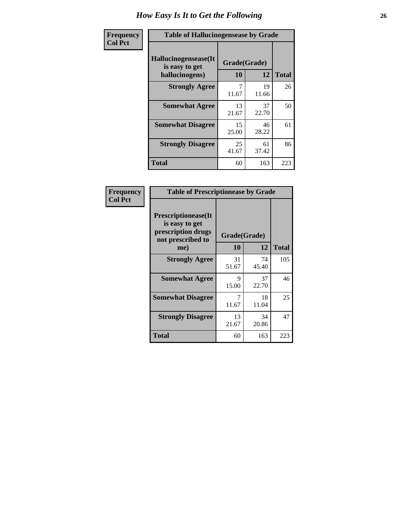| <b>Frequency</b> |                                                          | <b>Table of Hallucinogensease by Grade</b> |             |              |  |  |  |  |  |  |
|------------------|----------------------------------------------------------|--------------------------------------------|-------------|--------------|--|--|--|--|--|--|
| <b>Col Pct</b>   | Hallucinogensease(It<br>is easy to get<br>hallucinogens) | Grade(Grade)<br>10                         | 12          | <b>Total</b> |  |  |  |  |  |  |
|                  | <b>Strongly Agree</b>                                    | 7<br>11.67                                 | 19<br>11.66 | 26           |  |  |  |  |  |  |
|                  | <b>Somewhat Agree</b>                                    | 13<br>21.67                                | 37<br>22.70 | 50           |  |  |  |  |  |  |
|                  | <b>Somewhat Disagree</b>                                 | 15<br>25.00                                | 46<br>28.22 | 61           |  |  |  |  |  |  |
|                  | <b>Strongly Disagree</b>                                 | 25<br>41.67                                | 61<br>37.42 | 86           |  |  |  |  |  |  |
|                  | <b>Total</b>                                             | 60                                         | 163         | 223          |  |  |  |  |  |  |

| Frequency<br>Col Pct |
|----------------------|
|                      |

| <b>Table of Prescriptionease by Grade</b>                                                |             |              |              |  |  |  |  |  |  |
|------------------------------------------------------------------------------------------|-------------|--------------|--------------|--|--|--|--|--|--|
| <b>Prescriptionease</b> (It<br>is easy to get<br>prescription drugs<br>not prescribed to |             | Grade(Grade) |              |  |  |  |  |  |  |
| me)                                                                                      | 10          | 12           | <b>Total</b> |  |  |  |  |  |  |
| <b>Strongly Agree</b>                                                                    | 31<br>51.67 | 74<br>45.40  | 105          |  |  |  |  |  |  |
| <b>Somewhat Agree</b>                                                                    | 9<br>15.00  | 37<br>22.70  | 46           |  |  |  |  |  |  |
| <b>Somewhat Disagree</b>                                                                 | 11.67       | 18<br>11.04  | 25           |  |  |  |  |  |  |
| <b>Strongly Disagree</b>                                                                 | 13<br>21.67 | 34<br>20.86  | 47           |  |  |  |  |  |  |
| <b>Total</b>                                                                             | 60          | 163          | 223          |  |  |  |  |  |  |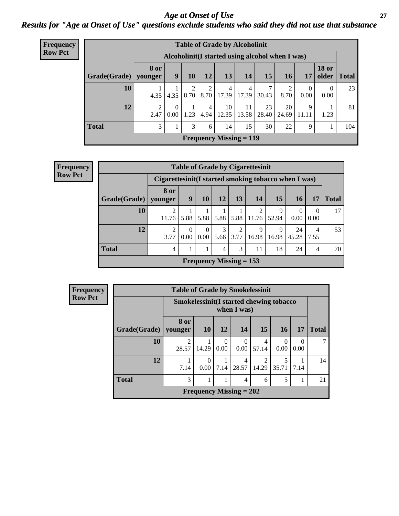### *Age at Onset of Use* **27** *Results for "Age at Onset of Use" questions exclude students who said they did not use that substance*

| <b>Frequency</b> | <b>Table of Grade by Alcoholinit</b>             |                        |                  |      |                 |                           |             |             |             |                  |                       |              |
|------------------|--------------------------------------------------|------------------------|------------------|------|-----------------|---------------------------|-------------|-------------|-------------|------------------|-----------------------|--------------|
| <b>Row Pct</b>   | Alcoholinit (I started using alcohol when I was) |                        |                  |      |                 |                           |             |             |             |                  |                       |              |
|                  | Grade(Grade)                                     | <b>8 or</b><br>younger | 9                | 10   | 12              | 13                        | 14          | 15          | <b>16</b>   | 17               | <b>18 or</b><br>older | <b>Total</b> |
|                  | 10                                               | 4.35                   | 4.35             |      | $8.70$   $8.70$ | $\overline{4}$<br>17.39   | 4<br>17.39  | 7<br>30.43  | 2<br>8.70   | $\Omega$<br>0.00 | $\Omega$<br>0.00      | 23           |
|                  | 12                                               | 2.47                   | $\theta$<br>0.00 | 1.23 | 4<br>4.94       | 10<br>12.35               | 11<br>13.58 | 23<br>28.40 | 20<br>24.69 | 9<br>11.11       | 1.23                  | 81           |
|                  | <b>Total</b>                                     | 3                      |                  | 3    | 6               | 14                        | 15          | 30          | 22          | 9                |                       | 104          |
|                  |                                                  |                        |                  |      |                 | Frequency Missing $= 119$ |             |             |             |                  |                       |              |

| Frequency      | <b>Table of Grade by Cigarettesinit</b> |                                                       |                            |                      |           |                           |                                  |            |             |                  |              |
|----------------|-----------------------------------------|-------------------------------------------------------|----------------------------|----------------------|-----------|---------------------------|----------------------------------|------------|-------------|------------------|--------------|
| <b>Row Pct</b> |                                         | Cigarettesinit (I started smoking tobacco when I was) |                            |                      |           |                           |                                  |            |             |                  |              |
|                | Grade(Grade)   younger                  | 8 or                                                  | 9                          | 10                   | 12        | 13                        | 14                               | 15         | 16          | 17               | <b>Total</b> |
|                | 10                                      | 2<br>11.76                                            | 5.88                       | 5.88                 | 5.88      |                           | $\mathfrak{D}$<br>$5.88$   11.76 | 9<br>52.94 | 0<br>0.00   | $\Omega$<br>0.00 | 17           |
|                | 12                                      | $\overline{2}$<br>3.77                                | $\Omega$<br>$0.00^{\circ}$ | $\Omega$<br>$0.00\,$ | 3<br>5.66 | ◠<br>3.77                 | q<br>16.98                       | 9<br>16.98 | 24<br>45.28 | 4<br>7.55        | 53           |
|                | <b>Total</b>                            | 4                                                     | 1                          |                      | 4         | 3                         | 11                               | 18         | 24          | 4                | 70           |
|                |                                         |                                                       |                            |                      |           | Frequency Missing $= 153$ |                                  |            |             |                  |              |

| <b>Frequency</b> | <b>Table of Grade by Smokelessinit</b> |                                         |                           |                  |                           |                         |                  |                  |              |  |  |
|------------------|----------------------------------------|-----------------------------------------|---------------------------|------------------|---------------------------|-------------------------|------------------|------------------|--------------|--|--|
| <b>Row Pct</b>   |                                        | Smokelessinit(I started chewing tobacco |                           |                  | when I was)               |                         |                  |                  |              |  |  |
|                  | Grade(Grade)                           | 8 or<br>vounger                         | <b>10</b>                 | 12               | <b>14</b>                 | 15                      | 16 <sup>1</sup>  | 17               | <b>Total</b> |  |  |
|                  | 10                                     | $\overline{2}$<br>28.57                 | 14.29                     | $\theta$<br>0.00 | $\Omega$<br>0.00          | 4<br>57.14              | $\Omega$<br>0.00 | $\theta$<br>0.00 |              |  |  |
|                  | 12                                     | 7.14                                    | $\Omega$<br>$0.00\degree$ | 7.14             | 4<br>28.57                | $\overline{2}$<br>14.29 | 35.71            | 7.14             | 14           |  |  |
|                  | <b>Total</b>                           | 3                                       |                           | 1                | 4                         | 6                       | 5                | 1                | 21           |  |  |
|                  |                                        |                                         |                           |                  | Frequency Missing $= 202$ |                         |                  |                  |              |  |  |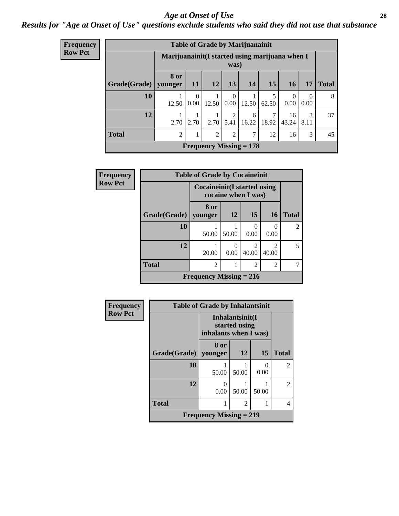#### *Age at Onset of Use* **28**

### *Results for "Age at Onset of Use" questions exclude students who said they did not use that substance*

| <b>Frequency</b> | <b>Table of Grade by Marijuanainit</b> |                                                 |                  |                |                        |                           |       |             |                  |              |  |
|------------------|----------------------------------------|-------------------------------------------------|------------------|----------------|------------------------|---------------------------|-------|-------------|------------------|--------------|--|
| <b>Row Pct</b>   |                                        | Marijuanainit (I started using marijuana when I |                  |                | was)                   |                           |       |             |                  |              |  |
|                  | Grade(Grade)                           | 8 or<br>younger                                 | <b>11</b>        | <b>12</b>      | 13                     | 14                        | 15    | 16          | 17               | <b>Total</b> |  |
|                  | 10                                     | 12.50                                           | $\Omega$<br>0.00 | 12.50          | $\Omega$<br>$0.00\,$   | 12.50                     | 62.50 | 0<br>0.00   | $\Omega$<br>0.00 | 8            |  |
|                  | 12                                     | 2.70                                            | 2.70             | 2.70           | $\mathfrak{D}$<br>5.41 | 6<br>16.22                | 18.92 | 16<br>43.24 | 3<br>8.11        | 37           |  |
|                  | <b>Total</b>                           | 2                                               |                  | $\overline{2}$ | 2                      | 7                         | 12    | 16          | 3                | 45           |  |
|                  |                                        |                                                 |                  |                |                        | Frequency Missing $= 178$ |       |             |                  |              |  |

| Frequency      | <b>Table of Grade by Cocaineinit</b> |                           |                                                     |                |                  |                |  |  |  |  |
|----------------|--------------------------------------|---------------------------|-----------------------------------------------------|----------------|------------------|----------------|--|--|--|--|
| <b>Row Pct</b> |                                      |                           | Cocaineinit (I started using<br>cocaine when I was) |                |                  |                |  |  |  |  |
|                | Grade(Grade)                         | 8 or<br>younger           | 12                                                  | 15             | <b>16</b>        | <b>Total</b>   |  |  |  |  |
|                | 10                                   | 50.00                     | 50.00                                               | 0.00           | $\Omega$<br>0.00 | $\mathfrak{D}$ |  |  |  |  |
|                | 12                                   | 20.00                     | 0.00                                                | っ<br>40.00     | 40.00            | 5              |  |  |  |  |
|                | <b>Total</b>                         | $\mathfrak{D}$            |                                                     | $\overline{2}$ | 2                |                |  |  |  |  |
|                |                                      | Frequency Missing $= 216$ |                                                     |                |                  |                |  |  |  |  |

| Frequency      | <b>Table of Grade by Inhalantsinit</b> |                                                           |                |           |                |  |  |  |  |  |
|----------------|----------------------------------------|-----------------------------------------------------------|----------------|-----------|----------------|--|--|--|--|--|
| <b>Row Pct</b> |                                        | Inhalantsinit(I<br>started using<br>inhalants when I was) |                |           |                |  |  |  |  |  |
|                | <b>Grade(Grade)</b>                    | 8 or<br>younger                                           | <b>12</b>      | 15        | <b>Total</b>   |  |  |  |  |  |
|                | 10                                     | 50.00                                                     | 50.00          | 0<br>0.00 | $\overline{c}$ |  |  |  |  |  |
|                | 12                                     | 0<br>0.00                                                 | 50.00          | 50.00     | $\overline{2}$ |  |  |  |  |  |
|                | <b>Total</b>                           |                                                           | $\mathfrak{D}$ |           | 4              |  |  |  |  |  |
|                |                                        | <b>Frequency Missing = 219</b>                            |                |           |                |  |  |  |  |  |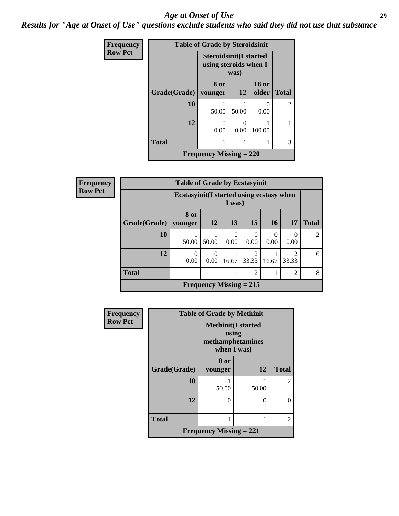#### *Age at Onset of Use* **29**

*Results for "Age at Onset of Use" questions exclude students who said they did not use that substance*

| Frequency      | <b>Table of Grade by Steroidsinit</b> |                                                                |                       |                           |                |  |
|----------------|---------------------------------------|----------------------------------------------------------------|-----------------------|---------------------------|----------------|--|
| <b>Row Pct</b> |                                       | <b>Steroidsinit(I started</b><br>using steroids when I<br>was) |                       |                           |                |  |
|                | Grade(Grade)   younger                | 8 or                                                           | 12                    | <b>18 or</b><br>older     | <b>Total</b>   |  |
|                | 10                                    | 50.00                                                          | 50.00                 | $\mathbf{\Omega}$<br>0.00 | $\overline{2}$ |  |
|                | 12                                    | $\mathcal{O}$<br>0.00                                          | $\mathcal{L}$<br>0.00 | 100.00                    |                |  |
|                | <b>Total</b>                          |                                                                |                       |                           | 3              |  |
|                |                                       | Frequency Missing $= 220$                                      |                       |                           |                |  |

| <b>Frequency</b> | <b>Table of Grade by Ecstasyinit</b> |                  |                                                     |                           |                         |                          |                         |                |
|------------------|--------------------------------------|------------------|-----------------------------------------------------|---------------------------|-------------------------|--------------------------|-------------------------|----------------|
| <b>Row Pct</b>   |                                      |                  | Ecstasyinit (I started using ecstasy when<br>I was) |                           |                         |                          |                         |                |
|                  | Grade(Grade)                         | 8 or<br>younger  | <b>12</b>                                           | 13                        | 15                      | <b>16</b>                | 17                      | <b>Total</b>   |
|                  | 10                                   | 50.00            | 50.00                                               | $\Omega$<br>0.00          | $\Omega$<br>0.00        | $\left( \right)$<br>0.00 | 0<br>0.00               | $\overline{2}$ |
|                  | 12                                   | $\Omega$<br>0.00 | 0.00                                                | 16.67                     | $\overline{2}$<br>33.33 | 16.67                    | $\overline{c}$<br>33.33 | 6              |
|                  | <b>Total</b>                         |                  |                                                     |                           | $\overline{2}$          |                          | $\overline{2}$          | 8              |
|                  |                                      |                  |                                                     | Frequency Missing $= 215$ |                         |                          |                         |                |

| Frequency      |              | <b>Table of Grade by Methinit</b>                                     |       |                |  |  |
|----------------|--------------|-----------------------------------------------------------------------|-------|----------------|--|--|
| <b>Row Pct</b> |              | <b>Methinit(I started</b><br>using<br>methamphetamines<br>when I was) |       |                |  |  |
|                | Grade(Grade) | 8 or<br>younger                                                       | 12    | <b>Total</b>   |  |  |
|                | 10           | 50.00                                                                 | 50.00 | $\overline{2}$ |  |  |
|                | 12           | $\theta$                                                              | 0     | $\Omega$       |  |  |
|                | <b>Total</b> |                                                                       |       | 2              |  |  |
|                |              | <b>Frequency Missing = 221</b>                                        |       |                |  |  |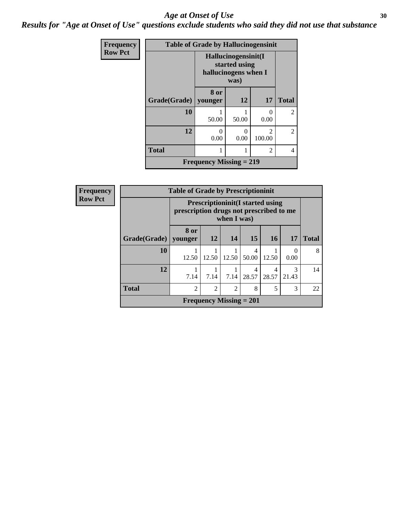#### Age at Onset of Use **30**

*Results for "Age at Onset of Use" questions exclude students who said they did not use that substance*

| Frequency      | <b>Table of Grade by Hallucinogensinit</b> |                                |                                                                      |                          |                |
|----------------|--------------------------------------------|--------------------------------|----------------------------------------------------------------------|--------------------------|----------------|
| <b>Row Pct</b> |                                            |                                | Hallucinogensinit(I<br>started using<br>hallucinogens when I<br>was) |                          |                |
|                | Grade(Grade)   younger                     | 8 or                           | 12                                                                   | 17                       | <b>Total</b>   |
|                | 10                                         | 50.00                          | 50.00                                                                | 0<br>0.00                | $\overline{2}$ |
|                | 12                                         | $\mathcal{O}$<br>0.00          | 0<br>0.00                                                            | $\mathfrak{D}$<br>100.00 | $\overline{2}$ |
|                | <b>Total</b>                               |                                |                                                                      | $\overline{c}$           | 4              |
|                |                                            | <b>Frequency Missing = 219</b> |                                                                      |                          |                |

| Frequency      |                        | <b>Table of Grade by Prescriptioninit</b>                                                         |                                |                |            |            |            |              |
|----------------|------------------------|---------------------------------------------------------------------------------------------------|--------------------------------|----------------|------------|------------|------------|--------------|
| <b>Row Pct</b> |                        | <b>Prescriptioninit(I started using</b><br>prescription drugs not prescribed to me<br>when I was) |                                |                |            |            |            |              |
|                | Grade(Grade)   younger | 8 or                                                                                              | <b>12</b>                      | 14             | 15         | <b>16</b>  | <b>17</b>  | <b>Total</b> |
|                | 10                     | 12.50                                                                                             | 12.50                          | 12.50          | 4<br>50.00 | 12.50      | 0<br>0.00  | 8            |
|                | 12                     | 7.14                                                                                              | 7.14                           | 7.14           | 4<br>28.57 | 4<br>28.57 | 3<br>21.43 | 14           |
|                | <b>Total</b>           | $\overline{c}$                                                                                    | $\overline{2}$                 | $\overline{2}$ | 8          | 5          | 3          | 22           |
|                |                        |                                                                                                   | <b>Frequency Missing = 201</b> |                |            |            |            |              |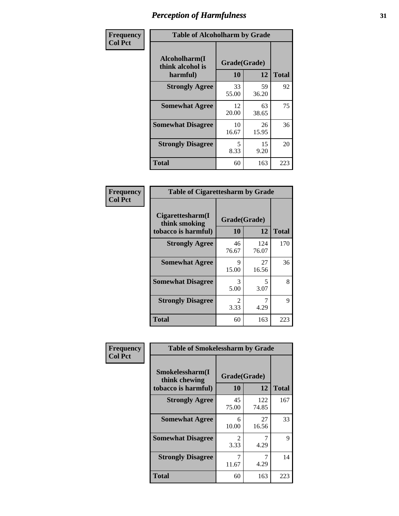| Frequency      | <b>Table of Alcoholharm by Grade</b>          |                    |             |              |  |
|----------------|-----------------------------------------------|--------------------|-------------|--------------|--|
| <b>Col Pct</b> | Alcoholharm(I<br>think alcohol is<br>harmful) | Grade(Grade)<br>10 | 12          | <b>Total</b> |  |
|                | <b>Strongly Agree</b>                         | 33<br>55.00        | 59<br>36.20 | 92           |  |
|                | <b>Somewhat Agree</b>                         | 12<br>20.00        | 63<br>38.65 | 75           |  |
|                | <b>Somewhat Disagree</b>                      | 10<br>16.67        | 26<br>15.95 | 36           |  |
|                | <b>Strongly Disagree</b>                      | 5<br>8.33          | 15<br>9.20  | 20           |  |
|                | <b>Total</b>                                  | 60                 | 163         | 223          |  |

| <b>Table of Cigarettesharm by Grade</b>                  |                        |              |     |  |  |  |
|----------------------------------------------------------|------------------------|--------------|-----|--|--|--|
| Cigarettesharm(I<br>think smoking<br>tobacco is harmful) | Grade(Grade)<br>10     | <b>Total</b> |     |  |  |  |
| <b>Strongly Agree</b>                                    | 46<br>76.67            | 124<br>76.07 | 170 |  |  |  |
| <b>Somewhat Agree</b>                                    | 9<br>15.00             | 27<br>16.56  | 36  |  |  |  |
| <b>Somewhat Disagree</b>                                 | 3<br>5.00              | 5<br>3.07    | 8   |  |  |  |
| <b>Strongly Disagree</b>                                 | $\mathfrak{D}$<br>3.33 | 7<br>4.29    | 9   |  |  |  |
| <b>Total</b>                                             | 60                     | 163          | 223 |  |  |  |

| Frequency      | <b>Table of Smokelessharm by Grade</b>                  |                    |              |              |  |
|----------------|---------------------------------------------------------|--------------------|--------------|--------------|--|
| <b>Col Pct</b> | Smokelessharm(I<br>think chewing<br>tobacco is harmful) | Grade(Grade)<br>10 | 12           | <b>Total</b> |  |
|                | <b>Strongly Agree</b>                                   | 45<br>75.00        | 122<br>74.85 | 167          |  |
|                | <b>Somewhat Agree</b>                                   | 6<br>10.00         | 27<br>16.56  | 33           |  |
|                | <b>Somewhat Disagree</b>                                | 2<br>3.33          | 4.29         | 9            |  |
|                | <b>Strongly Disagree</b>                                | 7<br>11.67         | 7<br>4.29    | 14           |  |
|                | <b>Total</b>                                            | 60                 | 163          | 223          |  |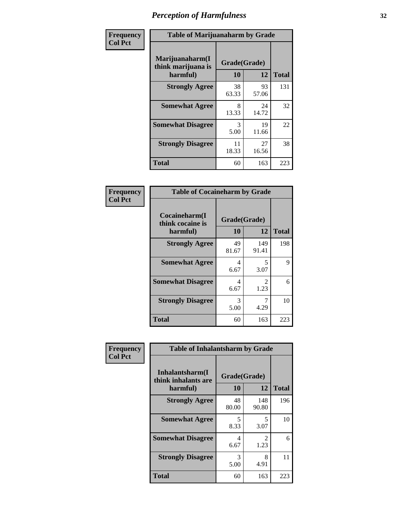| Frequency      | <b>Table of Marijuanaharm by Grade</b>            |             |                    |              |
|----------------|---------------------------------------------------|-------------|--------------------|--------------|
| <b>Col Pct</b> | Marijuanaharm(I<br>think marijuana is<br>harmful) | 10          | Grade(Grade)<br>12 | <b>Total</b> |
|                | <b>Strongly Agree</b>                             | 38<br>63.33 | 93<br>57.06        | 131          |
|                | <b>Somewhat Agree</b>                             | 8<br>13.33  | 24<br>14.72        | 32           |
|                | <b>Somewhat Disagree</b>                          | 3<br>5.00   | 19<br>11.66        | 22           |
|                | <b>Strongly Disagree</b>                          | 11<br>18.33 | 27<br>16.56        | 38           |
|                | <b>Total</b>                                      | 60          | 163                | 223          |

| <b>Table of Cocaineharm by Grade</b>          |                    |                        |     |  |  |  |  |
|-----------------------------------------------|--------------------|------------------------|-----|--|--|--|--|
| Cocaineharm(I<br>think cocaine is<br>harmful) | Grade(Grade)<br>10 | <b>Total</b>           |     |  |  |  |  |
| <b>Strongly Agree</b>                         | 49<br>81.67        | 149<br>91.41           | 198 |  |  |  |  |
| <b>Somewhat Agree</b>                         | 4<br>6.67          | 5<br>3.07              | 9   |  |  |  |  |
| <b>Somewhat Disagree</b>                      | 4<br>6.67          | $\mathfrak{D}$<br>1.23 | 6   |  |  |  |  |
| <b>Strongly Disagree</b>                      | 3<br>5.00          | 4.29                   | 10  |  |  |  |  |
| <b>Total</b>                                  | 60                 | 163                    | 223 |  |  |  |  |

| Frequency      | <b>Table of Inhalantsharm by Grade</b>             |                    |              |              |  |
|----------------|----------------------------------------------------|--------------------|--------------|--------------|--|
| <b>Col Pct</b> | Inhalantsharm(I<br>think inhalants are<br>harmful) | Grade(Grade)<br>10 | 12           | <b>Total</b> |  |
|                | <b>Strongly Agree</b>                              | 48<br>80.00        | 148<br>90.80 | 196          |  |
|                | <b>Somewhat Agree</b>                              | 5<br>8.33          | 5<br>3.07    | 10           |  |
|                | <b>Somewhat Disagree</b>                           | 4<br>6.67          | 2<br>1.23    | 6            |  |
|                | <b>Strongly Disagree</b>                           | 3<br>5.00          | 8<br>4.91    | 11           |  |
|                | <b>Total</b>                                       | 60                 | 163          | 223          |  |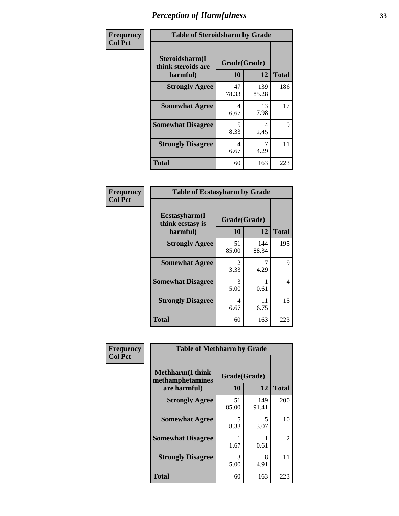| Frequency      | <b>Table of Steroidsharm by Grade</b>            |                                  |              |              |  |
|----------------|--------------------------------------------------|----------------------------------|--------------|--------------|--|
| <b>Col Pct</b> | Steroidsharm(I<br>think steroids are<br>harmful) | Grade(Grade)<br>10               | 12           | <b>Total</b> |  |
|                | <b>Strongly Agree</b>                            | 47<br>78.33                      | 139<br>85.28 | 186          |  |
|                | <b>Somewhat Agree</b>                            | 4<br>6.67                        | 13<br>7.98   | 17           |  |
|                | <b>Somewhat Disagree</b>                         | $\overline{\mathcal{L}}$<br>8.33 | 4<br>2.45    | 9            |  |
|                | <b>Strongly Disagree</b>                         | 4<br>6.67                        | 4.29         | 11           |  |
|                | <b>Total</b>                                     | 60                               | 163          | 223          |  |

| <b>Table of Ecstasyharm by Grade</b>          |                    |              |              |  |  |
|-----------------------------------------------|--------------------|--------------|--------------|--|--|
| Ecstasyharm(I<br>think ecstasy is<br>harmful) | Grade(Grade)<br>10 | 12           | <b>Total</b> |  |  |
| <b>Strongly Agree</b>                         | 51<br>85.00        | 144<br>88.34 | 195          |  |  |
| <b>Somewhat Agree</b>                         | 2<br>3.33          | 4.29         | 9            |  |  |
| <b>Somewhat Disagree</b>                      | 3<br>5.00          | 0.61         | 4            |  |  |
| <b>Strongly Disagree</b>                      | 4<br>6.67          | 11<br>6.75   | 15           |  |  |
| <b>Total</b>                                  | 60                 | 163          | 223          |  |  |

| Frequency      | <b>Table of Methharm by Grade</b>                            |                           |              |              |
|----------------|--------------------------------------------------------------|---------------------------|--------------|--------------|
| <b>Col Pct</b> | <b>Methharm</b> (I think<br>methamphetamines<br>are harmful) | Grade(Grade)<br><b>10</b> | 12           | <b>Total</b> |
|                | <b>Strongly Agree</b>                                        | 51<br>85.00               | 149<br>91.41 | 200          |
|                | <b>Somewhat Agree</b>                                        | 5<br>8.33                 | 5<br>3.07    | 10           |
|                | <b>Somewhat Disagree</b>                                     | 1.67                      | 0.61         | 2            |
|                | <b>Strongly Disagree</b>                                     | 3<br>5.00                 | 8<br>4.91    | 11           |
|                | <b>Total</b>                                                 | 60                        | 163          | 223          |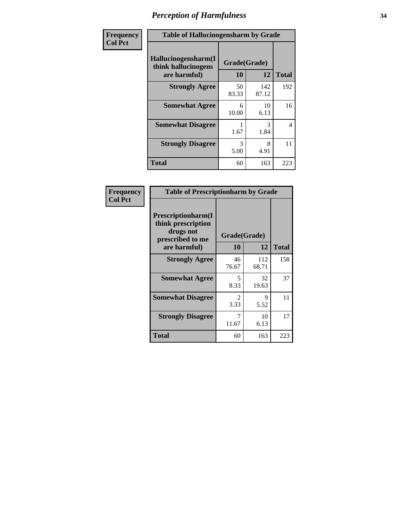| Frequency      | <b>Table of Hallucinogensharm by Grade</b>                 |                    |              |                |
|----------------|------------------------------------------------------------|--------------------|--------------|----------------|
| <b>Col Pct</b> | Hallucinogensharm(I<br>think hallucinogens<br>are harmful) | Grade(Grade)<br>10 | 12           | <b>Total</b>   |
|                | <b>Strongly Agree</b>                                      | 50<br>83.33        | 142<br>87.12 | 192            |
|                | <b>Somewhat Agree</b>                                      | 6<br>10.00         | 10<br>6.13   | 16             |
|                | <b>Somewhat Disagree</b>                                   | 1.67               | 3<br>1.84    | $\overline{4}$ |
|                | <b>Strongly Disagree</b>                                   | 3<br>5.00          | 8<br>4.91    | 11             |
|                | <b>Total</b>                                               | 60                 | 163          | 223            |

| <b>Table of Prescriptionharm by Grade</b>                                                         |                                     |              |              |  |
|---------------------------------------------------------------------------------------------------|-------------------------------------|--------------|--------------|--|
| <b>Prescriptionharm</b> (I<br>think prescription<br>drugs not<br>prescribed to me<br>are harmful) | Grade(Grade)<br>10                  | 12           | <b>Total</b> |  |
| <b>Strongly Agree</b>                                                                             | 46<br>76.67                         | 112<br>68.71 | 158          |  |
| <b>Somewhat Agree</b>                                                                             | 5<br>8.33                           | 32<br>19.63  | 37           |  |
| <b>Somewhat Disagree</b>                                                                          | $\mathcal{D}_{\mathcal{L}}$<br>3.33 | 9<br>5.52    | 11           |  |
| <b>Strongly Disagree</b>                                                                          | 7<br>11.67                          | 10<br>6.13   | 17           |  |
| <b>Total</b>                                                                                      | 60                                  | 163          | 223          |  |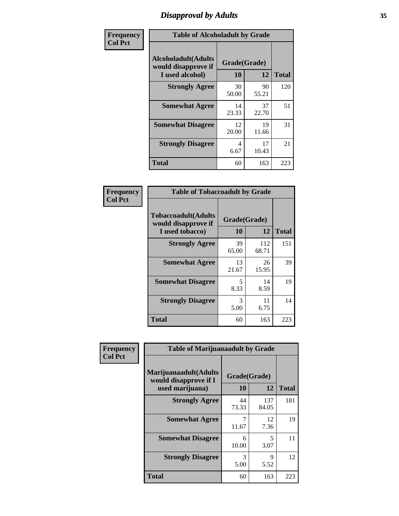# *Disapproval by Adults* **35**

| Frequency      | <b>Table of Alcoholadult by Grade</b>                                 |                    |             |              |
|----------------|-----------------------------------------------------------------------|--------------------|-------------|--------------|
| <b>Col Pct</b> | <b>Alcoholadult</b> (Adults<br>would disapprove if<br>I used alcohol) | Grade(Grade)<br>10 | 12          | <b>Total</b> |
|                | <b>Strongly Agree</b>                                                 | 30<br>50.00        | 90<br>55.21 | 120          |
|                | <b>Somewhat Agree</b>                                                 | 14<br>23.33        | 37<br>22.70 | 51           |
|                | <b>Somewhat Disagree</b>                                              | 12<br>20.00        | 19<br>11.66 | 31           |
|                | <b>Strongly Disagree</b>                                              | 4<br>6.67          | 17<br>10.43 | 21           |
|                | <b>Total</b>                                                          | 60                 | 163         | 223          |

| <b>Table of Tobaccoadult by Grade</b>                                 |                    |              |              |  |
|-----------------------------------------------------------------------|--------------------|--------------|--------------|--|
| <b>Tobaccoadult</b> (Adults<br>would disapprove if<br>I used tobacco) | Grade(Grade)<br>10 | 12           | <b>Total</b> |  |
| <b>Strongly Agree</b>                                                 | 39<br>65.00        | 112<br>68.71 | 151          |  |
| <b>Somewhat Agree</b>                                                 | 13<br>21.67        | 26<br>15.95  | 39           |  |
| <b>Somewhat Disagree</b>                                              | 5<br>8.33          | 14<br>8.59   | 19           |  |
| <b>Strongly Disagree</b>                                              | 3<br>5.00          | 11<br>6.75   | 14           |  |
| Total                                                                 | 60                 | 163          | 223          |  |

| Frequency      | <b>Table of Marijuanaadult by Grade</b>                           |                    |              |              |
|----------------|-------------------------------------------------------------------|--------------------|--------------|--------------|
| <b>Col Pct</b> | Marijuanaadult(Adults<br>would disapprove if I<br>used marijuana) | Grade(Grade)<br>10 | 12           | <b>Total</b> |
|                | <b>Strongly Agree</b>                                             | 44<br>73.33        | 137<br>84.05 | 181          |
|                | <b>Somewhat Agree</b>                                             | 7<br>11.67         | 12<br>7.36   | 19           |
|                | <b>Somewhat Disagree</b>                                          | 6<br>10.00         | 5<br>3.07    | 11           |
|                | <b>Strongly Disagree</b>                                          | 3<br>5.00          | 9<br>5.52    | 12           |
|                | <b>Total</b>                                                      | 60                 | 163          | 223          |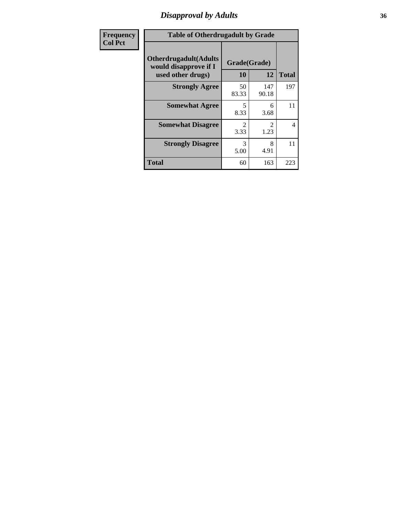### *Disapproval by Adults* **36**

| <b>Frequency</b> | <b>Table of Otherdrugadult by Grade</b>                                     |                                     |              |                |
|------------------|-----------------------------------------------------------------------------|-------------------------------------|--------------|----------------|
| <b>Col Pct</b>   | <b>Otherdrugadult</b> (Adults<br>would disapprove if I<br>used other drugs) | Grade(Grade)<br>10                  | 12           | <b>Total</b>   |
|                  | <b>Strongly Agree</b>                                                       | 50<br>83.33                         | 147<br>90.18 | 197            |
|                  | <b>Somewhat Agree</b>                                                       | 5<br>8.33                           | 6<br>3.68    | 11             |
|                  | <b>Somewhat Disagree</b>                                                    | $\mathcal{D}_{\mathcal{L}}$<br>3.33 | 1.23         | $\overline{4}$ |
|                  | <b>Strongly Disagree</b>                                                    | 3<br>5.00                           | 8<br>4.91    | 11             |
|                  | <b>Total</b>                                                                | 60                                  | 163          | 223            |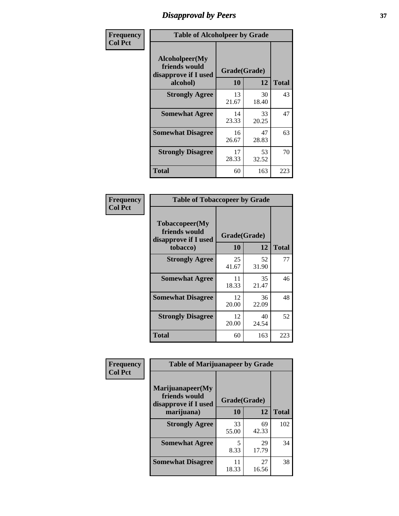# *Disapproval by Peers* **37**

| Frequency      | <b>Table of Alcoholpeer by Grade</b>                    |              |             |              |  |
|----------------|---------------------------------------------------------|--------------|-------------|--------------|--|
| <b>Col Pct</b> | Alcoholpeer(My<br>friends would<br>disapprove if I used | Grade(Grade) |             |              |  |
|                | alcohol)                                                | 10           | 12          | <b>Total</b> |  |
|                | <b>Strongly Agree</b>                                   | 13<br>21.67  | 30<br>18.40 | 43           |  |
|                | <b>Somewhat Agree</b>                                   | 14<br>23.33  | 33<br>20.25 | 47           |  |
|                | <b>Somewhat Disagree</b>                                | 16<br>26.67  | 47<br>28.83 | 63           |  |
|                | <b>Strongly Disagree</b>                                | 17<br>28.33  | 53<br>32.52 | 70           |  |
|                | Total                                                   | 60           | 163         | 223          |  |

| Frequency      | <b>Table of Tobaccopeer by Grade</b>                                |                    |             |              |
|----------------|---------------------------------------------------------------------|--------------------|-------------|--------------|
| <b>Col Pct</b> | Tobaccopeer(My<br>friends would<br>disapprove if I used<br>tobacco) | Grade(Grade)<br>10 | 12          | <b>Total</b> |
|                | <b>Strongly Agree</b>                                               | 25<br>41.67        | 52<br>31.90 | 77           |
|                | <b>Somewhat Agree</b>                                               | 11<br>18.33        | 35<br>21.47 | 46           |
|                | <b>Somewhat Disagree</b>                                            | 12<br>20.00        | 36<br>22.09 | 48           |
|                | <b>Strongly Disagree</b>                                            | 12<br>20.00        | 40<br>24.54 | 52           |
|                | Total                                                               | 60                 | 163         | 223          |

| Frequency      | <b>Table of Marijuanapeer by Grade</b>                    |              |             |              |
|----------------|-----------------------------------------------------------|--------------|-------------|--------------|
| <b>Col Pct</b> | Marijuanapeer(My<br>friends would<br>disapprove if I used | Grade(Grade) |             |              |
|                | marijuana)                                                | 10           | 12          | <b>Total</b> |
|                | <b>Strongly Agree</b>                                     | 33<br>55.00  | 69<br>42.33 | 102          |
|                | <b>Somewhat Agree</b>                                     | 5<br>8.33    | 29<br>17.79 | 34           |
|                | <b>Somewhat Disagree</b>                                  | 11<br>18.33  | 27<br>16.56 | 38           |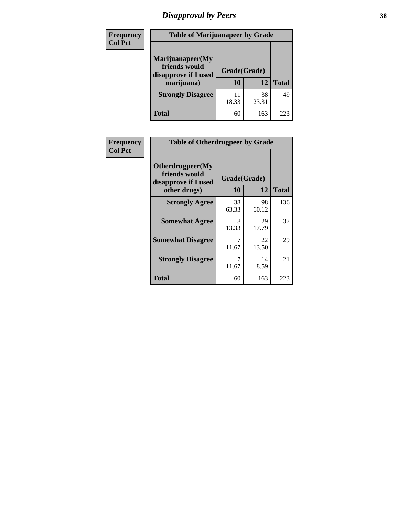# *Disapproval by Peers* **38**

| Frequency<br><b>Col Pct</b> | <b>Table of Marijuanapeer by Grade</b>                                  |                    |             |              |
|-----------------------------|-------------------------------------------------------------------------|--------------------|-------------|--------------|
|                             | Marijuanapeer(My<br>friends would<br>disapprove if I used<br>marijuana) | Grade(Grade)<br>10 | 12          | <b>Total</b> |
|                             | <b>Strongly Disagree</b>                                                | 11<br>18.33        | 38<br>23.31 | 49           |
|                             | Total                                                                   | 60                 | 163         | 223          |

| Frequency      | <b>Table of Otherdrugpeer by Grade</b>                                    |                    |             |              |
|----------------|---------------------------------------------------------------------------|--------------------|-------------|--------------|
| <b>Col Pct</b> | Otherdrugpeer(My<br>friends would<br>disapprove if I used<br>other drugs) | Grade(Grade)<br>10 | 12          | <b>Total</b> |
|                | <b>Strongly Agree</b>                                                     | 38<br>63.33        | 98<br>60.12 | 136          |
|                | <b>Somewhat Agree</b>                                                     | 8<br>13.33         | 29<br>17.79 | 37           |
|                | <b>Somewhat Disagree</b>                                                  | 7<br>11.67         | 22<br>13.50 | 29           |
|                | <b>Strongly Disagree</b>                                                  | 7<br>11.67         | 14<br>8.59  | 21           |
|                | <b>Total</b>                                                              | 60                 | 163         | 223          |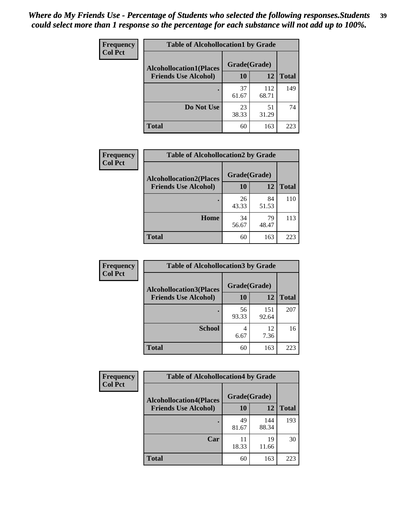| Frequency      | <b>Table of Alcohollocation1 by Grade</b> |              |              |              |
|----------------|-------------------------------------------|--------------|--------------|--------------|
| <b>Col Pct</b> | <b>Alcohollocation1(Places</b>            | Grade(Grade) |              |              |
|                | <b>Friends Use Alcohol)</b>               | 10           | 12           | <b>Total</b> |
|                |                                           | 37<br>61.67  | 112<br>68.71 | 149          |
|                | Do Not Use                                | 23<br>38.33  | 51<br>31.29  | 74           |
|                | <b>Total</b>                              | 60           | 163          | 223          |

| Frequency      | <b>Table of Alcohollocation2 by Grade</b> |              |             |              |
|----------------|-------------------------------------------|--------------|-------------|--------------|
| <b>Col Pct</b> | <b>Alcohollocation2(Places</b>            | Grade(Grade) |             |              |
|                | <b>Friends Use Alcohol)</b>               | 10           | 12          | <b>Total</b> |
|                |                                           | 26<br>43.33  | 84<br>51.53 | 110          |
|                | Home                                      | 34<br>56.67  | 79<br>48.47 | 113          |
|                | Total                                     | 60           | 163         | 223          |

| Frequency<br><b>Col Pct</b> | <b>Table of Alcohollocation 3 by Grade</b>                    |                    |              |              |
|-----------------------------|---------------------------------------------------------------|--------------------|--------------|--------------|
|                             | <b>Alcohollocation3(Places</b><br><b>Friends Use Alcohol)</b> | Grade(Grade)<br>10 | 12           | <b>Total</b> |
|                             |                                                               | 56<br>93.33        | 151<br>92.64 | 207          |
|                             | <b>School</b>                                                 | 4<br>6.67          | 12<br>7.36   | 16           |
|                             | <b>Total</b>                                                  | 60                 | 163          | 223          |

| <b>Frequency</b> | <b>Table of Alcohollocation4 by Grade</b> |              |              |              |
|------------------|-------------------------------------------|--------------|--------------|--------------|
| <b>Col Pct</b>   | <b>Alcohollocation4(Places</b>            | Grade(Grade) |              |              |
|                  | <b>Friends Use Alcohol)</b>               | <b>10</b>    | 12           | <b>Total</b> |
|                  |                                           | 49<br>81.67  | 144<br>88.34 | 193          |
|                  | Car                                       | 11<br>18.33  | 19<br>11.66  | 30           |
|                  | <b>Total</b>                              | 60           | 163          | 223          |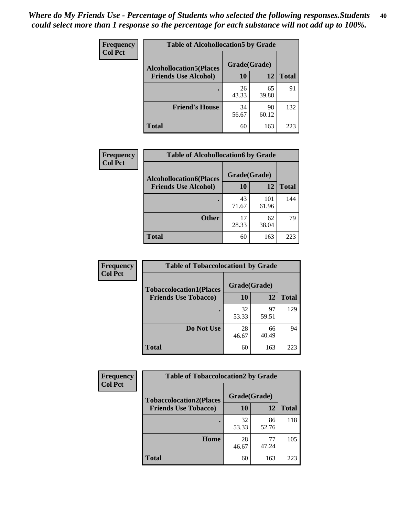| Frequency<br><b>Col Pct</b> | <b>Table of Alcohollocation5 by Grade</b><br>Grade(Grade)<br><b>Alcohollocation5(Places</b> |             |             |              |
|-----------------------------|---------------------------------------------------------------------------------------------|-------------|-------------|--------------|
|                             |                                                                                             |             |             |              |
|                             | <b>Friends Use Alcohol)</b>                                                                 | 10          | 12          | <b>Total</b> |
|                             |                                                                                             | 26<br>43.33 | 65<br>39.88 | 91           |
|                             | <b>Friend's House</b>                                                                       | 34<br>56.67 | 98<br>60.12 | 132          |
|                             | <b>Total</b>                                                                                | 60          | 163         | 223          |

| <b>Frequency</b> | <b>Table of Alcohollocation6 by Grade</b> |              |              |              |
|------------------|-------------------------------------------|--------------|--------------|--------------|
| <b>Col Pct</b>   | <b>Alcohollocation6(Places</b>            | Grade(Grade) |              |              |
|                  | <b>Friends Use Alcohol)</b>               | 10           | <b>12</b>    | <b>Total</b> |
|                  |                                           | 43<br>71.67  | 101<br>61.96 | 144          |
|                  | <b>Other</b>                              | 17<br>28.33  | 62<br>38.04  | 79           |
|                  | <b>Total</b>                              | 60           | 163          | 223          |

| Frequency<br><b>Col Pct</b> | <b>Table of Tobaccolocation1 by Grade</b> |              |             |              |
|-----------------------------|-------------------------------------------|--------------|-------------|--------------|
|                             | <b>Tobaccolocation1(Places</b>            | Grade(Grade) |             |              |
|                             | <b>Friends Use Tobacco)</b>               | 10           | <b>12</b>   | <b>Total</b> |
|                             |                                           | 32<br>53.33  | 97<br>59.51 | 129          |
|                             | <b>Do Not Use</b>                         | 28<br>46.67  | 66<br>40.49 | 94           |
|                             | <b>Total</b>                              | 60           | 163         | 223          |

| Frequency      | <b>Table of Tobaccolocation2 by Grade</b> |              |             |              |  |
|----------------|-------------------------------------------|--------------|-------------|--------------|--|
| <b>Col Pct</b> | <b>Tobaccolocation2(Places</b>            | Grade(Grade) |             |              |  |
|                | <b>Friends Use Tobacco)</b>               | 10           | 12          | <b>Total</b> |  |
|                |                                           | 32<br>53.33  | 86<br>52.76 | 118          |  |
|                | Home                                      | 28<br>46.67  | 77<br>47.24 | 105          |  |
|                | <b>Total</b>                              | 60           | 163         | 223          |  |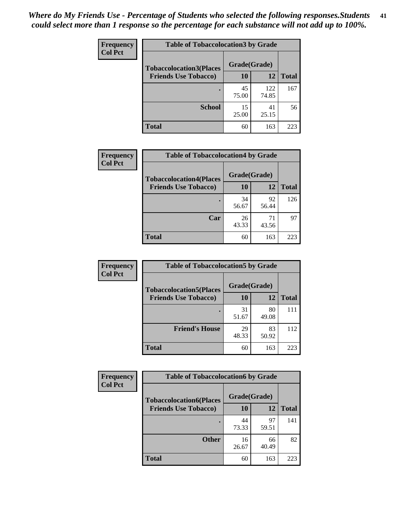| Frequency      | <b>Table of Tobaccolocation 3 by Grade</b> |              |              |              |  |
|----------------|--------------------------------------------|--------------|--------------|--------------|--|
| <b>Col Pct</b> | <b>Tobaccolocation3(Places</b>             | Grade(Grade) |              |              |  |
|                | <b>Friends Use Tobacco)</b>                | 10           | <b>12</b>    | <b>Total</b> |  |
|                | ٠                                          | 45<br>75.00  | 122<br>74.85 | 167          |  |
|                | <b>School</b>                              | 15<br>25.00  | 41<br>25.15  | 56           |  |
|                | <b>Total</b>                               | 60           | 163          | 223          |  |

| Frequency      | <b>Table of Tobaccolocation4 by Grade</b> |              |             |              |
|----------------|-------------------------------------------|--------------|-------------|--------------|
| <b>Col Pct</b> | <b>Tobaccolocation4(Places</b>            | Grade(Grade) |             |              |
|                | <b>Friends Use Tobacco)</b>               | 10           | 12          | <b>Total</b> |
|                |                                           | 34<br>56.67  | 92<br>56.44 | 126          |
|                | Car                                       | 26<br>43.33  | 71<br>43.56 | 97           |
|                | <b>Total</b>                              | 60           | 163         | 223          |

| Frequency<br><b>Col Pct</b> | <b>Table of Tobaccolocation5 by Grade</b> |              |             |              |
|-----------------------------|-------------------------------------------|--------------|-------------|--------------|
|                             | <b>Tobaccolocation5(Places</b>            | Grade(Grade) |             |              |
|                             | <b>Friends Use Tobacco)</b>               | 10           | <b>12</b>   | <b>Total</b> |
|                             |                                           | 31<br>51.67  | 80<br>49.08 | 111          |
|                             | <b>Friend's House</b>                     | 29<br>48.33  | 83<br>50.92 | 112          |
|                             | <b>Total</b>                              | 60           | 163         | 223          |

| <b>Frequency</b> | <b>Table of Tobaccolocation6 by Grade</b> |              |             |              |  |
|------------------|-------------------------------------------|--------------|-------------|--------------|--|
| <b>Col Pct</b>   | <b>Tobaccolocation6(Places</b>            | Grade(Grade) |             |              |  |
|                  | <b>Friends Use Tobacco)</b>               | 10           | 12          | <b>Total</b> |  |
|                  |                                           | 44<br>73.33  | 97<br>59.51 | 141          |  |
|                  | <b>Other</b>                              | 16<br>26.67  | 66<br>40.49 | 82           |  |
|                  | <b>Total</b>                              | 60           | 163         | 223          |  |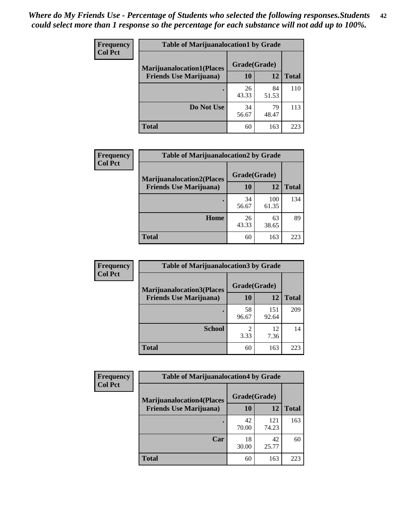| <b>Frequency</b> | <b>Table of Marijuanalocation1 by Grade</b> |              |             |              |
|------------------|---------------------------------------------|--------------|-------------|--------------|
| <b>Col Pct</b>   | <b>Marijuanalocation1(Places</b>            | Grade(Grade) |             |              |
|                  | <b>Friends Use Marijuana</b> )              | 10           | 12          | <b>Total</b> |
|                  |                                             | 26<br>43.33  | 84<br>51.53 | 110          |
|                  | Do Not Use                                  | 34<br>56.67  | 79<br>48.47 | 113          |
|                  | <b>Total</b>                                | 60           | 163         | 223          |

| <b>Frequency</b> | <b>Table of Marijuanalocation2 by Grade</b>                        |                    |              |              |
|------------------|--------------------------------------------------------------------|--------------------|--------------|--------------|
| <b>Col Pct</b>   | <b>Marijuanalocation2(Places</b><br><b>Friends Use Marijuana</b> ) | Grade(Grade)<br>10 | 12           | <b>Total</b> |
|                  |                                                                    | 34<br>56.67        | 100<br>61.35 | 134          |
|                  | Home                                                               | 26<br>43.33        | 63<br>38.65  | 89           |
|                  | <b>Total</b>                                                       | 60                 | 163          | 223          |

| Frequency      | <b>Table of Marijuanalocation3 by Grade</b> |              |              |              |
|----------------|---------------------------------------------|--------------|--------------|--------------|
| <b>Col Pct</b> | <b>Marijuanalocation3</b> (Places           | Grade(Grade) |              |              |
|                | <b>Friends Use Marijuana</b> )              | <b>10</b>    | 12           | <b>Total</b> |
|                |                                             | 58<br>96.67  | 151<br>92.64 | 209          |
|                | <b>School</b>                               | 2<br>3.33    | 12<br>7.36   | 14           |
|                | <b>Total</b>                                | 60           | 163          | 223          |

| <b>Frequency</b> | <b>Table of Marijuanalocation4 by Grade</b> |              |              |              |  |
|------------------|---------------------------------------------|--------------|--------------|--------------|--|
| <b>Col Pct</b>   | <b>Marijuanalocation4(Places</b>            | Grade(Grade) |              |              |  |
|                  | <b>Friends Use Marijuana</b> )              | <b>10</b>    | 12           | <b>Total</b> |  |
|                  |                                             | 42<br>70.00  | 121<br>74.23 | 163          |  |
|                  | Car                                         | 18<br>30.00  | 42<br>25.77  | 60           |  |
|                  | <b>Total</b>                                | 60           | 163          | 223          |  |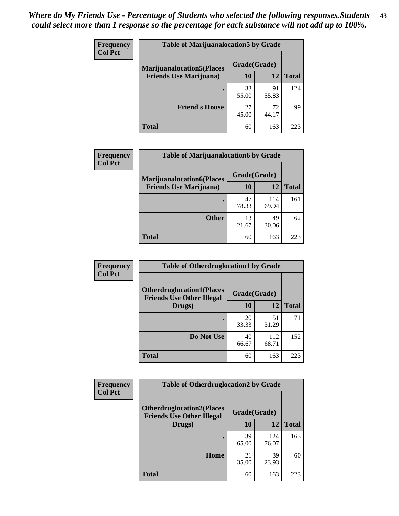| <b>Frequency</b> | <b>Table of Marijuanalocation5 by Grade</b> |              |             |                 |
|------------------|---------------------------------------------|--------------|-------------|-----------------|
| <b>Col Pct</b>   | <b>Marijuanalocation5</b> (Places           | Grade(Grade) |             |                 |
|                  | <b>Friends Use Marijuana</b> )              | 10           | 12          | <b>Total</b>    |
|                  |                                             | 33<br>55.00  | 91<br>55.83 | 124             |
|                  | <b>Friend's House</b>                       | 27<br>45.00  | 72<br>44.17 | 99              |
|                  | <b>Total</b>                                | 60           | 163         | 22 <sup>3</sup> |

| <b>Frequency</b> | <b>Table of Marijuanalocation6 by Grade</b>                        |                           |              |       |
|------------------|--------------------------------------------------------------------|---------------------------|--------------|-------|
| <b>Col Pct</b>   | <b>Marijuanalocation6(Places</b><br><b>Friends Use Marijuana</b> ) | Grade(Grade)<br><b>10</b> | 12           | Total |
|                  |                                                                    | 47<br>78.33               | 114<br>69.94 | 161   |
|                  | <b>Other</b>                                                       | 13<br>21.67               | 49<br>30.06  | 62    |
|                  | <b>Total</b>                                                       | 60                        | 163          | 223   |

| <b>Frequency</b> | <b>Table of Otherdruglocation1 by Grade</b>                          |              |              |              |
|------------------|----------------------------------------------------------------------|--------------|--------------|--------------|
| <b>Col Pct</b>   | <b>Otherdruglocation1(Places</b><br><b>Friends Use Other Illegal</b> | Grade(Grade) |              |              |
|                  | Drugs)                                                               | 10           | 12           | <b>Total</b> |
|                  |                                                                      | 20<br>33.33  | 51<br>31.29  | 71           |
|                  | Do Not Use                                                           | 40<br>66.67  | 112<br>68.71 | 152          |
|                  | <b>Total</b>                                                         | 60           | 163          | 223          |

| <b>Frequency</b> | <b>Table of Otherdruglocation2 by Grade</b>                          |              |              |              |
|------------------|----------------------------------------------------------------------|--------------|--------------|--------------|
| <b>Col Pct</b>   | <b>Otherdruglocation2(Places</b><br><b>Friends Use Other Illegal</b> | Grade(Grade) |              |              |
|                  | Drugs)                                                               | 10           | 12           | <b>Total</b> |
|                  |                                                                      | 39<br>65.00  | 124<br>76.07 | 163          |
|                  | <b>Home</b>                                                          | 21<br>35.00  | 39<br>23.93  | 60           |
|                  | <b>Total</b>                                                         | 60           | 163          | 223          |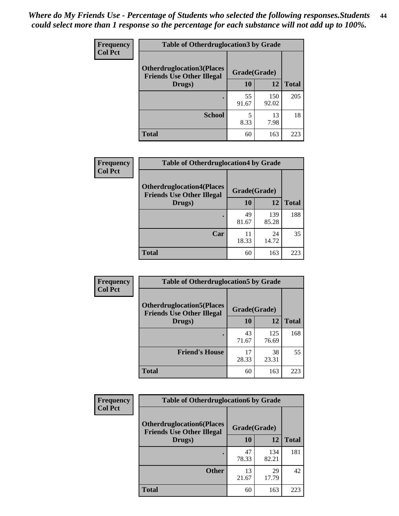| <b>Frequency</b> | <b>Table of Otherdruglocation 3 by Grade</b>                         |              |              |              |
|------------------|----------------------------------------------------------------------|--------------|--------------|--------------|
| <b>Col Pct</b>   | <b>Otherdruglocation3(Places</b><br><b>Friends Use Other Illegal</b> | Grade(Grade) |              |              |
|                  | Drugs)                                                               | 10           | 12           | <b>Total</b> |
|                  |                                                                      | 55<br>91.67  | 150<br>92.02 | 205          |
|                  | <b>School</b>                                                        | 8.33         | 13<br>7.98   | 18           |
|                  | <b>Total</b>                                                         | 60           | 163          | 223          |

| <b>Frequency</b> | <b>Table of Otherdruglocation4 by Grade</b>                          |              |              |              |
|------------------|----------------------------------------------------------------------|--------------|--------------|--------------|
| <b>Col Pct</b>   | <b>Otherdruglocation4(Places</b><br><b>Friends Use Other Illegal</b> | Grade(Grade) |              |              |
|                  | Drugs)                                                               | 10           | 12           | <b>Total</b> |
|                  |                                                                      | 49<br>81.67  | 139<br>85.28 | 188          |
|                  | Car                                                                  | 11<br>18.33  | 24<br>14.72  | 35           |
|                  | <b>Total</b>                                                         | 60           | 163          | 223          |

| <b>Frequency</b><br><b>Col Pct</b> | <b>Table of Otherdruglocation5 by Grade</b>                          |              |              |              |
|------------------------------------|----------------------------------------------------------------------|--------------|--------------|--------------|
|                                    | <b>Otherdruglocation5(Places</b><br><b>Friends Use Other Illegal</b> | Grade(Grade) |              |              |
|                                    | Drugs)                                                               | 10           | <b>12</b>    | <b>Total</b> |
|                                    |                                                                      | 43<br>71.67  | 125<br>76.69 | 168          |
|                                    | <b>Friend's House</b>                                                | 17<br>28.33  | 38<br>23.31  | 55           |
|                                    | <b>Total</b>                                                         | 60           | 163          | 223          |

| <b>Frequency</b> | <b>Table of Otherdruglocation6 by Grade</b>                          |              |              |              |
|------------------|----------------------------------------------------------------------|--------------|--------------|--------------|
| <b>Col Pct</b>   | <b>Otherdruglocation6(Places</b><br><b>Friends Use Other Illegal</b> | Grade(Grade) |              |              |
|                  | Drugs)                                                               | 10           | 12           | <b>Total</b> |
|                  |                                                                      | 47<br>78.33  | 134<br>82.21 | 181          |
|                  | <b>Other</b>                                                         | 13<br>21.67  | 29<br>17.79  | 42           |
|                  | <b>Total</b>                                                         | 60           | 163          | 223          |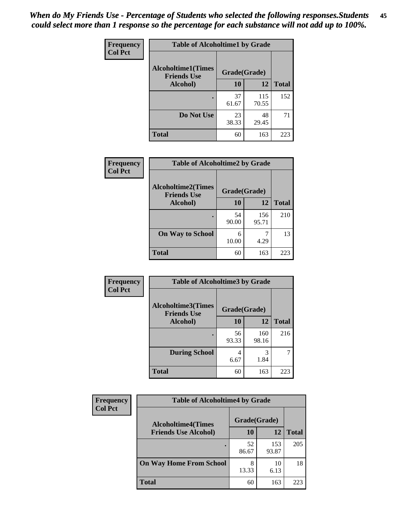| Frequency      | <b>Table of Alcoholtime1 by Grade</b>           |              |              |              |
|----------------|-------------------------------------------------|--------------|--------------|--------------|
| <b>Col Pct</b> | <b>Alcoholtime1(Times</b><br><b>Friends Use</b> | Grade(Grade) |              |              |
|                | Alcohol)                                        | <b>10</b>    | 12           | <b>Total</b> |
|                |                                                 | 37<br>61.67  | 115<br>70.55 | 152          |
|                | Do Not Use                                      | 23<br>38.33  | 48<br>29.45  | 71           |
|                | <b>Total</b>                                    | 60           | 163          | 223          |

| Frequency      | <b>Table of Alcoholtime2 by Grade</b>           |              |              |              |
|----------------|-------------------------------------------------|--------------|--------------|--------------|
| <b>Col Pct</b> | <b>Alcoholtime2(Times</b><br><b>Friends Use</b> | Grade(Grade) |              |              |
|                | Alcohol)                                        | 10           | 12           | <b>Total</b> |
|                |                                                 | 54<br>90.00  | 156<br>95.71 | 210          |
|                | <b>On Way to School</b>                         | 6<br>10.00   | 7<br>4.29    | 13           |
|                | <b>Total</b>                                    | 60           | 163          | 223          |

| Frequency<br><b>Col Pct</b> | <b>Table of Alcoholtime3 by Grade</b>           |              |              |              |
|-----------------------------|-------------------------------------------------|--------------|--------------|--------------|
|                             | <b>Alcoholtime3(Times</b><br><b>Friends Use</b> | Grade(Grade) |              |              |
|                             | Alcohol)                                        | 10           | 12           | <b>Total</b> |
|                             |                                                 | 56<br>93.33  | 160<br>98.16 | 216          |
|                             | <b>During School</b>                            | 4<br>6.67    | 3<br>1.84    | 7            |
|                             | <b>Total</b>                                    | 60           | 163          | 223          |

| <b>Frequency</b> | <b>Table of Alcoholtime4 by Grade</b> |                                           |              |              |  |
|------------------|---------------------------------------|-------------------------------------------|--------------|--------------|--|
| <b>Col Pct</b>   |                                       | Grade(Grade)<br><b>Alcoholtime4(Times</b> |              |              |  |
|                  | <b>Friends Use Alcohol)</b>           | 10                                        | 12           | <b>Total</b> |  |
|                  | ٠                                     | 52<br>86.67                               | 153<br>93.87 | 205          |  |
|                  | <b>On Way Home From School</b>        | 8<br>13.33                                | 10<br>6.13   | 18           |  |
|                  | <b>Total</b>                          | 60                                        | 163          | 223          |  |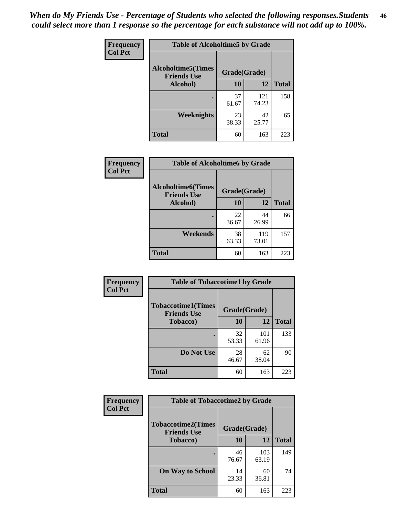*When do My Friends Use - Percentage of Students who selected the following responses.Students could select more than 1 response so the percentage for each substance will not add up to 100%.* **46**

| Frequency      | <b>Table of Alcoholtime5 by Grade</b>           |              |              |              |
|----------------|-------------------------------------------------|--------------|--------------|--------------|
| <b>Col Pct</b> | <b>Alcoholtime5(Times</b><br><b>Friends Use</b> | Grade(Grade) |              |              |
|                | Alcohol)                                        | 10           | 12           | <b>Total</b> |
|                |                                                 | 37<br>61.67  | 121<br>74.23 | 158          |
|                | Weeknights                                      | 23<br>38.33  | 42<br>25.77  | 65           |
|                | <b>Total</b>                                    | 60           | 163          | 223          |

| Frequency      | <b>Table of Alcoholtime6 by Grade</b>           |              |              |              |
|----------------|-------------------------------------------------|--------------|--------------|--------------|
| <b>Col Pct</b> | <b>Alcoholtime6(Times</b><br><b>Friends Use</b> | Grade(Grade) |              |              |
|                | Alcohol)                                        | 10           | 12           | <b>Total</b> |
|                |                                                 | 22<br>36.67  | 44<br>26.99  | 66           |
|                | Weekends                                        | 38<br>63.33  | 119<br>73.01 | 157          |
|                | <b>Total</b>                                    | 60           | 163          | 223          |

| <b>Frequency</b> | <b>Table of Tobaccotime1 by Grade</b>           |              |              |              |
|------------------|-------------------------------------------------|--------------|--------------|--------------|
| <b>Col Pct</b>   | <b>Tobaccotime1(Times</b><br><b>Friends Use</b> | Grade(Grade) |              |              |
|                  | <b>Tobacco</b> )                                | 10           | 12           | <b>Total</b> |
|                  |                                                 | 32<br>53.33  | 101<br>61.96 | 133          |
|                  | Do Not Use                                      | 28<br>46.67  | 62<br>38.04  | 90           |
|                  | <b>Total</b>                                    | 60           | 163          | 223          |

| <b>Frequency</b> | <b>Table of Tobaccotime2 by Grade</b>           |              |              |              |
|------------------|-------------------------------------------------|--------------|--------------|--------------|
| <b>Col Pct</b>   | <b>Tobaccotime2(Times</b><br><b>Friends Use</b> | Grade(Grade) |              |              |
|                  | Tobacco)                                        | 10           | 12           | <b>Total</b> |
|                  |                                                 | 46<br>76.67  | 103<br>63.19 | 149          |
|                  | <b>On Way to School</b>                         | 14<br>23.33  | 60<br>36.81  | 74           |
|                  | <b>Total</b>                                    | 60           | 163          | 223          |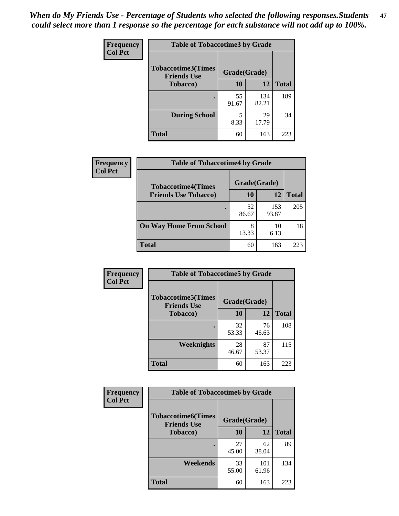*When do My Friends Use - Percentage of Students who selected the following responses.Students could select more than 1 response so the percentage for each substance will not add up to 100%.* **47**

| <b>Frequency</b> | <b>Table of Tobaccotime3 by Grade</b>           |              |              |              |  |
|------------------|-------------------------------------------------|--------------|--------------|--------------|--|
| <b>Col Pct</b>   | <b>Tobaccotime3(Times</b><br><b>Friends Use</b> | Grade(Grade) |              |              |  |
|                  | <b>Tobacco</b> )                                | 10           | 12           | <b>Total</b> |  |
|                  |                                                 | 55<br>91.67  | 134<br>82.21 | 189          |  |
|                  | <b>During School</b>                            | 5<br>8.33    | 29<br>17.79  | 34           |  |
|                  | <b>Total</b>                                    | 60           | 163          | 223          |  |

| <b>Frequency</b> | <b>Table of Tobaccotime4 by Grade</b> |              |              |              |
|------------------|---------------------------------------|--------------|--------------|--------------|
| <b>Col Pct</b>   | <b>Tobaccotime4(Times</b>             | Grade(Grade) |              |              |
|                  | <b>Friends Use Tobacco)</b>           | 10           | 12           | <b>Total</b> |
|                  |                                       | 52<br>86.67  | 153<br>93.87 | 205          |
|                  | <b>On Way Home From School</b>        | 8<br>13.33   | 10<br>6.13   | 18           |
|                  | <b>Total</b>                          | 60           | 163          | 223          |

| Frequency      | <b>Table of Tobaccotime5 by Grade</b>            |              |             |              |
|----------------|--------------------------------------------------|--------------|-------------|--------------|
| <b>Col Pct</b> | <b>Tobaccotime5</b> (Times<br><b>Friends Use</b> | Grade(Grade) |             |              |
|                | <b>Tobacco</b> )                                 | 10           | 12          | <b>Total</b> |
|                |                                                  | 32<br>53.33  | 76<br>46.63 | 108          |
|                | Weeknights                                       | 28<br>46.67  | 87<br>53.37 | 115          |
|                | <b>Total</b>                                     | 60           | 163         | 223          |

| Frequency<br><b>Col Pct</b> | <b>Table of Tobaccotime6 by Grade</b>                           |             |              |              |  |
|-----------------------------|-----------------------------------------------------------------|-------------|--------------|--------------|--|
|                             | <b>Tobaccotime6(Times</b><br>Grade(Grade)<br><b>Friends Use</b> |             |              |              |  |
|                             | <b>Tobacco</b> )                                                | 10          | 12           | <b>Total</b> |  |
|                             | ٠                                                               | 27<br>45.00 | 62<br>38.04  | 89           |  |
|                             | Weekends                                                        | 33<br>55.00 | 101<br>61.96 | 134          |  |
|                             | <b>Total</b>                                                    | 60          | 163          | 223          |  |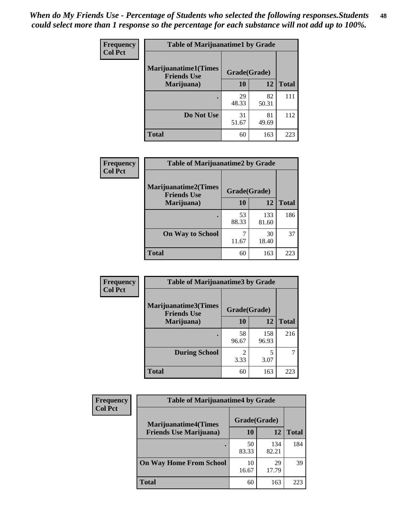| Frequency<br><b>Col Pct</b> | <b>Table of Marijuanatime1 by Grade</b>           |              |             |              |
|-----------------------------|---------------------------------------------------|--------------|-------------|--------------|
|                             | <b>Marijuanatime1(Times</b><br><b>Friends Use</b> | Grade(Grade) |             |              |
|                             | Marijuana)                                        | 10           | 12          | <b>Total</b> |
|                             |                                                   | 29<br>48.33  | 82<br>50.31 | 111          |
|                             | Do Not Use                                        | 31<br>51.67  | 81<br>49.69 | 112          |
|                             | <b>Total</b>                                      | 60           | 163         | 223          |

| Frequency      | <b>Table of Marijuanatime2 by Grade</b>           |              |              |              |
|----------------|---------------------------------------------------|--------------|--------------|--------------|
| <b>Col Pct</b> | <b>Marijuanatime2(Times</b><br><b>Friends Use</b> | Grade(Grade) |              |              |
|                | Marijuana)                                        | 10           | 12           | <b>Total</b> |
|                |                                                   | 53<br>88.33  | 133<br>81.60 | 186          |
|                | <b>On Way to School</b>                           | 7<br>11.67   | 30<br>18.40  | 37           |
|                | <b>Total</b>                                      | 60           | 163          | 223          |

| Frequency      | <b>Table of Marijuanatime3 by Grade</b>    |              |              |              |
|----------------|--------------------------------------------|--------------|--------------|--------------|
| <b>Col Pct</b> | Marijuanatime3(Times<br><b>Friends Use</b> | Grade(Grade) |              |              |
|                | Marijuana)                                 | 10           | 12           | <b>Total</b> |
|                |                                            | 58<br>96.67  | 158<br>96.93 | 216          |
|                | <b>During School</b>                       | 2<br>3.33    | 5<br>3.07    |              |
|                | <b>Total</b>                               | 60           | 163          | 223          |

| <b>Frequency</b> | <b>Table of Marijuanatime4 by Grade</b> |              |              |              |
|------------------|-----------------------------------------|--------------|--------------|--------------|
| <b>Col Pct</b>   | <b>Marijuanatime4(Times</b>             | Grade(Grade) |              |              |
|                  | <b>Friends Use Marijuana</b> )          | 10           | 12           | <b>Total</b> |
|                  |                                         | 50<br>83.33  | 134<br>82.21 | 184          |
|                  | <b>On Way Home From School</b>          | 10<br>16.67  | 29<br>17.79  | 39           |
|                  | <b>Total</b>                            | 60           | 163          | 223          |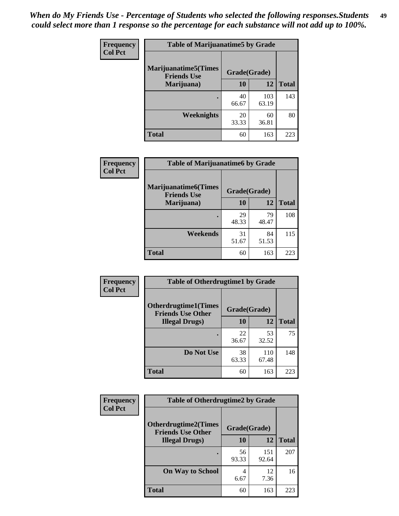| Frequency      | <b>Table of Marijuanatime5 by Grade</b>            |              |              |              |
|----------------|----------------------------------------------------|--------------|--------------|--------------|
| <b>Col Pct</b> | <b>Marijuanatime5</b> (Times<br><b>Friends Use</b> | Grade(Grade) |              |              |
|                | Marijuana)                                         | 10           | <b>12</b>    | <b>Total</b> |
|                |                                                    | 40<br>66.67  | 103<br>63.19 | 143          |
|                | Weeknights                                         | 20<br>33.33  | 60<br>36.81  | 80           |
|                | <b>Total</b>                                       | 60           | 163          | 223          |

| Frequency      | <b>Table of Marijuanatime6 by Grade</b>           |              |             |              |
|----------------|---------------------------------------------------|--------------|-------------|--------------|
| <b>Col Pct</b> | <b>Marijuanatime6(Times</b><br><b>Friends Use</b> | Grade(Grade) |             |              |
|                | Marijuana)                                        | 10           | 12          | <b>Total</b> |
|                |                                                   | 29<br>48.33  | 79<br>48.47 | 108          |
|                | Weekends                                          | 31<br>51.67  | 84<br>51.53 | 115          |
|                | <b>Total</b>                                      | 60           | 163         | 223          |

| Frequency      | <b>Table of Otherdrugtime1 by Grade</b>                 |              |              |              |
|----------------|---------------------------------------------------------|--------------|--------------|--------------|
| <b>Col Pct</b> | <b>Otherdrugtime1(Times</b><br><b>Friends Use Other</b> | Grade(Grade) |              |              |
|                | <b>Illegal Drugs</b> )                                  | 10           | 12           | <b>Total</b> |
|                |                                                         | 22<br>36.67  | 53<br>32.52  | 75           |
|                | Do Not Use                                              | 38<br>63.33  | 110<br>67.48 | 148          |
|                | Total                                                   | 60           | 163          | 223          |

| <b>Frequency</b><br><b>Col Pct</b> | <b>Table of Otherdrugtime2 by Grade</b>                 |              |              |              |
|------------------------------------|---------------------------------------------------------|--------------|--------------|--------------|
|                                    | <b>Otherdrugtime2(Times</b><br><b>Friends Use Other</b> | Grade(Grade) |              |              |
|                                    | <b>Illegal Drugs</b> )                                  | 10           | 12           | <b>Total</b> |
|                                    |                                                         | 56<br>93.33  | 151<br>92.64 | 207          |
|                                    | <b>On Way to School</b>                                 | 4<br>6.67    | 12<br>7.36   | 16           |
|                                    | Total                                                   | 60           | 163          | 223          |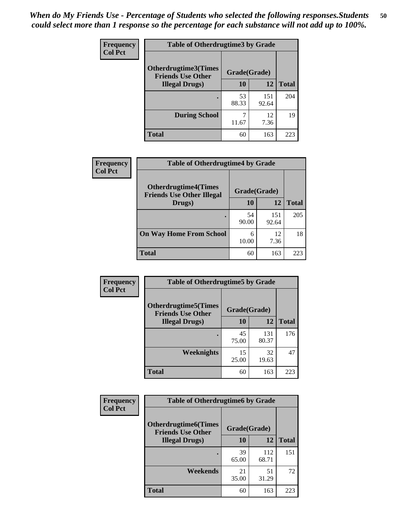| <b>Frequency</b> | <b>Table of Otherdrugtime3 by Grade</b>          |              |              |              |  |  |
|------------------|--------------------------------------------------|--------------|--------------|--------------|--|--|
| <b>Col Pct</b>   | Otherdrugtime3(Times<br><b>Friends Use Other</b> | Grade(Grade) |              |              |  |  |
|                  | <b>Illegal Drugs</b> )                           | 10           | 12           | <b>Total</b> |  |  |
|                  |                                                  | 53<br>88.33  | 151<br>92.64 | 204          |  |  |
|                  | <b>During School</b>                             | 11.67        | 12<br>7.36   | 19           |  |  |
|                  | Total                                            | 60           | 163          | 223          |  |  |

| Frequency      | <b>Table of Otherdrugtime4 by Grade</b>                         |              |              |              |  |  |
|----------------|-----------------------------------------------------------------|--------------|--------------|--------------|--|--|
| <b>Col Pct</b> | <b>Otherdrugtime4(Times</b><br><b>Friends Use Other Illegal</b> | Grade(Grade) |              |              |  |  |
|                | Drugs)                                                          | 10           | 12           | <b>Total</b> |  |  |
|                | $\bullet$                                                       | 54<br>90.00  | 151<br>92.64 | 205          |  |  |
|                | <b>On Way Home From School</b>                                  | 6<br>10.00   | 12<br>7.36   | 18           |  |  |
|                | <b>Total</b>                                                    | 60           | 163          | 223          |  |  |

| Frequency      | <b>Table of Otherdrugtime5 by Grade</b>                  |              |              |              |  |  |
|----------------|----------------------------------------------------------|--------------|--------------|--------------|--|--|
| <b>Col Pct</b> | <b>Otherdrugtime5</b> (Times<br><b>Friends Use Other</b> | Grade(Grade) |              |              |  |  |
|                | <b>Illegal Drugs</b> )                                   | 10           | 12           | <b>Total</b> |  |  |
|                |                                                          | 45<br>75.00  | 131<br>80.37 | 176          |  |  |
|                | Weeknights                                               | 15<br>25.00  | 32<br>19.63  | 47           |  |  |
|                | Total                                                    | 60           | 163          | 223          |  |  |

| Frequency      | <b>Table of Otherdrugtime6 by Grade</b>                 |              |              |              |  |  |
|----------------|---------------------------------------------------------|--------------|--------------|--------------|--|--|
| <b>Col Pct</b> | <b>Otherdrugtime6(Times</b><br><b>Friends Use Other</b> | Grade(Grade) |              |              |  |  |
|                | <b>Illegal Drugs</b> )                                  |              | 12           | <b>Total</b> |  |  |
|                |                                                         | 39<br>65.00  | 112<br>68.71 | 151          |  |  |
|                | Weekends                                                | 21<br>35.00  | 51<br>31.29  | 72           |  |  |
|                | <b>Total</b>                                            | 60           | 163          | 223          |  |  |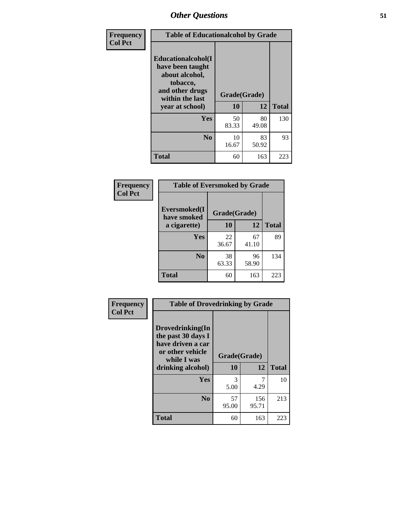| Frequency      | <b>Table of Educationalcohol by Grade</b>                                                                  |              |             |              |  |  |
|----------------|------------------------------------------------------------------------------------------------------------|--------------|-------------|--------------|--|--|
| <b>Col Pct</b> | Educationalcohol(I<br>have been taught<br>about alcohol,<br>tobacco,<br>and other drugs<br>within the last | Grade(Grade) |             |              |  |  |
|                | year at school)                                                                                            | 10           | 12          | <b>Total</b> |  |  |
|                | Yes                                                                                                        | 50<br>83.33  | 80<br>49.08 | 130          |  |  |
|                | N <sub>0</sub>                                                                                             | 10<br>16.67  | 83<br>50.92 | 93           |  |  |
|                | <b>Total</b>                                                                                               | 60           | 163         | 223          |  |  |

| Frequency      | <b>Table of Eversmoked by Grade</b>         |             |             |              |  |  |
|----------------|---------------------------------------------|-------------|-------------|--------------|--|--|
| <b>Col Pct</b> | Eversmoked(I<br>Grade(Grade)<br>have smoked |             |             |              |  |  |
|                | a cigarette)                                | 10          | 12          | <b>Total</b> |  |  |
|                | <b>Yes</b>                                  | 22<br>36.67 | 67<br>41.10 | 89           |  |  |
|                | N <sub>0</sub>                              | 38<br>63.33 | 96<br>58.90 | 134          |  |  |
|                | <b>Total</b>                                | 60          | 163         | 223          |  |  |

| Frequency      | <b>Table of Drovedrinking by Grade</b>                                                                              |                    |              |              |  |  |
|----------------|---------------------------------------------------------------------------------------------------------------------|--------------------|--------------|--------------|--|--|
| <b>Col Pct</b> | Drovedrinking(In<br>the past 30 days I<br>have driven a car<br>or other vehicle<br>while I was<br>drinking alcohol) | Grade(Grade)<br>10 | 12           | <b>Total</b> |  |  |
|                | <b>Yes</b>                                                                                                          | 3<br>5.00          | 4.29         | 10           |  |  |
|                | N <sub>0</sub>                                                                                                      | 57<br>95.00        | 156<br>95.71 | 213          |  |  |
|                | <b>Total</b>                                                                                                        | 60                 | 163          | 223          |  |  |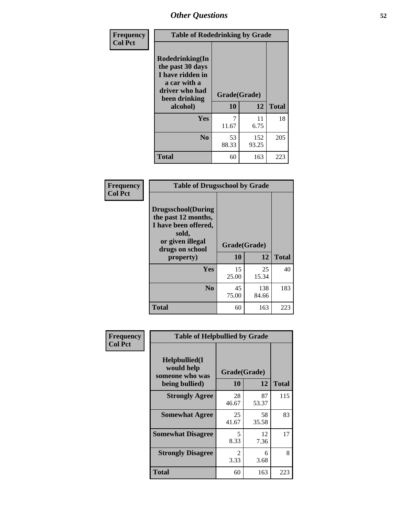| Frequency      | <b>Table of Rodedrinking by Grade</b>                                                                      |              |              |              |  |  |
|----------------|------------------------------------------------------------------------------------------------------------|--------------|--------------|--------------|--|--|
| <b>Col Pct</b> | Rodedrinking(In<br>the past 30 days<br>I have ridden in<br>a car with a<br>driver who had<br>been drinking | Grade(Grade) |              |              |  |  |
|                | alcohol)                                                                                                   | 10           | 12           | <b>Total</b> |  |  |
|                | <b>Yes</b>                                                                                                 | 11.67        | 11<br>6.75   | 18           |  |  |
|                | N <sub>0</sub>                                                                                             | 53<br>88.33  | 152<br>93.25 | 205          |  |  |
|                | <b>Total</b>                                                                                               | 60           | 163          | 223          |  |  |

#### **Frequency Col Pct**

| <b>Table of Drugsschool by Grade</b>                                                                                      |              |              |              |  |  |  |
|---------------------------------------------------------------------------------------------------------------------------|--------------|--------------|--------------|--|--|--|
| <b>Drugsschool</b> (During<br>the past 12 months,<br>I have been offered,<br>sold,<br>or given illegal<br>drugs on school | Grade(Grade) |              |              |  |  |  |
| property)                                                                                                                 | 10           | 12           | <b>Total</b> |  |  |  |
| Yes                                                                                                                       | 15<br>25.00  | 25<br>15.34  | 40           |  |  |  |
| N <sub>0</sub>                                                                                                            | 45<br>75.00  | 138<br>84.66 | 183          |  |  |  |
| <b>Total</b>                                                                                                              | 60           | 163          | 223          |  |  |  |

| Frequency      | <b>Table of Helpbullied by Grade</b>                 |                    |             |              |  |  |
|----------------|------------------------------------------------------|--------------------|-------------|--------------|--|--|
| <b>Col Pct</b> | $Helpb$ ullied $(I$<br>would help<br>someone who was | Grade(Grade)<br>10 | 12          | <b>Total</b> |  |  |
|                | being bullied)                                       |                    |             |              |  |  |
|                | <b>Strongly Agree</b>                                | 28<br>46.67        | 87<br>53.37 | 115          |  |  |
|                | <b>Somewhat Agree</b>                                | 25<br>41.67        | 58<br>35.58 | 83           |  |  |
|                | <b>Somewhat Disagree</b>                             | 5<br>8.33          | 12<br>7.36  | 17           |  |  |
|                | <b>Strongly Disagree</b>                             | 2<br>3.33          | 6<br>3.68   | 8            |  |  |
|                | <b>Total</b>                                         | 60                 | 163         | 223          |  |  |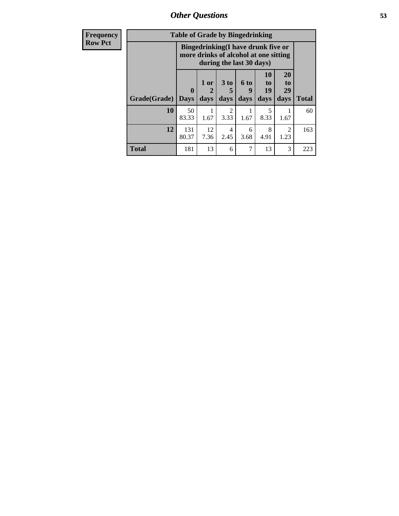*Other Questions* **53**

| <b>Frequency</b> | <b>Table of Grade by Bingedrinking</b> |                         |                                                                             |                              |                              |                           |                        |              |
|------------------|----------------------------------------|-------------------------|-----------------------------------------------------------------------------|------------------------------|------------------------------|---------------------------|------------------------|--------------|
| <b>Row Pct</b>   |                                        |                         | Bingedrinking(I have drunk five or<br>more drinks of alcohol at one sitting | during the last 30 days)     |                              |                           |                        |              |
|                  | Grade(Grade)                           | $\bf{0}$<br><b>Days</b> | 1 or<br>days                                                                | 3 <sub>to</sub><br>5<br>days | 6 <sup>to</sup><br>9<br>days | 10<br>to to<br>19<br>days | 20<br>to<br>29<br>days | <b>Total</b> |
|                  | 10                                     | 50<br>83.33             | 1.67                                                                        | $\overline{2}$<br>3.33       | 1.67                         | 8.33                      | 1.67                   | 60           |
|                  | 12                                     | 131<br>80.37            | 12<br>7.36                                                                  | 4<br>2.45                    | 6<br>3.68                    | 8<br>4.91                 | 2<br>1.23              | 163          |
|                  | <b>Total</b>                           | 181                     | 13                                                                          | 6                            | 7                            | 13                        | 3                      | 223          |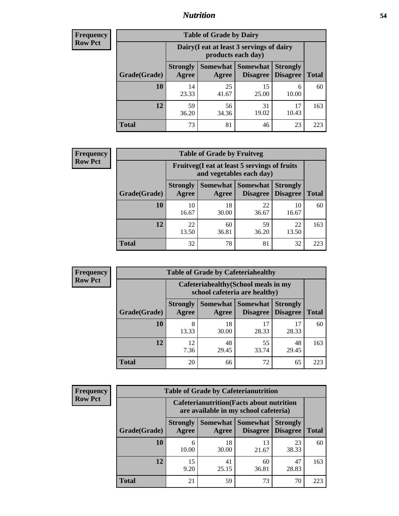### *Nutrition* **54**

| <b>Frequency</b> |
|------------------|
| Row Pct          |

| <b>Table of Grade by Dairy</b> |                                                                                                                    |                                                                 |             |             |     |  |  |  |
|--------------------------------|--------------------------------------------------------------------------------------------------------------------|-----------------------------------------------------------------|-------------|-------------|-----|--|--|--|
|                                |                                                                                                                    | Dairy (I eat at least 3 servings of dairy<br>products each day) |             |             |     |  |  |  |
| Grade(Grade)                   | Somewhat<br><b>Somewhat</b><br><b>Strongly</b><br><b>Strongly</b><br><b>Disagree</b><br>Disagree<br>Agree<br>Agree |                                                                 |             |             |     |  |  |  |
| 10                             | 14<br>23.33                                                                                                        | 25<br>41.67                                                     | 15<br>25.00 | 6<br>10.00  | 60  |  |  |  |
| 12                             | 59<br>36.20                                                                                                        | 56<br>34.36                                                     | 31<br>19.02 | 17<br>10.43 | 163 |  |  |  |
| <b>Total</b>                   | 73                                                                                                                 | 81                                                              | 46          | 23          | 223 |  |  |  |

| <b>Frequency</b> |
|------------------|
| <b>Row Pct</b>   |

| y | <b>Table of Grade by Fruitveg</b> |                          |                                                                          |                             |                                    |              |  |  |
|---|-----------------------------------|--------------------------|--------------------------------------------------------------------------|-----------------------------|------------------------------------|--------------|--|--|
|   |                                   |                          | Fruitveg(I eat at least 5 servings of fruits<br>and vegetables each day) |                             |                                    |              |  |  |
|   | Grade(Grade)                      | <b>Strongly</b><br>Agree | Somewhat  <br>Agree                                                      | <b>Somewhat</b><br>Disagree | <b>Strongly</b><br><b>Disagree</b> | <b>Total</b> |  |  |
|   | 10                                | 10<br>16.67              | 18<br>30.00                                                              | 22<br>36.67                 | 10<br>16.67                        | 60           |  |  |
|   | 12                                | 22<br>13.50              | 60<br>36.81                                                              | 59<br>36.20                 | 22<br>13.50                        | 163          |  |  |
|   | <b>Total</b>                      | 32                       | 78                                                                       | 81                          | 32                                 | 223          |  |  |

| <b>Frequency</b> | <b>Table of Grade by Cafeteriahealthy</b> |                                                                       |             |                                          |                                    |              |
|------------------|-------------------------------------------|-----------------------------------------------------------------------|-------------|------------------------------------------|------------------------------------|--------------|
| <b>Row Pct</b>   |                                           | Cafeteriahealthy (School meals in my<br>school cafeteria are healthy) |             |                                          |                                    |              |
|                  | Grade(Grade)                              | <b>Strongly</b><br>Agree                                              | Agree       | Somewhat   Somewhat  <br><b>Disagree</b> | <b>Strongly</b><br><b>Disagree</b> | <b>Total</b> |
|                  | 10                                        | 8<br>13.33                                                            | 18<br>30.00 | 28.33                                    | 17<br>28.33                        | 60           |
|                  | 12                                        | 12<br>7.36                                                            | 48<br>29.45 | 55<br>33.74                              | 48<br>29.45                        | 163          |
|                  | Total                                     | 20                                                                    | 66          | 72                                       | 65                                 | 223          |

| <b>Frequency</b> |
|------------------|
| <b>Row Pct</b>   |

| <b>Table of Grade by Cafeterianutrition</b>                                               |                          |                   |                             |                                    |              |  |  |
|-------------------------------------------------------------------------------------------|--------------------------|-------------------|-----------------------------|------------------------------------|--------------|--|--|
| <b>Cafeterianutrition</b> (Facts about nutrition<br>are available in my school cafeteria) |                          |                   |                             |                                    |              |  |  |
| Grade(Grade)                                                                              | <b>Strongly</b><br>Agree | Somewhat<br>Agree | <b>Somewhat</b><br>Disagree | <b>Strongly</b><br><b>Disagree</b> | <b>Total</b> |  |  |
| 10                                                                                        | 6<br>10.00               | 18<br>30.00       | 13<br>21.67                 | 23<br>38.33                        | 60           |  |  |
| 12                                                                                        | 15<br>9.20               | 41<br>25.15       | 60<br>36.81                 | 47<br>28.83                        | 163          |  |  |
| <b>Total</b>                                                                              | 21                       | 59                | 73                          | 70                                 | 223          |  |  |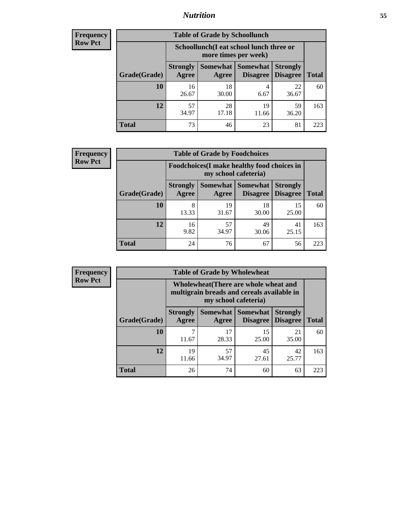### *Nutrition* **55**

| <b>Frequency</b> |
|------------------|
| Row Pct          |

| <b>Table of Grade by Schoollunch</b> |                          |                                                                                                          |             |             |     |  |  |  |
|--------------------------------------|--------------------------|----------------------------------------------------------------------------------------------------------|-------------|-------------|-----|--|--|--|
|                                      |                          | Schoollunch(I eat school lunch three or<br>more times per week)                                          |             |             |     |  |  |  |
| Grade(Grade)                         | <b>Strongly</b><br>Agree | Somewhat  <br><b>Somewhat</b><br><b>Strongly</b><br><b>Disagree</b><br>Disagree<br><b>Total</b><br>Agree |             |             |     |  |  |  |
| 10                                   | 16<br>26.67              | 18<br>30.00                                                                                              | 4<br>6.67   | 22<br>36.67 | 60  |  |  |  |
| 12                                   | 57<br>34.97              | 28<br>17.18                                                                                              | 19<br>11.66 | 59<br>36.20 | 163 |  |  |  |
| <b>Total</b>                         | 73                       | 46                                                                                                       | 23          | 81          | 223 |  |  |  |

| <b>Frequency</b> |  |
|------------------|--|
| <b>Row Pct</b>   |  |

| y | <b>Table of Grade by Foodchoices</b> |                                                                     |                   |                             |                                    |              |  |  |  |
|---|--------------------------------------|---------------------------------------------------------------------|-------------------|-----------------------------|------------------------------------|--------------|--|--|--|
|   |                                      | Foodchoices (I make healthy food choices in<br>my school cafeteria) |                   |                             |                                    |              |  |  |  |
|   | Grade(Grade)                         | <b>Strongly</b><br>Agree                                            | Somewhat<br>Agree | <b>Somewhat</b><br>Disagree | <b>Strongly</b><br><b>Disagree</b> | <b>Total</b> |  |  |  |
|   | 10                                   | 8<br>13.33                                                          | 19<br>31.67       | 18<br>30.00                 | 15<br>25.00                        | 60           |  |  |  |
|   | 12                                   | 16<br>9.82                                                          | 57<br>34.97       | 49<br>30.06                 | 41<br>25.15                        | 163          |  |  |  |
|   | <b>Total</b>                         | 24                                                                  | 76                | 67                          | 56                                 | 223          |  |  |  |

| <b>Frequency</b> | <b>Table of Grade by Wholewheat</b> |                                                                                                             |             |                                        |                                    |              |  |
|------------------|-------------------------------------|-------------------------------------------------------------------------------------------------------------|-------------|----------------------------------------|------------------------------------|--------------|--|
| <b>Row Pct</b>   |                                     | Wholewheat (There are whole wheat and<br>multigrain breads and cereals available in<br>my school cafeteria) |             |                                        |                                    |              |  |
|                  | Grade(Grade)                        | <b>Strongly</b><br>Agree                                                                                    | Agree       | Somewhat   Somewhat<br><b>Disagree</b> | <b>Strongly</b><br><b>Disagree</b> | <b>Total</b> |  |
|                  | 10                                  | 11.67                                                                                                       | 17<br>28.33 | 15<br>25.00                            | 21<br>35.00                        | 60           |  |
|                  | 12                                  | 19<br>11.66                                                                                                 | 57<br>34.97 | 45<br>27.61                            | 42<br>25.77                        | 163          |  |
|                  | <b>Total</b>                        | 26                                                                                                          | 74          | 60                                     | 63                                 | 223          |  |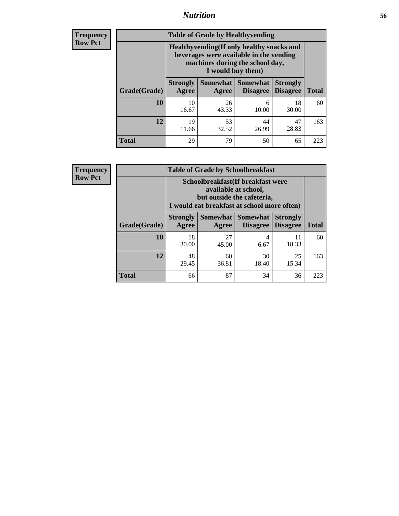### *Nutrition* **56**

**Frequency Row Pct**

| <b>Table of Grade by Healthyvending</b> |                                                                                                                                               |                          |                                    |                                    |              |  |
|-----------------------------------------|-----------------------------------------------------------------------------------------------------------------------------------------------|--------------------------|------------------------------------|------------------------------------|--------------|--|
|                                         | Healthyvending (If only healthy snacks and<br>beverages were available in the vending<br>machines during the school day,<br>I would buy them) |                          |                                    |                                    |              |  |
| Grade(Grade)                            | <b>Strongly</b><br>Agree                                                                                                                      | <b>Somewhat</b><br>Agree | <b>Somewhat</b><br><b>Disagree</b> | <b>Strongly</b><br><b>Disagree</b> | <b>Total</b> |  |
| 10                                      | 10<br>16.67                                                                                                                                   | 26<br>43.33              | 6<br>10.00                         | 18<br>30.00                        | 60           |  |
| 12                                      | 19<br>11.66                                                                                                                                   | 53<br>32.52              | 44<br>26.99                        | 47<br>28.83                        | 163          |  |
| <b>Total</b>                            | 29                                                                                                                                            | 79                       | 50                                 | 65                                 | 223          |  |

**Frequency Row Pct**

| <b>Table of Grade by Schoolbreakfast</b> |                                                                                                                                         |             |                               |                                    |              |  |
|------------------------------------------|-----------------------------------------------------------------------------------------------------------------------------------------|-------------|-------------------------------|------------------------------------|--------------|--|
|                                          | Schoolbreakfast (If breakfast were<br>available at school,<br>but outside the cafeteria,<br>I would eat breakfast at school more often) |             |                               |                                    |              |  |
| Grade(Grade)                             | <b>Strongly</b><br><b>Agree</b>                                                                                                         | Agree       | Somewhat Somewhat<br>Disagree | <b>Strongly</b><br><b>Disagree</b> | <b>Total</b> |  |
| 10                                       | 18<br>30.00                                                                                                                             | 27<br>45.00 | 4<br>6.67                     | 11<br>18.33                        | 60           |  |
| 12                                       | 48<br>29.45                                                                                                                             | 60<br>36.81 | 30<br>18.40                   | 25<br>15.34                        | 163          |  |
| <b>Total</b>                             | 66                                                                                                                                      | 87          | 34                            | 36                                 | 223          |  |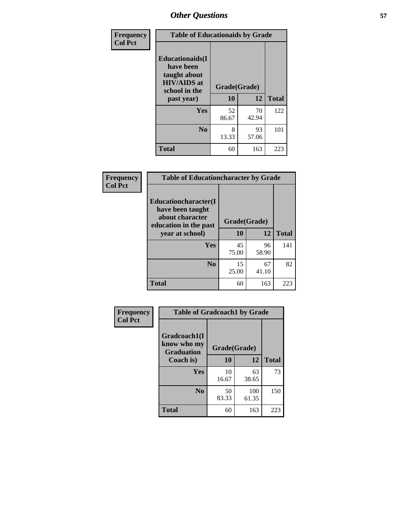| Frequency<br><b>Col Pct</b> | <b>Table of Educationaids by Grade</b>                                                                    |                    |             |              |
|-----------------------------|-----------------------------------------------------------------------------------------------------------|--------------------|-------------|--------------|
|                             | <b>Educationaids</b> (I<br>have been<br>taught about<br><b>HIV/AIDS</b> at<br>school in the<br>past year) | Grade(Grade)<br>10 | 12          | <b>Total</b> |
|                             | <b>Yes</b>                                                                                                | 52<br>86.67        | 70<br>42.94 | 122          |
|                             | N <sub>0</sub>                                                                                            | 8<br>13.33         | 93<br>57.06 | 101          |
|                             | <b>Total</b>                                                                                              | 60                 | 163         | 223          |

| Frequency      | <b>Table of Educationcharacter by Grade</b>                 |              |             |              |
|----------------|-------------------------------------------------------------|--------------|-------------|--------------|
| <b>Col Pct</b> | Educationcharacter(I<br>have been taught<br>about character |              |             |              |
|                | education in the past                                       | Grade(Grade) |             |              |
|                | year at school)                                             | 10           | 12          | <b>Total</b> |
|                | Yes                                                         | 45<br>75.00  | 96<br>58.90 | 141          |
|                | N <sub>0</sub>                                              | 15<br>25.00  | 67<br>41.10 | 82           |
|                | <b>Total</b>                                                | 60           | 163         | 223          |

| Frequency      | <b>Table of Gradcoach1 by Grade</b>              |              |              |              |
|----------------|--------------------------------------------------|--------------|--------------|--------------|
| <b>Col Pct</b> | Gradcoach1(I<br>know who my<br><b>Graduation</b> | Grade(Grade) |              |              |
|                | Coach is)                                        | 10           | 12           | <b>Total</b> |
|                | Yes                                              | 10<br>16.67  | 63<br>38.65  | 73           |
|                | N <sub>0</sub>                                   | 50<br>83.33  | 100<br>61.35 | 150          |
|                | <b>Total</b>                                     | 60           | 163          | 223          |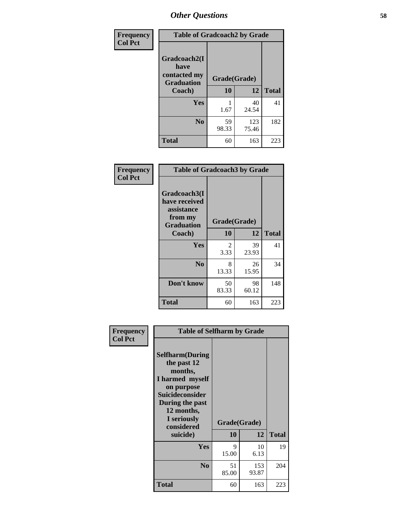| Frequency      | <b>Table of Gradcoach2 by Grade</b> |              |              |              |
|----------------|-------------------------------------|--------------|--------------|--------------|
| <b>Col Pct</b> | Gradcoach2(I<br>have                |              |              |              |
|                | contacted my<br><b>Graduation</b>   | Grade(Grade) |              |              |
|                | Coach)                              | 10           | 12           | <b>Total</b> |
|                | Yes                                 | 1.67         | 40<br>24.54  | 41           |
|                | N <sub>0</sub>                      | 59<br>98.33  | 123<br>75.46 | 182          |
|                | <b>Total</b>                        | 60           | 163          | 223          |

| <b>Frequency</b><br><b>Col Pct</b> | <b>Table of Gradcoach3 by Grade</b>                    |              |             |              |
|------------------------------------|--------------------------------------------------------|--------------|-------------|--------------|
|                                    | Gradcoach3(I<br>have received<br>assistance<br>from my | Grade(Grade) |             |              |
|                                    | <b>Graduation</b><br>Coach)                            | 10           | 12          | <b>Total</b> |
|                                    | Yes                                                    | 2<br>3.33    | 39<br>23.93 | 41           |
|                                    | N <sub>0</sub>                                         | 8<br>13.33   | 26<br>15.95 | 34           |
|                                    | Don't know                                             | 50<br>83.33  | 98<br>60.12 | 148          |
|                                    | <b>Total</b>                                           | 60           | 163         | 223          |

| Frequency      | <b>Table of Selfharm by Grade</b>                                                                                                                                                      |             |                    |              |
|----------------|----------------------------------------------------------------------------------------------------------------------------------------------------------------------------------------|-------------|--------------------|--------------|
| <b>Col Pct</b> | <b>Selfharm</b> (During<br>the past 12<br>months,<br>I harmed myself<br>on purpose<br><b>Suicideconsider</b><br>During the past<br>12 months,<br>I seriously<br>considered<br>suicide) | 10          | Grade(Grade)<br>12 | <b>Total</b> |
|                | <b>Yes</b>                                                                                                                                                                             | 9<br>15.00  | 10<br>6.13         | 19           |
|                | N <sub>0</sub>                                                                                                                                                                         | 51<br>85.00 | 153<br>93.87       | 204          |
|                | <b>Total</b>                                                                                                                                                                           | 60          | 163                | 223          |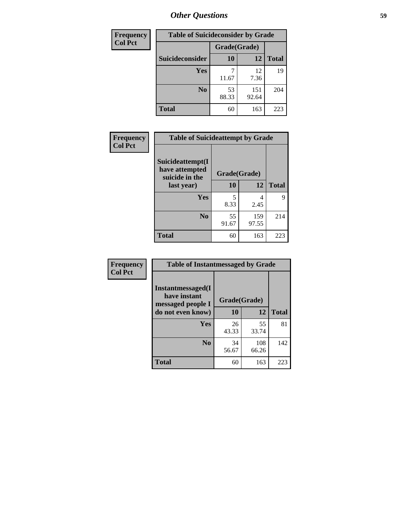| <b>Frequency</b> | <b>Table of Suicideconsider by Grade</b> |              |              |              |
|------------------|------------------------------------------|--------------|--------------|--------------|
| <b>Col Pct</b>   |                                          | Grade(Grade) |              |              |
|                  | Suicideconsider                          | <b>10</b>    | 12           | <b>Total</b> |
|                  | <b>Yes</b>                               | 11.67        | 12<br>7.36   | 19           |
|                  | N <sub>0</sub>                           | 53<br>88.33  | 151<br>92.64 | 204          |
|                  | <b>Total</b>                             | 60           | 163          | 223          |

| Frequency      | <b>Table of Suicideattempt by Grade</b>              |              |              |              |
|----------------|------------------------------------------------------|--------------|--------------|--------------|
| <b>Col Pct</b> | Suicideattempt(I<br>have attempted<br>suicide in the | Grade(Grade) |              |              |
|                | last year)                                           | <b>10</b>    | 12           | <b>Total</b> |
|                | Yes                                                  | 5<br>8.33    | 4<br>2.45    | 9            |
|                | N <sub>0</sub>                                       | 55<br>91.67  | 159<br>97.55 | 214          |
|                | <b>Total</b>                                         | 60           | 163          | 223          |

| Frequency      | <b>Table of Instantmessaged by Grade</b>               |              |              |              |
|----------------|--------------------------------------------------------|--------------|--------------|--------------|
| <b>Col Pct</b> | Instantmessaged(I<br>have instant<br>messaged people I | Grade(Grade) |              |              |
|                | do not even know)                                      | 10           | 12           | <b>Total</b> |
|                | Yes                                                    | 26<br>43.33  | 55<br>33.74  | 81           |
|                | N <sub>0</sub>                                         | 34<br>56.67  | 108<br>66.26 | 142          |
|                | <b>Total</b>                                           | 60           | 163          | 223          |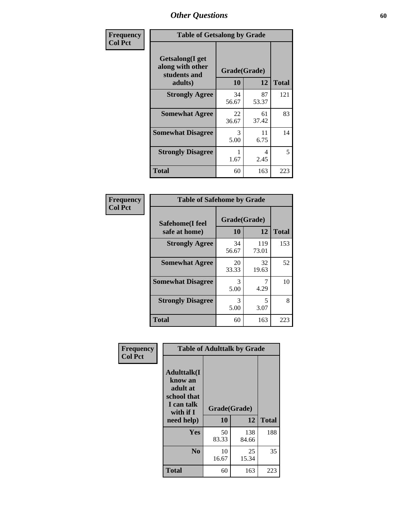| Frequency      | <b>Table of Getsalong by Grade</b>                          |              |             |              |
|----------------|-------------------------------------------------------------|--------------|-------------|--------------|
| <b>Col Pct</b> | <b>Getsalong</b> (I get<br>along with other<br>students and | Grade(Grade) |             |              |
|                | adults)                                                     | 10           | 12          | <b>Total</b> |
|                | <b>Strongly Agree</b>                                       | 34<br>56.67  | 87<br>53.37 | 121          |
|                | <b>Somewhat Agree</b>                                       | 22<br>36.67  | 61<br>37.42 | 83           |
|                | <b>Somewhat Disagree</b>                                    | 3<br>5.00    | 11<br>6.75  | 14           |
|                | <b>Strongly Disagree</b>                                    | 1.67         | 4<br>2.45   | 5            |
|                | <b>Total</b>                                                | 60           | 163         | 223          |

| Frequency      | <b>Table of Safehome by Grade</b> |                    |              |              |
|----------------|-----------------------------------|--------------------|--------------|--------------|
| <b>Col Pct</b> | Safehome(I feel<br>safe at home)  | Grade(Grade)<br>10 | 12           | <b>Total</b> |
|                | <b>Strongly Agree</b>             | 34<br>56.67        | 119<br>73.01 | 153          |
|                | <b>Somewhat Agree</b>             | 20<br>33.33        | 32<br>19.63  | 52           |
|                | <b>Somewhat Disagree</b>          | 3<br>5.00          | 4.29         | 10           |
|                | <b>Strongly Disagree</b>          | 3<br>5.00          | 5<br>3.07    | 8            |
|                | <b>Total</b>                      | 60                 | 163          | 223          |

| Frequency      |                                                                                     | <b>Table of Adulttalk by Grade</b> |              |              |  |  |  |  |
|----------------|-------------------------------------------------------------------------------------|------------------------------------|--------------|--------------|--|--|--|--|
| <b>Col Pct</b> | <b>Adulttalk(I</b><br>know an<br>adult at<br>school that<br>I can talk<br>with if I | Grade(Grade)                       |              |              |  |  |  |  |
|                | need help)                                                                          | 10                                 | 12           | <b>Total</b> |  |  |  |  |
|                | <b>Yes</b>                                                                          | 50<br>83.33                        | 138<br>84.66 | 188          |  |  |  |  |
|                | N <sub>0</sub>                                                                      | 10<br>16.67                        | 25<br>15.34  | 35           |  |  |  |  |
|                | <b>Total</b>                                                                        | 60                                 | 163          | 223          |  |  |  |  |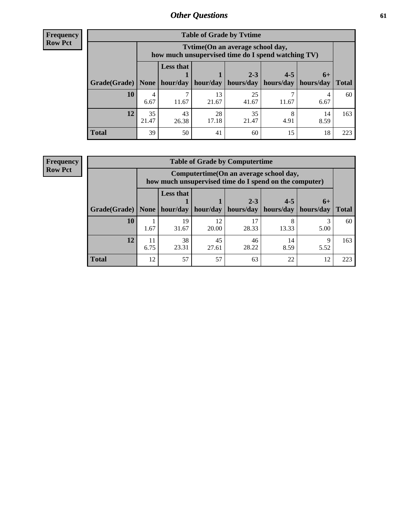**Frequency Row Pct**

| <b>Table of Grade by Tytime</b> |             |                                                                                                           |             |             |           |            |              |  |  |  |
|---------------------------------|-------------|-----------------------------------------------------------------------------------------------------------|-------------|-------------|-----------|------------|--------------|--|--|--|
|                                 |             | Tvtime(On an average school day,<br>how much unsupervised time do I spend watching TV)                    |             |             |           |            |              |  |  |  |
| Grade(Grade)   None             |             | <b>Less that</b><br>$2 - 3$<br>$4 - 5$<br>$6+$<br>hour/day   hour/day   hours/day   hours/day   hours/day |             |             |           |            |              |  |  |  |
|                                 |             |                                                                                                           |             |             |           |            | <b>Total</b> |  |  |  |
| <b>10</b>                       | 4<br>6.67   | 11.67                                                                                                     | 13<br>21.67 | 25<br>41.67 | 11.67     | 6.67       | 60           |  |  |  |
| 12                              | 35<br>21.47 | 43<br>26.38                                                                                               | 28<br>17.18 | 35<br>21.47 | 8<br>4.91 | 14<br>8.59 | 163          |  |  |  |
| <b>Total</b>                    | 39          | 50                                                                                                        | 41          | 60          | 15        | 18         | 223          |  |  |  |

**Frequency Row Pct**

| <b>Table of Grade by Computertime</b> |            |                                                                                                   |             |                      |                      |                   |              |  |  |
|---------------------------------------|------------|---------------------------------------------------------------------------------------------------|-------------|----------------------|----------------------|-------------------|--------------|--|--|
|                                       |            | Computertime (On an average school day,<br>how much unsupervised time do I spend on the computer) |             |                      |                      |                   |              |  |  |
| Grade(Grade)                          | None $ $   | <b>Less that</b><br>hour/day                                                                      | hour/day    | $2 - 3$<br>hours/day | $4 - 5$<br>hours/day | $6+$<br>hours/day | <b>Total</b> |  |  |
| 10                                    | 1.67       | 19<br>31.67                                                                                       | 12<br>20.00 | 17<br>28.33          | 13.33                | 5.00              | 60           |  |  |
| 12                                    | 11<br>6.75 | 38<br>45<br>46<br>14<br>Q<br>23.31<br>28.22<br>8.59<br>27.61<br>5.52                              |             |                      |                      |                   |              |  |  |
| <b>Total</b>                          | 12         | 57                                                                                                | 57          | 63                   | 22                   | 12                | 223          |  |  |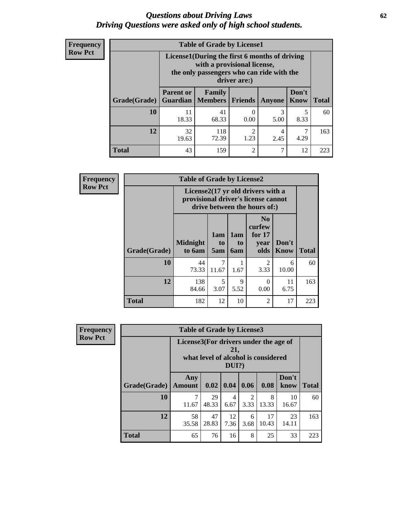#### *Questions about Driving Laws* **62** *Driving Questions were asked only of high school students.*

| <b>Frequency</b> |
|------------------|
| <b>Row Pct</b>   |

| <b>Table of Grade by License1</b> |                                                               |                                                                                                                                           |                |           |               |              |  |  |  |
|-----------------------------------|---------------------------------------------------------------|-------------------------------------------------------------------------------------------------------------------------------------------|----------------|-----------|---------------|--------------|--|--|--|
|                                   |                                                               | License1(During the first 6 months of driving<br>with a provisional license,<br>the only passengers who can ride with the<br>driver are:) |                |           |               |              |  |  |  |
| Grade(Grade)                      | <b>Parent or</b><br>Guardian                                  | Family<br>  Members                                                                                                                       | <b>Friends</b> | Anyone    | Don't<br>Know | <b>Total</b> |  |  |  |
| 10                                | 11<br>18.33                                                   | 41<br>68.33                                                                                                                               | 0.00           | 3<br>5.00 | 5<br>8.33     | 60           |  |  |  |
| 12                                | 32<br>118<br>2<br>4<br>72.39<br>1.23<br>2.45<br>4.29<br>19.63 |                                                                                                                                           |                |           |               |              |  |  |  |
| Total                             | 43                                                            | 159                                                                                                                                       | 2              | 7         | 12            | 223          |  |  |  |

| Frequency      |              | <b>Table of Grade by License2</b>                                                                        |                  |                  |                                                      |                      |              |  |  |
|----------------|--------------|----------------------------------------------------------------------------------------------------------|------------------|------------------|------------------------------------------------------|----------------------|--------------|--|--|
| <b>Row Pct</b> |              | License2(17 yr old drivers with a<br>provisional driver's license cannot<br>drive between the hours of:) |                  |                  |                                                      |                      |              |  |  |
|                | Grade(Grade) | <b>Midnight</b><br>to 6am                                                                                | 1am<br>to<br>5am | 1am<br>to<br>6am | N <sub>0</sub><br>curfew<br>for $17$<br>year<br>olds | Don't<br><b>Know</b> | <b>Total</b> |  |  |
|                | 10           | 44<br>73.33                                                                                              | 7<br>11.67       | 1.67             | $\overline{2}$<br>3.33                               | 6<br>10.00           | 60           |  |  |
|                | 12           | 138<br>84.66                                                                                             | 5<br>3.07        | 9<br>5.52        | 0<br>0.00                                            | 11<br>6.75           | 163          |  |  |
|                | <b>Total</b> | 182                                                                                                      | 12               | 10               | $\overline{2}$                                       | 17                   | 223          |  |  |

| Frequency      | <b>Table of Grade by License3</b> |                                       |             |                 |                        |                                     |               |              |
|----------------|-----------------------------------|---------------------------------------|-------------|-----------------|------------------------|-------------------------------------|---------------|--------------|
| <b>Row Pct</b> |                                   | License3(For drivers under the age of |             | 21,<br>$DUI$ ?) |                        | what level of alcohol is considered |               |              |
|                | Grade(Grade)                      | Any<br><b>Amount</b>                  | 0.02        | 0.04            | 0.06                   | 0.08                                | Don't<br>know | <b>Total</b> |
|                | 10                                | 11.67                                 | 29<br>48.33 | 4<br>6.67       | $\mathfrak{D}$<br>3.33 | 8<br>13.33                          | 10<br>16.67   | 60           |
|                | 12                                | 58<br>35.58                           | 47<br>28.83 | 12<br>7.36      | 6<br>3.68              | 17<br>10.43                         | 23<br>14.11   | 163          |
|                | <b>Total</b>                      | 65                                    | 76          | 16              | 8                      | 25                                  | 33            | 223          |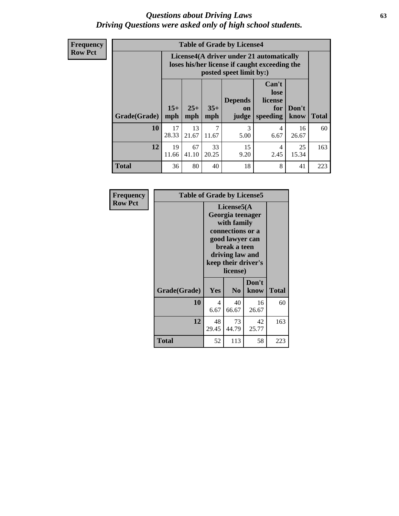#### *Questions about Driving Laws* **63** *Driving Questions were asked only of high school students.*

**Frequency Row Pct**

| <b>Table of Grade by License4</b> |              |                                                                                                                                               |             |                       |                        |             |     |  |
|-----------------------------------|--------------|-----------------------------------------------------------------------------------------------------------------------------------------------|-------------|-----------------------|------------------------|-------------|-----|--|
|                                   |              | License4(A driver under 21 automatically<br>loses his/her license if caught exceeding the<br>posted speet limit by:)                          |             |                       |                        |             |     |  |
| Grade(Grade)                      | $15+$<br>mph | Can't<br>lose<br><b>Depends</b><br>license<br>$25+$<br>$35+$<br>Don't<br>for<br>on<br><b>Total</b><br>speeding<br>mph<br>mph<br>know<br>judge |             |                       |                        |             |     |  |
| 10                                | 17<br>28.33  | 13<br>21.67                                                                                                                                   | 7<br>11.67  | $\mathcal{R}$<br>5.00 | 4<br>6.67              | 16<br>26.67 | 60  |  |
| 12                                | 19<br>11.66  | 67<br>41.10                                                                                                                                   | 33<br>20.25 | 15<br>9.20            | $\overline{4}$<br>2.45 | 25<br>15.34 | 163 |  |
| <b>Total</b>                      | 36           | 80                                                                                                                                            | 40          | 18                    | 8                      | 41          | 223 |  |

| Frequency      | <b>Table of Grade by License5</b> |             |                                                                                                                                      |                     |              |
|----------------|-----------------------------------|-------------|--------------------------------------------------------------------------------------------------------------------------------------|---------------------|--------------|
| <b>Row Pct</b> |                                   |             | License5(A)<br>Georgia teenager<br>with family<br>connections or a<br>good lawyer can<br>break a teen<br>driving law and<br>license) | keep their driver's |              |
|                | Grade(Grade)                      | Yes         | N <sub>0</sub>                                                                                                                       | Don't<br>know       | <b>Total</b> |
|                | 10                                | 4<br>6.67   | 40<br>66.67                                                                                                                          | 16<br>26.67         | 60           |
|                | 12                                | 48<br>29.45 | 73<br>44.79                                                                                                                          | 42<br>25.77         | 163          |
|                | <b>Total</b>                      | 52          | 113                                                                                                                                  | 58                  | 223          |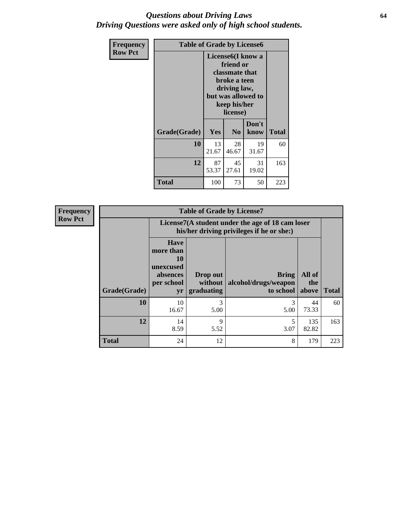#### *Questions about Driving Laws* **64** *Driving Questions were asked only of high school students.*

| <b>Frequency</b> | <b>Table of Grade by License6</b> |             |                                                                                                                           |                    |              |  |
|------------------|-----------------------------------|-------------|---------------------------------------------------------------------------------------------------------------------------|--------------------|--------------|--|
| <b>Row Pct</b>   |                                   |             | License <sub>6</sub> (I know a<br>friend or<br>classmate that<br>broke a teen<br>driving law,<br>keep his/her<br>license) | but was allowed to |              |  |
|                  | Grade(Grade)                      | Yes         | N <sub>0</sub>                                                                                                            | Don't<br>know      | <b>Total</b> |  |
|                  | 10                                | 13<br>21.67 | 28<br>46.67                                                                                                               | 19<br>31.67        | 60           |  |
|                  | 12                                | 87<br>53.37 | 45<br>27.61                                                                                                               | 31<br>19.02        | 163          |  |
|                  | <b>Total</b>                      | 100         | 73                                                                                                                        | 50                 | 223          |  |

| Frequency      | <b>Table of Grade by License7</b> |                                                                             |                                     |                                                                                               |                        |              |  |  |  |
|----------------|-----------------------------------|-----------------------------------------------------------------------------|-------------------------------------|-----------------------------------------------------------------------------------------------|------------------------|--------------|--|--|--|
| <b>Row Pct</b> |                                   |                                                                             |                                     | License7(A student under the age of 18 cam loser<br>his/her driving privileges if he or she:) |                        |              |  |  |  |
|                | Grade(Grade)                      | <b>Have</b><br>more than<br>10<br>unexcused<br>absences<br>per school<br>yr | Drop out<br>without  <br>graduating | <b>Bring</b><br>alcohol/drugs/weapon<br>to school                                             | All of<br>the<br>above | <b>Total</b> |  |  |  |
|                | 10                                | 10<br>16.67                                                                 | 3<br>5.00                           | 3<br>5.00                                                                                     | 44<br>73.33            | 60           |  |  |  |
|                | 12                                | 14<br>8.59                                                                  | 9<br>5.52                           | 3.07                                                                                          | 135<br>82.82           | 163          |  |  |  |
|                | <b>Total</b>                      | 24                                                                          | 12                                  | 8                                                                                             | 179                    | 223          |  |  |  |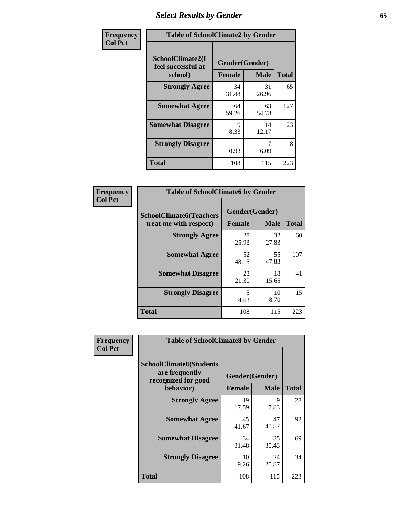# *Select Results by Gender* **65**

| Frequency      | <b>Table of SchoolClimate2 by Gender</b>          |                                 |             |              |
|----------------|---------------------------------------------------|---------------------------------|-------------|--------------|
| <b>Col Pct</b> | SchoolClimate2(I<br>feel successful at<br>school) | Gender(Gender)<br><b>Female</b> | <b>Male</b> | <b>Total</b> |
|                | <b>Strongly Agree</b>                             | 34<br>31.48                     | 31<br>26.96 | 65           |
|                | <b>Somewhat Agree</b>                             | 64<br>59.26                     | 63<br>54.78 | 127          |
|                | <b>Somewhat Disagree</b>                          | 9<br>8.33                       | 14<br>12.17 | 23           |
|                | <b>Strongly Disagree</b>                          | 0.93                            | 6.09        | 8            |
|                | <b>Total</b>                                      | 108                             | 115         | 223          |

| Frequency      | <b>Table of SchoolClimate6 by Gender</b>                 |             |                               |              |  |
|----------------|----------------------------------------------------------|-------------|-------------------------------|--------------|--|
| <b>Col Pct</b> | <b>SchoolClimate6(Teachers</b><br>treat me with respect) | Female      | Gender(Gender)<br><b>Male</b> | <b>Total</b> |  |
|                | <b>Strongly Agree</b>                                    | 28<br>25.93 | 32<br>27.83                   | 60           |  |
|                | <b>Somewhat Agree</b>                                    | 52<br>48.15 | 55<br>47.83                   | 107          |  |
|                | <b>Somewhat Disagree</b>                                 | 23<br>21.30 | 18<br>15.65                   | 41           |  |
|                | <b>Strongly Disagree</b>                                 | 5<br>4.63   | 10<br>8.70                    | 15           |  |
|                | Total                                                    | 108         | 115                           | 223          |  |

| Frequency      | <b>Table of SchoolClimate8 by Gender</b>                                             |                                 |             |              |
|----------------|--------------------------------------------------------------------------------------|---------------------------------|-------------|--------------|
| <b>Col Pct</b> | <b>SchoolClimate8(Students</b><br>are frequently<br>recognized for good<br>behavior) | Gender(Gender)<br><b>Female</b> | <b>Male</b> | <b>Total</b> |
|                | <b>Strongly Agree</b>                                                                | 19                              | 9           | 28           |
|                |                                                                                      | 17.59                           | 7.83        |              |
|                | <b>Somewhat Agree</b>                                                                | 45<br>41.67                     | 47<br>40.87 | 92           |
|                | <b>Somewhat Disagree</b>                                                             | 34<br>31.48                     | 35<br>30.43 | 69           |
|                | <b>Strongly Disagree</b>                                                             | 10<br>9.26                      | 24<br>20.87 | 34           |
|                | Total                                                                                | 108                             | 115         | 223          |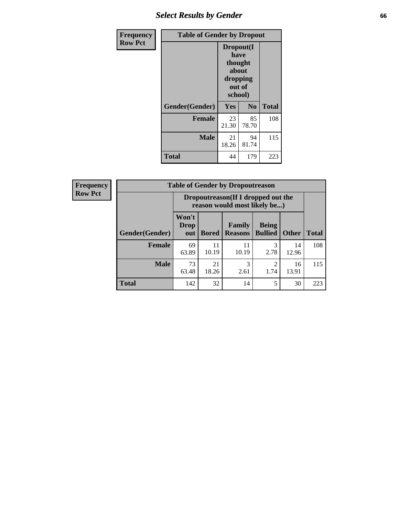# *Select Results by Gender* **66**

| <b>Frequency</b> | <b>Table of Gender by Dropout</b> |                                                                        |             |              |
|------------------|-----------------------------------|------------------------------------------------------------------------|-------------|--------------|
| <b>Row Pct</b>   |                                   | Dropout(I<br>have<br>thought<br>about<br>dropping<br>out of<br>school) |             |              |
|                  | Gender(Gender)                    | Yes                                                                    | No          | <b>Total</b> |
|                  | <b>Female</b>                     | 23<br>21.30                                                            | 85<br>78.70 | 108          |
|                  | <b>Male</b>                       | 21<br>18.26                                                            | 94<br>81.74 | 115          |
|                  | <b>Total</b>                      | 44                                                                     | 179         | 223          |

| <b>Frequency</b> |                | <b>Table of Gender by Dropoutreason</b>                            |              |                          |                                |              |              |
|------------------|----------------|--------------------------------------------------------------------|--------------|--------------------------|--------------------------------|--------------|--------------|
| <b>Row Pct</b>   |                | Dropoutreason(If I dropped out the<br>reason would most likely be) |              |                          |                                |              |              |
|                  | Gender(Gender) | Won't<br><b>Drop</b><br>out                                        | <b>Bored</b> | Family<br><b>Reasons</b> | <b>Being</b><br><b>Bullied</b> | <b>Other</b> | <b>Total</b> |
|                  | Female         | 69<br>63.89                                                        | 11<br>10.19  | 11<br>10.19              | 3<br>2.78                      | 14<br>12.96  | 108          |
|                  | <b>Male</b>    | 73<br>63.48                                                        | 21<br>18.26  | 3<br>2.61                | 2<br>1.74                      | 16<br>13.91  | 115          |
|                  | <b>Total</b>   | 142                                                                | 32           | 14                       | 5                              | 30           | 223          |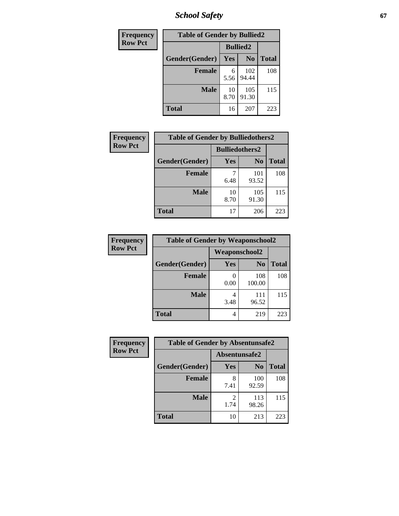*School Safety* **67**

| Frequency      | <b>Table of Gender by Bullied2</b> |                 |                |              |
|----------------|------------------------------------|-----------------|----------------|--------------|
| <b>Row Pct</b> |                                    | <b>Bullied2</b> |                |              |
|                | Gender(Gender)                     | Yes             | N <sub>0</sub> | <b>Total</b> |
|                | <b>Female</b>                      | 6<br>5.56       | 102<br>94.44   | 108          |
|                | <b>Male</b>                        | 10<br>8.70      | 105<br>91.30   | 115          |
|                | <b>Total</b>                       | 16              | 207            | 223          |

| Frequency      | <b>Table of Gender by Bulliedothers2</b> |                       |                |              |
|----------------|------------------------------------------|-----------------------|----------------|--------------|
| <b>Row Pct</b> |                                          | <b>Bulliedothers2</b> |                |              |
|                | Gender(Gender)                           | <b>Yes</b>            | N <sub>0</sub> | <b>Total</b> |
|                | <b>Female</b>                            | 6.48                  | 101<br>93.52   | 108          |
|                | <b>Male</b>                              | 10<br>8.70            | 105<br>91.30   | 115          |
|                | <b>Total</b>                             | 17                    | 206            | 223          |

| Frequency      | <b>Table of Gender by Weaponschool2</b> |                      |                |              |
|----------------|-----------------------------------------|----------------------|----------------|--------------|
| <b>Row Pct</b> |                                         | <b>Weaponschool2</b> |                |              |
|                | Gender(Gender)                          | Yes                  | N <sub>0</sub> | <b>Total</b> |
|                | <b>Female</b>                           | 0.00                 | 108<br>100.00  | 108          |
|                | <b>Male</b>                             | 3.48                 | 111<br>96.52   | 115          |
|                | <b>Total</b>                            | 4                    | 219            | 223          |

| Frequency      | <b>Table of Gender by Absentunsafe2</b> |               |                |              |  |
|----------------|-----------------------------------------|---------------|----------------|--------------|--|
| <b>Row Pct</b> |                                         | Absentunsafe2 |                |              |  |
|                | Gender(Gender)                          | Yes           | N <sub>0</sub> | <b>Total</b> |  |
|                | <b>Female</b>                           | 8<br>7.41     | 100<br>92.59   | 108          |  |
|                | <b>Male</b>                             | 1.74          | 113<br>98.26   | 115          |  |
|                | <b>Total</b>                            | 10            | 213            | 223          |  |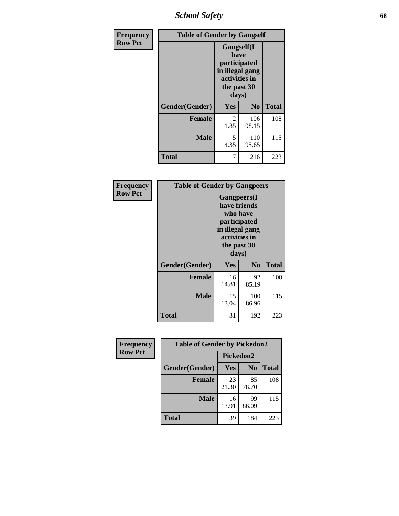*School Safety* **68**

| Frequency      | <b>Table of Gender by Gangself</b> |                                                                                                |                |              |
|----------------|------------------------------------|------------------------------------------------------------------------------------------------|----------------|--------------|
| <b>Row Pct</b> |                                    | Gangself(I<br>have<br>participated<br>in illegal gang<br>activities in<br>the past 30<br>days) |                |              |
|                | Gender(Gender)                     | Yes                                                                                            | N <sub>0</sub> | <b>Total</b> |
|                | <b>Female</b>                      | 2<br>1.85                                                                                      | 106<br>98.15   | 108          |
|                | <b>Male</b>                        | 5<br>4.35                                                                                      | 110<br>95.65   | 115          |
|                | <b>Total</b>                       | 7                                                                                              | 216            | 223          |

| Frequency      | <b>Table of Gender by Gangpeers</b> |                                                                                                                             |                |              |
|----------------|-------------------------------------|-----------------------------------------------------------------------------------------------------------------------------|----------------|--------------|
| <b>Row Pct</b> |                                     | <b>Gangpeers</b> (I<br>have friends<br>who have<br>participated<br>in illegal gang<br>activities in<br>the past 30<br>days) |                |              |
|                | Gender(Gender)                      | Yes                                                                                                                         | N <sub>0</sub> | <b>Total</b> |
|                | <b>Female</b>                       | 16<br>14.81                                                                                                                 | 92<br>85.19    | 108          |
|                | <b>Male</b>                         | 15<br>13.04                                                                                                                 | 100<br>86.96   | 115          |
|                | Total                               | 31                                                                                                                          | 192            | 223          |

| Frequency      | <b>Table of Gender by Pickedon2</b> |             |                |              |
|----------------|-------------------------------------|-------------|----------------|--------------|
| <b>Row Pct</b> |                                     | Pickedon2   |                |              |
|                | Gender(Gender)                      | <b>Yes</b>  | N <sub>0</sub> | <b>Total</b> |
|                | <b>Female</b>                       | 23<br>21.30 | 85<br>78.70    | 108          |
|                | <b>Male</b>                         | 16<br>13.91 | 99<br>86.09    | 115          |
|                | <b>Total</b>                        | 39          | 184            | 223          |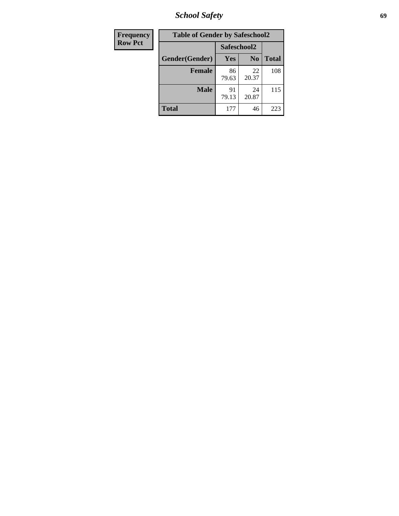*School Safety* **69**

| Frequency      | <b>Table of Gender by Safeschool2</b> |             |                |              |  |
|----------------|---------------------------------------|-------------|----------------|--------------|--|
| <b>Row Pct</b> |                                       | Safeschool2 |                |              |  |
|                | Gender(Gender)                        | <b>Yes</b>  | N <sub>0</sub> | <b>Total</b> |  |
|                | <b>Female</b>                         | 86<br>79.63 | 22<br>20.37    | 108          |  |
|                | <b>Male</b>                           | 91<br>79.13 | 24<br>20.87    | 115          |  |
|                | <b>Total</b>                          | 177         | 46             | 223          |  |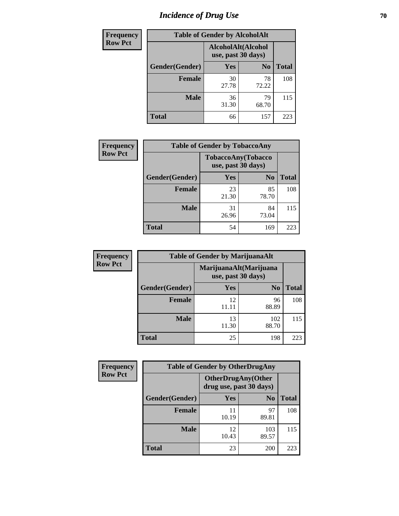# *Incidence of Drug Use* **70**

| <b>Frequency</b> |                | <b>Table of Gender by AlcoholAlt</b>     |                |              |
|------------------|----------------|------------------------------------------|----------------|--------------|
| <b>Row Pct</b>   |                | AlcoholAlt(Alcohol<br>use, past 30 days) |                |              |
|                  | Gender(Gender) | <b>Yes</b>                               | N <sub>0</sub> | <b>Total</b> |
|                  | <b>Female</b>  | 30<br>27.78                              | 78<br>72.22    | 108          |
|                  | <b>Male</b>    | 36<br>31.30                              | 79<br>68.70    | 115          |
|                  | <b>Total</b>   | 66                                       | 157            | 223          |

| <b>Frequency</b> | <b>Table of Gender by TobaccoAny</b> |                                          |                |              |  |
|------------------|--------------------------------------|------------------------------------------|----------------|--------------|--|
| <b>Row Pct</b>   |                                      | TobaccoAny(Tobacco<br>use, past 30 days) |                |              |  |
|                  | Gender(Gender)                       | Yes                                      | N <sub>0</sub> | <b>Total</b> |  |
|                  | <b>Female</b>                        | 23<br>21.30                              | 85<br>78.70    | 108          |  |
|                  | <b>Male</b>                          | 31<br>26.96                              | 84<br>73.04    | 115          |  |
|                  | <b>Total</b>                         | 54                                       | 169            | 223          |  |

| <b>Frequency</b> | <b>Table of Gender by MarijuanaAlt</b> |                                              |                |              |
|------------------|----------------------------------------|----------------------------------------------|----------------|--------------|
| <b>Row Pct</b>   |                                        | MarijuanaAlt(Marijuana<br>use, past 30 days) |                |              |
|                  | Gender(Gender)                         | <b>Yes</b>                                   | N <sub>0</sub> | <b>Total</b> |
|                  | <b>Female</b>                          | 12                                           | 96<br>88.89    | 108          |
|                  | <b>Male</b>                            | 13<br>11.30                                  | 102<br>88.70   | 115          |
|                  | <b>Total</b>                           | 25                                           | 198            | 223          |

| <b>Frequency</b> | <b>Table of Gender by OtherDrugAny</b> |                                                      |                |              |
|------------------|----------------------------------------|------------------------------------------------------|----------------|--------------|
| <b>Row Pct</b>   |                                        | <b>OtherDrugAny(Other</b><br>drug use, past 30 days) |                |              |
|                  | Gender(Gender)                         | <b>Yes</b>                                           | N <sub>0</sub> | <b>Total</b> |
|                  | <b>Female</b>                          | 10.19                                                | 97<br>89.81    | 108          |
|                  | <b>Male</b>                            | 12<br>10.43                                          | 103<br>89.57   | 115          |
|                  | <b>Total</b>                           | 23                                                   | 200            | 223          |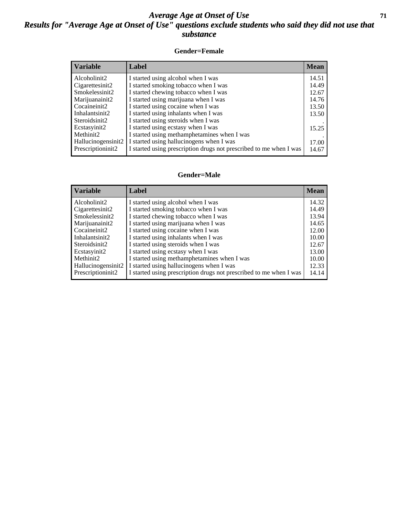#### *Average Age at Onset of Use* **71** *Results for "Average Age at Onset of Use" questions exclude students who said they did not use that substance*

#### **Gender=Female**

| <b>Variable</b>    | <b>Label</b>                                                       | <b>Mean</b> |
|--------------------|--------------------------------------------------------------------|-------------|
| Alcoholinit2       | I started using alcohol when I was                                 | 14.51       |
| Cigarettesinit2    | I started smoking tobacco when I was                               | 14.49       |
| Smokelessinit2     | I started chewing tobacco when I was                               | 12.67       |
| Marijuanainit2     | I started using marijuana when I was                               | 14.76       |
| Cocaineinit2       | I started using cocaine when I was                                 | 13.50       |
| Inhalantsinit2     | I started using inhalants when I was                               | 13.50       |
| Steroidsinit2      | I started using steroids when I was                                |             |
| Ecstasyinit2       | I started using ecstasy when I was                                 | 15.25       |
| Methinit2          | I started using methamphetamines when I was                        |             |
| Hallucinogensinit2 | I started using hallucinogens when I was                           | 17.00       |
| Prescription in t2 | I started using prescription drugs not prescribed to me when I was | 14.67       |

#### **Gender=Male**

| <b>Variable</b>                 | Label                                                              | <b>Mean</b> |
|---------------------------------|--------------------------------------------------------------------|-------------|
| Alcoholinit2                    | I started using alcohol when I was                                 | 14.32       |
| Cigarettesinit2                 | I started smoking tobacco when I was                               | 14.49       |
| Smokelessinit2                  | I started chewing tobacco when I was                               | 13.94       |
| Marijuanainit2                  | I started using marijuana when I was                               | 14.65       |
| Cocaineinit2                    | I started using cocaine when I was                                 | 12.00       |
| Inhalantsinit2                  | I started using inhalants when I was                               | 10.00       |
| Steroidsinit2                   | I started using steroids when I was                                | 12.67       |
| Ecstasyinit2                    | I started using ecstasy when I was                                 | 13.00       |
| Methinit2                       | I started using methamphetamines when I was                        | 10.00       |
| Hallucinogensinit2              | I started using hallucinogens when I was                           | 12.33       |
| Prescription in it <sub>2</sub> | I started using prescription drugs not prescribed to me when I was | 14.14       |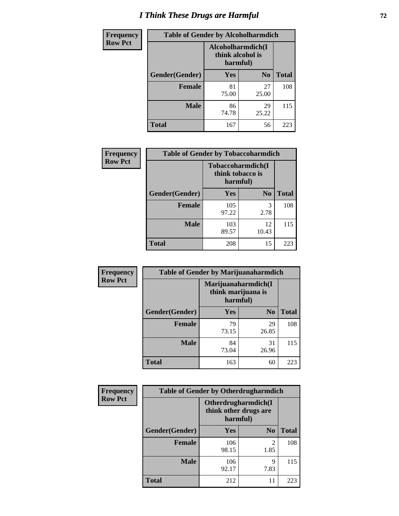# *I Think These Drugs are Harmful* **72**

| <b>Frequency</b> | <b>Table of Gender by Alcoholharmdich</b> |                                                   |                |              |  |
|------------------|-------------------------------------------|---------------------------------------------------|----------------|--------------|--|
| <b>Row Pct</b>   |                                           | Alcoholharmdich(I<br>think alcohol is<br>harmful) |                |              |  |
|                  | Gender(Gender)                            | Yes                                               | N <sub>0</sub> | <b>Total</b> |  |
|                  | <b>Female</b>                             | 81<br>75.00                                       | 27<br>25.00    | 108          |  |
|                  | <b>Male</b>                               | 86<br>74.78                                       | 29<br>25.22    | 115          |  |
|                  | <b>Total</b>                              | 167                                               | 56             | 223          |  |

| Frequency      | <b>Table of Gender by Tobaccoharmdich</b> |                                                   |                |              |  |
|----------------|-------------------------------------------|---------------------------------------------------|----------------|--------------|--|
| <b>Row Pct</b> |                                           | Tobaccoharmdich(I<br>think tobacco is<br>harmful) |                |              |  |
|                | Gender(Gender)                            | Yes                                               | N <sub>0</sub> | <b>Total</b> |  |
|                | <b>Female</b>                             | 105<br>97.22                                      | 3<br>2.78      | 108          |  |
|                | <b>Male</b>                               | 103<br>89.57                                      | 12<br>10.43    | 115          |  |
|                | <b>Total</b>                              | 208                                               | 15             | 223          |  |

| Frequency      | <b>Table of Gender by Marijuanaharmdich</b> |                                                       |                |              |  |  |
|----------------|---------------------------------------------|-------------------------------------------------------|----------------|--------------|--|--|
| <b>Row Pct</b> |                                             | Marijuanaharmdich(I<br>think marijuana is<br>harmful) |                |              |  |  |
|                | Gender(Gender)                              | <b>Yes</b>                                            | N <sub>0</sub> | <b>Total</b> |  |  |
|                | <b>Female</b>                               | 79<br>73.15                                           | 29<br>26.85    | 108          |  |  |
|                | <b>Male</b>                                 | 84<br>73.04                                           | 31<br>26.96    | 115          |  |  |
|                | <b>Total</b>                                | 163                                                   | 60             | 223          |  |  |

| Frequency      | <b>Table of Gender by Otherdrugharmdich</b> |                                                          |                |              |  |
|----------------|---------------------------------------------|----------------------------------------------------------|----------------|--------------|--|
| <b>Row Pct</b> |                                             | Otherdrugharmdich(I<br>think other drugs are<br>harmful) |                |              |  |
|                | Gender(Gender)                              | <b>Yes</b>                                               | N <sub>0</sub> | <b>Total</b> |  |
|                | <b>Female</b>                               | 106<br>98.15                                             | 2<br>1.85      | 108          |  |
|                | <b>Male</b>                                 | 106<br>92.17                                             | 9<br>7.83      | 115          |  |
|                | <b>Total</b>                                | 212                                                      | 11             | 223          |  |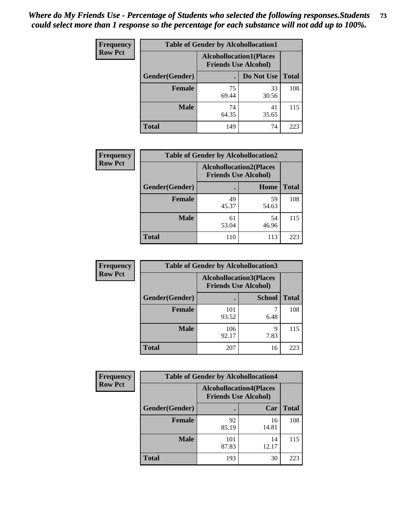| <b>Frequency</b> | <b>Table of Gender by Alcohollocation1</b> |                                                               |             |              |
|------------------|--------------------------------------------|---------------------------------------------------------------|-------------|--------------|
| <b>Row Pct</b>   |                                            | <b>Alcohollocation1(Places</b><br><b>Friends Use Alcohol)</b> |             |              |
|                  | Gender(Gender)                             |                                                               | Do Not Use  | <b>Total</b> |
|                  | <b>Female</b>                              | 75<br>69.44                                                   | 33<br>30.56 | 108          |
|                  | <b>Male</b>                                | 74<br>64.35                                                   | 41<br>35.65 | 115          |
|                  | <b>Total</b>                               | 149                                                           | 74          | 223          |

| <b>Frequency</b> | <b>Table of Gender by Alcohollocation2</b> |                                                               |             |              |
|------------------|--------------------------------------------|---------------------------------------------------------------|-------------|--------------|
| <b>Row Pct</b>   |                                            | <b>Alcohollocation2(Places</b><br><b>Friends Use Alcohol)</b> |             |              |
|                  | Gender(Gender)                             |                                                               | Home        | <b>Total</b> |
|                  | <b>Female</b>                              | 49<br>45.37                                                   | 59<br>54.63 | 108          |
|                  | <b>Male</b>                                | 61<br>53.04                                                   | 54<br>46.96 | 115          |
|                  | <b>Total</b>                               | 110                                                           | 113         | 223          |

| Frequency      | <b>Table of Gender by Alcohollocation3</b> |                                                               |               |              |
|----------------|--------------------------------------------|---------------------------------------------------------------|---------------|--------------|
| <b>Row Pct</b> |                                            | <b>Alcohollocation3(Places</b><br><b>Friends Use Alcohol)</b> |               |              |
|                | Gender(Gender)                             |                                                               | <b>School</b> | <b>Total</b> |
|                | <b>Female</b>                              | 101<br>93.52                                                  | 6.48          | 108          |
|                | <b>Male</b>                                | 106<br>92.17                                                  | Q<br>7.83     | 115          |
|                | <b>Total</b>                               | 207                                                           | 16            | 223          |

| Frequency      | <b>Table of Gender by Alcohollocation4</b> |                                                               |             |              |  |
|----------------|--------------------------------------------|---------------------------------------------------------------|-------------|--------------|--|
| <b>Row Pct</b> |                                            | <b>Alcohollocation4(Places</b><br><b>Friends Use Alcohol)</b> |             |              |  |
|                | Gender(Gender)                             |                                                               | Car         | <b>Total</b> |  |
|                | <b>Female</b>                              | 92<br>85.19                                                   | 16<br>14.81 | 108          |  |
|                | <b>Male</b>                                | 101<br>87.83                                                  | 14<br>12.17 | 115          |  |
|                | <b>Total</b>                               | 193                                                           | 30          | 223          |  |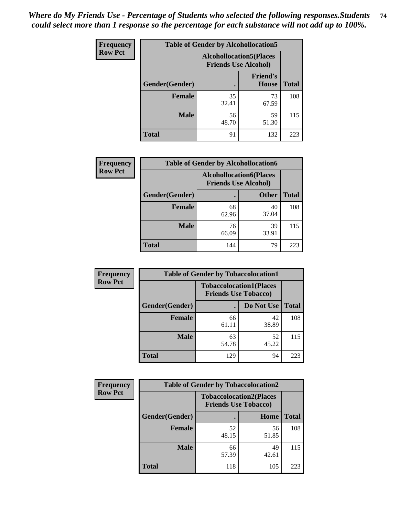| <b>Frequency</b> |                | <b>Table of Gender by Alcohollocation5</b> |                                                                |              |
|------------------|----------------|--------------------------------------------|----------------------------------------------------------------|--------------|
| <b>Row Pct</b>   |                |                                            | <b>Alcohollocation5</b> (Places<br><b>Friends Use Alcohol)</b> |              |
|                  | Gender(Gender) | $\bullet$                                  | <b>Friend's</b><br><b>House</b>                                | <b>Total</b> |
|                  | <b>Female</b>  | 35<br>32.41                                | 73<br>67.59                                                    | 108          |
|                  | <b>Male</b>    | 56<br>48.70                                | 59<br>51.30                                                    | 115          |
|                  | <b>Total</b>   | 91                                         | 132                                                            | 223          |

| Frequency      | <b>Table of Gender by Alcohollocation6</b> |                                                               |              |              |  |
|----------------|--------------------------------------------|---------------------------------------------------------------|--------------|--------------|--|
| <b>Row Pct</b> |                                            | <b>Alcohollocation6(Places</b><br><b>Friends Use Alcohol)</b> |              |              |  |
|                | <b>Gender</b> (Gender)                     |                                                               | <b>Other</b> | <b>Total</b> |  |
|                | <b>Female</b>                              | 68<br>62.96                                                   | 40<br>37.04  | 108          |  |
|                | <b>Male</b>                                | 76<br>66.09                                                   | 39<br>33.91  | 115          |  |
|                | <b>Total</b>                               | 144                                                           | 79           | 223          |  |

| Frequency      | <b>Table of Gender by Tobaccolocation1</b> |                                                               |             |              |
|----------------|--------------------------------------------|---------------------------------------------------------------|-------------|--------------|
| <b>Row Pct</b> |                                            | <b>Tobaccolocation1(Places</b><br><b>Friends Use Tobacco)</b> |             |              |
|                | Gender(Gender)                             |                                                               | Do Not Use  | <b>Total</b> |
|                | <b>Female</b>                              | 66<br>61.11                                                   | 42<br>38.89 | 108          |
|                | <b>Male</b>                                | 63<br>54.78                                                   | 52<br>45.22 | 115          |
|                | <b>Total</b>                               | 129                                                           | 94          | 223          |

| <b>Frequency</b> | <b>Table of Gender by Tobaccolocation2</b> |                                                               |             |              |
|------------------|--------------------------------------------|---------------------------------------------------------------|-------------|--------------|
| <b>Row Pct</b>   |                                            | <b>Tobaccolocation2(Places</b><br><b>Friends Use Tobacco)</b> |             |              |
|                  | Gender(Gender)                             |                                                               | Home        | <b>Total</b> |
|                  | Female                                     | 52<br>48.15                                                   | 56<br>51.85 | 108          |
|                  | <b>Male</b>                                | 66<br>57.39                                                   | 49<br>42.61 | 115          |
|                  | <b>Total</b>                               | 118                                                           | 105         | 223          |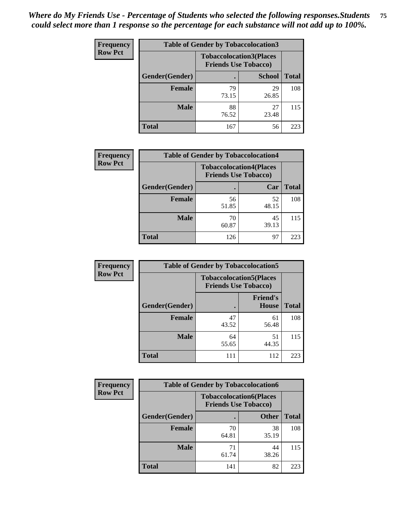| <b>Frequency</b> | <b>Table of Gender by Tobaccolocation3</b> |                             |                                |              |
|------------------|--------------------------------------------|-----------------------------|--------------------------------|--------------|
| <b>Row Pct</b>   |                                            | <b>Friends Use Tobacco)</b> | <b>Tobaccolocation3(Places</b> |              |
|                  | Gender(Gender)                             |                             | <b>School</b>                  | <b>Total</b> |
|                  | Female                                     | 79<br>73.15                 | 29<br>26.85                    | 108          |
|                  | <b>Male</b>                                | 88<br>76.52                 | 27<br>23.48                    | 115          |
|                  | <b>Total</b>                               | 167                         | 56                             | 223          |

| <b>Frequency</b> | <b>Table of Gender by Tobaccolocation4</b> |                             |                                |              |
|------------------|--------------------------------------------|-----------------------------|--------------------------------|--------------|
| <b>Row Pct</b>   |                                            | <b>Friends Use Tobacco)</b> | <b>Tobaccolocation4(Places</b> |              |
|                  | Gender(Gender)                             |                             | Car                            | <b>Total</b> |
|                  | <b>Female</b>                              | 56<br>51.85                 | 52<br>48.15                    | 108          |
|                  | <b>Male</b>                                | 70<br>60.87                 | 45<br>39.13                    | 115          |
|                  | <b>Total</b>                               | 126                         | 97                             | 223          |

| <b>Frequency</b> | <b>Table of Gender by Tobaccolocation5</b> |                                                               |                                 |              |
|------------------|--------------------------------------------|---------------------------------------------------------------|---------------------------------|--------------|
| <b>Row Pct</b>   |                                            | <b>Tobaccolocation5(Places</b><br><b>Friends Use Tobacco)</b> |                                 |              |
|                  | Gender(Gender)                             |                                                               | <b>Friend's</b><br><b>House</b> | <b>Total</b> |
|                  | Female                                     | 47<br>43.52                                                   | 61<br>56.48                     | 108          |
|                  | <b>Male</b>                                | 64<br>55.65                                                   | 51<br>44.35                     | 115          |
|                  | <b>Total</b>                               | 111                                                           | 112                             | 223          |

| <b>Frequency</b> | <b>Table of Gender by Tobaccolocation6</b> |                                                               |              |              |
|------------------|--------------------------------------------|---------------------------------------------------------------|--------------|--------------|
| <b>Row Pct</b>   |                                            | <b>Tobaccolocation6(Places</b><br><b>Friends Use Tobacco)</b> |              |              |
|                  | Gender(Gender)                             |                                                               | <b>Other</b> | <b>Total</b> |
|                  | Female                                     | 70<br>64.81                                                   | 38<br>35.19  | 108          |
|                  | <b>Male</b>                                | 71<br>61.74                                                   | 44<br>38.26  | 115          |
|                  | <b>Total</b>                               | 141                                                           | 82           | 223          |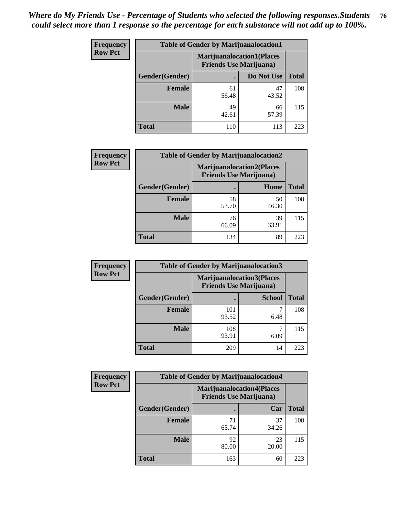| <b>Frequency</b> | <b>Table of Gender by Marijuanalocation1</b> |                                                                    |             |              |
|------------------|----------------------------------------------|--------------------------------------------------------------------|-------------|--------------|
| <b>Row Pct</b>   |                                              | <b>Marijuanalocation1(Places</b><br><b>Friends Use Marijuana</b> ) |             |              |
|                  | Gender(Gender)                               |                                                                    | Do Not Use  | <b>Total</b> |
|                  | <b>Female</b>                                | 61<br>56.48                                                        | 47<br>43.52 | 108          |
|                  | <b>Male</b>                                  | 49<br>42.61                                                        | 66<br>57.39 | 115          |
|                  | <b>Total</b>                                 | 110                                                                | 113         | 223          |

| <b>Frequency</b> | <b>Table of Gender by Marijuanalocation2</b> |                                                                    |             |              |
|------------------|----------------------------------------------|--------------------------------------------------------------------|-------------|--------------|
| <b>Row Pct</b>   |                                              | <b>Marijuanalocation2(Places</b><br><b>Friends Use Marijuana</b> ) |             |              |
|                  | Gender(Gender)                               |                                                                    | Home        | <b>Total</b> |
|                  | <b>Female</b>                                | 58<br>53.70                                                        | 50<br>46.30 | 108          |
|                  | <b>Male</b>                                  | 76<br>66.09                                                        | 39<br>33.91 | 115          |
|                  | <b>Total</b>                                 | 134                                                                | 89          | 223          |

| Frequency      | <b>Table of Gender by Marijuanalocation3</b> |                                                                     |               |              |
|----------------|----------------------------------------------|---------------------------------------------------------------------|---------------|--------------|
| <b>Row Pct</b> |                                              | <b>Marijuanalocation3(Places)</b><br><b>Friends Use Marijuana</b> ) |               |              |
|                | Gender(Gender)                               |                                                                     | <b>School</b> | <b>Total</b> |
|                | Female                                       | 101<br>93.52                                                        | 6.48          | 108          |
|                | <b>Male</b>                                  | 108<br>93.91                                                        | 6.09          | 115          |
|                | <b>Total</b>                                 | 209                                                                 | 14            | 223          |

| <b>Frequency</b> | <b>Table of Gender by Marijuanalocation4</b> |                                |                                  |              |
|------------------|----------------------------------------------|--------------------------------|----------------------------------|--------------|
| <b>Row Pct</b>   |                                              | <b>Friends Use Marijuana</b> ) | <b>Marijuanalocation4(Places</b> |              |
|                  | Gender(Gender)                               |                                | Car                              | <b>Total</b> |
|                  | <b>Female</b>                                | 71<br>65.74                    | 37<br>34.26                      | 108          |
|                  | <b>Male</b>                                  | 92<br>80.00                    | 23<br>20.00                      | 115          |
|                  | <b>Total</b>                                 | 163                            | 60                               | 223          |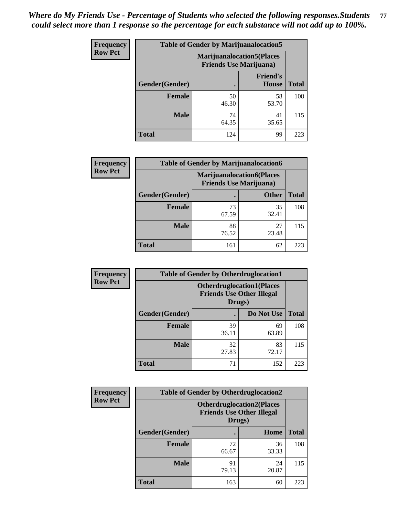| Frequency      | <b>Table of Gender by Marijuanalocation5</b> |                                                                    |                          |              |
|----------------|----------------------------------------------|--------------------------------------------------------------------|--------------------------|--------------|
| <b>Row Pct</b> |                                              | <b>Marijuanalocation5(Places</b><br><b>Friends Use Marijuana</b> ) |                          |              |
|                | Gender(Gender)                               |                                                                    | <b>Friend's</b><br>House | <b>Total</b> |
|                | <b>Female</b>                                | 50<br>46.30                                                        | 58<br>53.70              | 108          |
|                | <b>Male</b>                                  | 74<br>64.35                                                        | 41<br>35.65              | 115          |
|                | <b>Total</b>                                 | 124                                                                | 99                       | 223          |

| <b>Frequency</b> | <b>Table of Gender by Marijuanalocation6</b> |                                |                                   |              |
|------------------|----------------------------------------------|--------------------------------|-----------------------------------|--------------|
| <b>Row Pct</b>   |                                              | <b>Friends Use Marijuana</b> ) | <b>Marijuanalocation6(Places)</b> |              |
|                  | Gender(Gender)                               |                                | <b>Other</b>                      | <b>Total</b> |
|                  | <b>Female</b>                                | 73<br>67.59                    | 35<br>32.41                       | 108          |
|                  | <b>Male</b>                                  | 88<br>76.52                    | 27<br>23.48                       | 115          |
|                  | <b>Total</b>                                 | 161                            | 62                                | 223          |

| <b>Frequency</b> | <b>Table of Gender by Otherdruglocation1</b> |                                                                                |             |              |
|------------------|----------------------------------------------|--------------------------------------------------------------------------------|-------------|--------------|
| <b>Row Pct</b>   |                                              | <b>Otherdruglocation1(Places</b><br><b>Friends Use Other Illegal</b><br>Drugs) |             |              |
|                  | Gender(Gender)                               |                                                                                | Do Not Use  | <b>Total</b> |
|                  | Female                                       | 39<br>36.11                                                                    | 69<br>63.89 | 108          |
|                  | <b>Male</b>                                  | 32<br>27.83                                                                    | 83<br>72.17 | 115          |
|                  | <b>Total</b>                                 | 71                                                                             | 152         | 223          |

| Frequency      | <b>Table of Gender by Otherdruglocation2</b> |                                                                                |             |              |
|----------------|----------------------------------------------|--------------------------------------------------------------------------------|-------------|--------------|
| <b>Row Pct</b> |                                              | <b>Otherdruglocation2(Places</b><br><b>Friends Use Other Illegal</b><br>Drugs) |             |              |
|                | Gender(Gender)                               |                                                                                | Home        | <b>Total</b> |
|                | <b>Female</b>                                | 72<br>66.67                                                                    | 36<br>33.33 | 108          |
|                | <b>Male</b>                                  | 91<br>79.13                                                                    | 24<br>20.87 | 115          |
|                | <b>Total</b>                                 | 163                                                                            | 60          | 223          |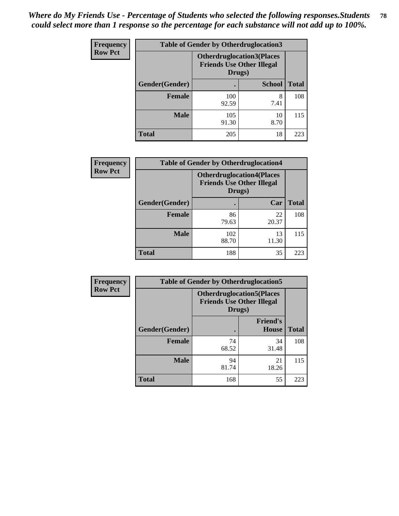| Frequency      | <b>Table of Gender by Otherdruglocation3</b> |                                                                                |               |              |
|----------------|----------------------------------------------|--------------------------------------------------------------------------------|---------------|--------------|
| <b>Row Pct</b> |                                              | <b>Otherdruglocation3(Places</b><br><b>Friends Use Other Illegal</b><br>Drugs) |               |              |
|                | Gender(Gender)                               |                                                                                | <b>School</b> | <b>Total</b> |
|                | Female                                       | 100<br>92.59                                                                   | 8<br>7.41     | 108          |
|                | <b>Male</b>                                  | 105<br>91.30                                                                   | 10<br>8.70    | 115          |
|                | <b>Total</b>                                 | 205                                                                            | 18            | 223          |

| Frequency      | <b>Table of Gender by Otherdruglocation4</b> |                                            |                                  |              |
|----------------|----------------------------------------------|--------------------------------------------|----------------------------------|--------------|
| <b>Row Pct</b> |                                              | <b>Friends Use Other Illegal</b><br>Drugs) | <b>Otherdruglocation4(Places</b> |              |
|                | <b>Gender</b> (Gender)                       |                                            | Car                              | <b>Total</b> |
|                | Female                                       | 86<br>79.63                                | 22<br>20.37                      | 108          |
|                | <b>Male</b>                                  | 102<br>88.70                               | 13<br>11.30                      | 115          |
|                | <b>Total</b>                                 | 188                                        | 35                               | 223          |

| Frequency      | <b>Table of Gender by Otherdruglocation5</b>                                   |             |                                 |              |
|----------------|--------------------------------------------------------------------------------|-------------|---------------------------------|--------------|
| <b>Row Pct</b> | <b>Otherdruglocation5(Places</b><br><b>Friends Use Other Illegal</b><br>Drugs) |             |                                 |              |
|                | Gender(Gender)                                                                 |             | <b>Friend's</b><br><b>House</b> | <b>Total</b> |
|                | <b>Female</b>                                                                  | 74<br>68.52 | 34<br>31.48                     | 108          |
|                | <b>Male</b>                                                                    | 94<br>81.74 | 21<br>18.26                     | 115          |
|                | <b>Total</b>                                                                   | 168         | 55                              | 223          |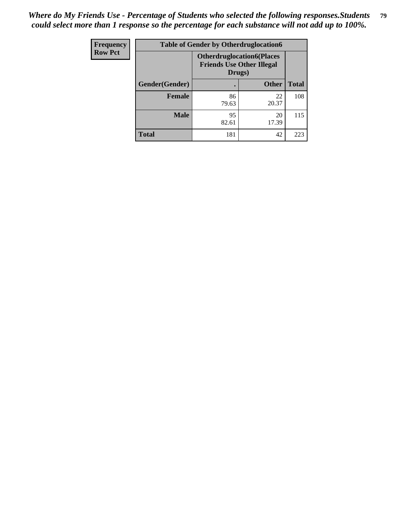| <b>Frequency</b> |                | <b>Table of Gender by Otherdruglocation6</b> |                                  |              |
|------------------|----------------|----------------------------------------------|----------------------------------|--------------|
| <b>Row Pct</b>   |                | <b>Friends Use Other Illegal</b><br>Drugs)   | <b>Otherdruglocation6(Places</b> |              |
|                  | Gender(Gender) |                                              | <b>Other</b>                     | <b>Total</b> |
|                  | <b>Female</b>  | 86<br>79.63                                  | 22<br>20.37                      | 108          |
|                  | <b>Male</b>    | 95<br>82.61                                  | 20<br>17.39                      | 115          |
|                  | <b>Total</b>   | 181                                          | 42                               | 223          |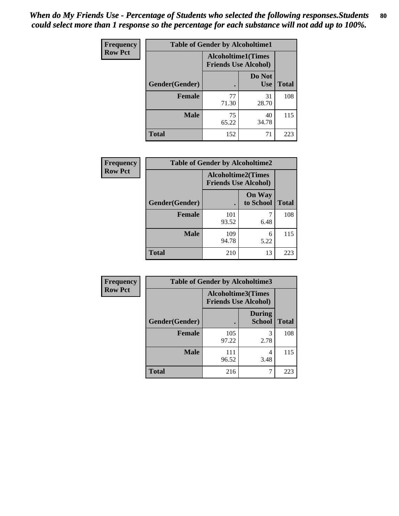| Frequency      | <b>Table of Gender by Alcoholtime1</b> |                                                          |                      |              |
|----------------|----------------------------------------|----------------------------------------------------------|----------------------|--------------|
| <b>Row Pct</b> |                                        | <b>Alcoholtime1(Times</b><br><b>Friends Use Alcohol)</b> |                      |              |
|                | Gender(Gender)                         | ٠                                                        | Do Not<br><b>Use</b> | <b>Total</b> |
|                | <b>Female</b>                          | 77<br>71.30                                              | 31<br>28.70          | 108          |
|                | <b>Male</b>                            | 75<br>65.22                                              | 40<br>34.78          | 115          |
|                | <b>Total</b>                           | 152                                                      | 71                   | 223          |

| <b>Frequency</b> | <b>Table of Gender by Alcoholtime2</b> |                                                          |                            |              |
|------------------|----------------------------------------|----------------------------------------------------------|----------------------------|--------------|
| <b>Row Pct</b>   |                                        | <b>Alcoholtime2(Times</b><br><b>Friends Use Alcohol)</b> |                            |              |
|                  | Gender(Gender)                         |                                                          | <b>On Way</b><br>to School | <b>Total</b> |
|                  | <b>Female</b>                          | 101<br>93.52                                             | 6.48                       | 108          |
|                  | <b>Male</b>                            | 109<br>94.78                                             | 6<br>5.22                  | 115          |
|                  | <b>Total</b>                           | 210                                                      | 13                         | 223          |

| Frequency      | <b>Table of Gender by Alcoholtime3</b> |                                                          |                                |              |
|----------------|----------------------------------------|----------------------------------------------------------|--------------------------------|--------------|
| <b>Row Pct</b> |                                        | <b>Alcoholtime3(Times</b><br><b>Friends Use Alcohol)</b> |                                |              |
|                | Gender(Gender)                         |                                                          | <b>During</b><br><b>School</b> | <b>Total</b> |
|                | Female                                 | 105<br>97.22                                             | 3<br>2.78                      | 108          |
|                | <b>Male</b>                            | 111<br>96.52                                             | 4<br>3.48                      | 115          |
|                | <b>Total</b>                           | 216                                                      |                                | 223          |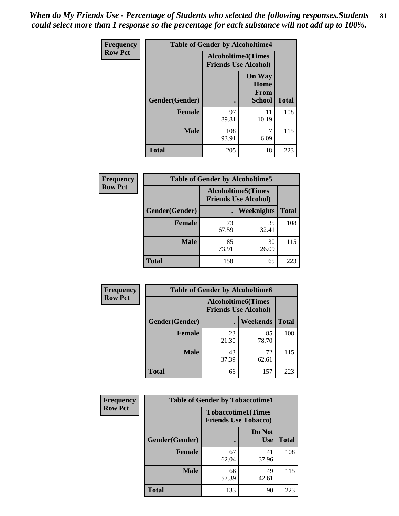*When do My Friends Use - Percentage of Students who selected the following responses.Students could select more than 1 response so the percentage for each substance will not add up to 100%.* **81**

| <b>Frequency</b> | <b>Table of Gender by Alcoholtime4</b> |                                                          |                                                |              |
|------------------|----------------------------------------|----------------------------------------------------------|------------------------------------------------|--------------|
| <b>Row Pct</b>   |                                        | <b>Alcoholtime4(Times</b><br><b>Friends Use Alcohol)</b> |                                                |              |
|                  | Gender(Gender)                         |                                                          | <b>On Way</b><br>Home<br>From<br><b>School</b> | <b>Total</b> |
|                  | <b>Female</b>                          | 97<br>89.81                                              | 11<br>10.19                                    | 108          |
|                  | <b>Male</b>                            | 108<br>93.91                                             | 7<br>6.09                                      | 115          |
|                  | <b>Total</b>                           | 205                                                      | 18                                             | 223          |

| <b>Frequency</b> | <b>Table of Gender by Alcoholtime5</b> |                                                           |             |              |
|------------------|----------------------------------------|-----------------------------------------------------------|-------------|--------------|
| <b>Row Pct</b>   |                                        | <b>Alcoholtime5</b> (Times<br><b>Friends Use Alcohol)</b> |             |              |
|                  | Gender(Gender)                         |                                                           | Weeknights  | <b>Total</b> |
|                  | <b>Female</b>                          | 73<br>67.59                                               | 35<br>32.41 | 108          |
|                  | <b>Male</b>                            | 85<br>73.91                                               | 30<br>26.09 | 115          |
|                  | <b>Total</b>                           | 158                                                       | 65          | 223          |

| <b>Frequency</b> | <b>Table of Gender by Alcoholtime6</b> |             |                                                          |              |  |
|------------------|----------------------------------------|-------------|----------------------------------------------------------|--------------|--|
| <b>Row Pct</b>   |                                        |             | <b>Alcoholtime6(Times</b><br><b>Friends Use Alcohol)</b> |              |  |
|                  | Gender(Gender)                         |             | Weekends                                                 | <b>Total</b> |  |
|                  | Female                                 | 23<br>21.30 | 85<br>78.70                                              | 108          |  |
|                  | <b>Male</b>                            | 43<br>37.39 | 72<br>62.61                                              | 115          |  |
|                  | <b>Total</b>                           | 66          | 157                                                      | 223          |  |

| Frequency      | <b>Table of Gender by Tobaccotime1</b> |                                                          |                      |              |  |
|----------------|----------------------------------------|----------------------------------------------------------|----------------------|--------------|--|
| <b>Row Pct</b> |                                        | <b>Tobaccotime1(Times</b><br><b>Friends Use Tobacco)</b> |                      |              |  |
|                | Gender(Gender)                         |                                                          | Do Not<br><b>Use</b> | <b>Total</b> |  |
|                | <b>Female</b>                          | 67<br>62.04                                              | 41<br>37.96          | 108          |  |
|                | <b>Male</b>                            | 66<br>57.39                                              | 49<br>42.61          | 115          |  |
|                | <b>Total</b>                           | 133                                                      | 90                   | 223          |  |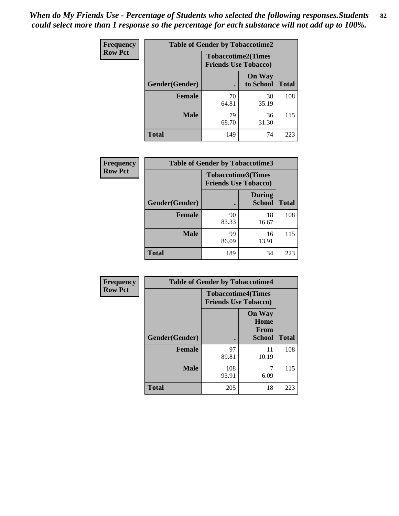| <b>Frequency</b> | <b>Table of Gender by Tobaccotime2</b> |                             |                            |              |
|------------------|----------------------------------------|-----------------------------|----------------------------|--------------|
| <b>Row Pct</b>   |                                        | <b>Friends Use Tobacco)</b> | <b>Tobaccotime2(Times</b>  |              |
|                  | Gender(Gender)                         |                             | <b>On Way</b><br>to School | <b>Total</b> |
|                  | <b>Female</b>                          | 70<br>64.81                 | 38<br>35.19                | 108          |
|                  | <b>Male</b>                            | 79<br>68.70                 | 36<br>31.30                | 115          |
|                  | <b>Total</b>                           | 149                         | 74                         | 223          |

| <b>Frequency</b> | <b>Table of Gender by Tobaccotime3</b> |                                                          |                                |              |
|------------------|----------------------------------------|----------------------------------------------------------|--------------------------------|--------------|
| <b>Row Pct</b>   |                                        | <b>Tobaccotime3(Times</b><br><b>Friends Use Tobacco)</b> |                                |              |
|                  | Gender(Gender)                         |                                                          | <b>During</b><br><b>School</b> | <b>Total</b> |
|                  | <b>Female</b>                          | 90<br>83.33                                              | 18<br>16.67                    | 108          |
|                  | <b>Male</b>                            | 99<br>86.09                                              | 16<br>13.91                    | 115          |
|                  | <b>Total</b>                           | 189                                                      | 34                             | 223          |

| Frequency      | <b>Table of Gender by Tobaccotime4</b> |                                                          |                                                       |              |
|----------------|----------------------------------------|----------------------------------------------------------|-------------------------------------------------------|--------------|
| <b>Row Pct</b> |                                        | <b>Tobaccotime4(Times</b><br><b>Friends Use Tobacco)</b> |                                                       |              |
|                | Gender(Gender)                         |                                                          | <b>On Way</b><br>Home<br><b>From</b><br><b>School</b> | <b>Total</b> |
|                | <b>Female</b>                          | 97<br>89.81                                              | 11<br>10.19                                           | 108          |
|                | <b>Male</b>                            | 108<br>93.91                                             | 7<br>6.09                                             | 115          |
|                | <b>Total</b>                           | 205                                                      | 18                                                    | 223          |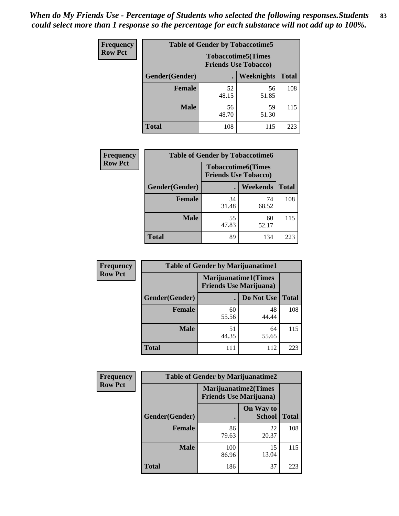| <b>Frequency</b> | <b>Table of Gender by Tobaccotime5</b> |             |                                                          |              |  |
|------------------|----------------------------------------|-------------|----------------------------------------------------------|--------------|--|
| <b>Row Pct</b>   |                                        |             | <b>Tobaccotime5(Times</b><br><b>Friends Use Tobacco)</b> |              |  |
|                  | Gender(Gender)                         |             | <b>Weeknights</b>                                        | <b>Total</b> |  |
|                  | <b>Female</b>                          | 52<br>48.15 | 56<br>51.85                                              | 108          |  |
|                  | <b>Male</b>                            | 56<br>48.70 | 59<br>51.30                                              | 115          |  |
|                  | <b>Total</b>                           | 108         | 115                                                      | 223          |  |

| Frequency      | <b>Table of Gender by Tobaccotime6</b> |                                                          |             |              |  |
|----------------|----------------------------------------|----------------------------------------------------------|-------------|--------------|--|
| <b>Row Pct</b> |                                        | <b>Tobaccotime6(Times</b><br><b>Friends Use Tobacco)</b> |             |              |  |
|                | Gender(Gender)                         |                                                          | Weekends    | <b>Total</b> |  |
|                | Female                                 | 34<br>31.48                                              | 74<br>68.52 | 108          |  |
|                | <b>Male</b>                            | 55<br>47.83                                              | 60<br>52.17 | 115          |  |
|                | <b>Total</b>                           | 89                                                       | 134         | 223          |  |

| <b>Frequency</b> | <b>Table of Gender by Marijuanatime1</b> |                                |                             |              |
|------------------|------------------------------------------|--------------------------------|-----------------------------|--------------|
| <b>Row Pct</b>   |                                          | <b>Friends Use Marijuana</b> ) | <b>Marijuanatime1(Times</b> |              |
|                  | Gender(Gender)                           |                                | Do Not Use                  | <b>Total</b> |
|                  | <b>Female</b>                            | 60<br>55.56                    | 48<br>44.44                 | 108          |
|                  | <b>Male</b>                              | 51<br>44.35                    | 64<br>55.65                 | 115          |
|                  | <b>Total</b>                             | 111                            | 112                         | 223          |

| <b>Frequency</b> | <b>Table of Gender by Marijuanatime2</b> |                                                               |                            |              |
|------------------|------------------------------------------|---------------------------------------------------------------|----------------------------|--------------|
| <b>Row Pct</b>   |                                          | <b>Marijuanatime2(Times</b><br><b>Friends Use Marijuana</b> ) |                            |              |
|                  | Gender(Gender)                           |                                                               | On Way to<br><b>School</b> | <b>Total</b> |
|                  | Female                                   | 86<br>79.63                                                   | 22<br>20.37                | 108          |
|                  | <b>Male</b>                              | 100<br>86.96                                                  | 15<br>13.04                | 115          |
|                  | <b>Total</b>                             | 186                                                           | 37                         | 223          |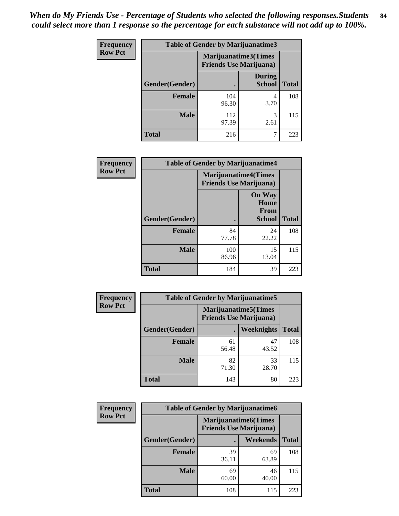*When do My Friends Use - Percentage of Students who selected the following responses.Students could select more than 1 response so the percentage for each substance will not add up to 100%.* **84**

| <b>Frequency</b> | Table of Gender by Marijuanatime3 |                                                        |                                |              |
|------------------|-----------------------------------|--------------------------------------------------------|--------------------------------|--------------|
| <b>Row Pct</b>   |                                   | Marijuanatime3(Times<br><b>Friends Use Marijuana</b> ) |                                |              |
|                  | Gender(Gender)                    |                                                        | <b>During</b><br><b>School</b> | <b>Total</b> |
|                  | <b>Female</b>                     | 104<br>96.30                                           | 4<br>3.70                      | 108          |
|                  | <b>Male</b>                       | 112<br>97.39                                           | 3<br>2.61                      | 115          |
|                  | <b>Total</b>                      | 216                                                    |                                | 223          |

| Frequency      | <b>Table of Gender by Marijuanatime4</b> |                                                               |                                                       |              |
|----------------|------------------------------------------|---------------------------------------------------------------|-------------------------------------------------------|--------------|
| <b>Row Pct</b> |                                          | <b>Marijuanatime4(Times</b><br><b>Friends Use Marijuana</b> ) |                                                       |              |
|                | Gender(Gender)                           |                                                               | <b>On Way</b><br>Home<br><b>From</b><br><b>School</b> | <b>Total</b> |
|                | <b>Female</b>                            | 84<br>77.78                                                   | 24<br>22.22                                           | 108          |
|                | <b>Male</b>                              | 100<br>86.96                                                  | 15<br>13.04                                           | 115          |
|                | <b>Total</b>                             | 184                                                           | 39                                                    | 223          |

| Frequency      | <b>Table of Gender by Marijuanatime5</b> |             |                                                                |              |  |
|----------------|------------------------------------------|-------------|----------------------------------------------------------------|--------------|--|
| <b>Row Pct</b> |                                          |             | <b>Marijuanatime5</b> (Times<br><b>Friends Use Marijuana</b> ) |              |  |
|                | Gender(Gender)                           |             | <b>Weeknights</b>                                              | <b>Total</b> |  |
|                | <b>Female</b>                            | 61<br>56.48 | 47<br>43.52                                                    | 108          |  |
|                | <b>Male</b>                              | 82<br>71.30 | 33<br>28.70                                                    | 115          |  |
|                | <b>Total</b>                             | 143         | 80                                                             | 223          |  |

| <b>Frequency</b> | <b>Table of Gender by Marijuanatime6</b> |                                                               |                 |              |
|------------------|------------------------------------------|---------------------------------------------------------------|-----------------|--------------|
| <b>Row Pct</b>   |                                          | <b>Marijuanatime6(Times</b><br><b>Friends Use Marijuana</b> ) |                 |              |
|                  | Gender(Gender)                           |                                                               | <b>Weekends</b> | <b>Total</b> |
|                  | <b>Female</b>                            | 39<br>36.11                                                   | 69<br>63.89     | 108          |
|                  | <b>Male</b>                              | 69<br>60.00                                                   | 46<br>40.00     | 115          |
|                  | <b>Total</b>                             | 108                                                           | 115             | 223          |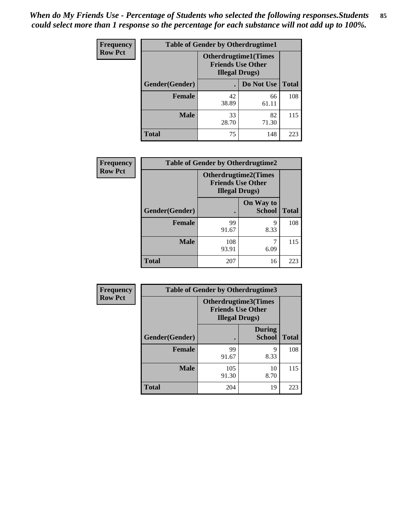| <b>Frequency</b> | <b>Table of Gender by Otherdrugtime1</b> |                                                                                    |             |              |
|------------------|------------------------------------------|------------------------------------------------------------------------------------|-------------|--------------|
| <b>Row Pct</b>   |                                          | <b>Otherdrugtime1</b> (Times<br><b>Friends Use Other</b><br><b>Illegal Drugs</b> ) |             |              |
|                  | Gender(Gender)                           |                                                                                    | Do Not Use  | <b>Total</b> |
|                  | <b>Female</b>                            | 42<br>38.89                                                                        | 66<br>61.11 | 108          |
|                  | <b>Male</b>                              | 33<br>28.70                                                                        | 82<br>71.30 | 115          |
|                  | <b>Total</b>                             | 75                                                                                 | 148         | 223          |

| Frequency      | <b>Table of Gender by Otherdrugtime2</b> |                                                                                   |                            |              |
|----------------|------------------------------------------|-----------------------------------------------------------------------------------|----------------------------|--------------|
| <b>Row Pct</b> |                                          | <b>Otherdrugtime2(Times</b><br><b>Friends Use Other</b><br><b>Illegal Drugs</b> ) |                            |              |
|                | <b>Gender</b> (Gender)                   |                                                                                   | On Way to<br><b>School</b> | <b>Total</b> |
|                | <b>Female</b>                            | 99<br>91.67                                                                       | 9<br>8.33                  | 108          |
|                | <b>Male</b>                              | 108<br>93.91                                                                      | 6.09                       | 115          |
|                | <b>Total</b>                             | 207                                                                               | 16                         | 223          |

| Frequency      | <b>Table of Gender by Otherdrugtime3</b> |                        |                                                  |              |
|----------------|------------------------------------------|------------------------|--------------------------------------------------|--------------|
| <b>Row Pct</b> |                                          | <b>Illegal Drugs</b> ) | Otherdrugtime3(Times<br><b>Friends Use Other</b> |              |
|                | Gender(Gender)                           |                        | <b>During</b><br><b>School</b>                   | <b>Total</b> |
|                | <b>Female</b>                            | 99<br>91.67            | 9<br>8.33                                        | 108          |
|                | <b>Male</b>                              | 105<br>91.30           | 10<br>8.70                                       | 115          |
|                | <b>Total</b>                             | 204                    | 19                                               | 223          |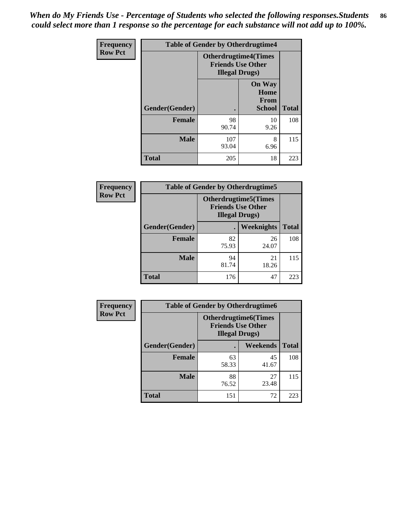*When do My Friends Use - Percentage of Students who selected the following responses.Students could select more than 1 response so the percentage for each substance will not add up to 100%.* **86**

| <b>Frequency</b> | <b>Table of Gender by Otherdrugtime4</b> |                                                    |                                                |              |
|------------------|------------------------------------------|----------------------------------------------------|------------------------------------------------|--------------|
| <b>Row Pct</b>   |                                          | <b>Friends Use Other</b><br><b>Illegal Drugs</b> ) | <b>Otherdrugtime4(Times</b>                    |              |
|                  | Gender(Gender)                           |                                                    | <b>On Way</b><br>Home<br><b>From</b><br>School | <b>Total</b> |
|                  | <b>Female</b>                            | 98<br>90.74                                        | 10<br>9.26                                     | 108          |
|                  | <b>Male</b>                              | 107<br>93.04                                       | 8<br>6.96                                      | 115          |
|                  | <b>Total</b>                             | 205                                                | 18                                             | 223          |

| Frequency      | <b>Table of Gender by Otherdrugtime5</b> |                                                                                    |                   |              |
|----------------|------------------------------------------|------------------------------------------------------------------------------------|-------------------|--------------|
| <b>Row Pct</b> |                                          | <b>Otherdrugtime5</b> (Times<br><b>Friends Use Other</b><br><b>Illegal Drugs</b> ) |                   |              |
|                | Gender(Gender)                           |                                                                                    | <b>Weeknights</b> | <b>Total</b> |
|                | <b>Female</b>                            | 82<br>75.93                                                                        | 26<br>24.07       | 108          |
|                | <b>Male</b>                              | 94<br>81.74                                                                        | 21<br>18.26       | 115          |
|                | <b>Total</b>                             | 176                                                                                | 47                | 223          |

| <b>Frequency</b> | <b>Table of Gender by Otherdrugtime6</b> |                                                                                   |             |              |  |
|------------------|------------------------------------------|-----------------------------------------------------------------------------------|-------------|--------------|--|
| <b>Row Pct</b>   |                                          | <b>Otherdrugtime6(Times</b><br><b>Friends Use Other</b><br><b>Illegal Drugs</b> ) |             |              |  |
|                  | Gender(Gender)                           |                                                                                   | Weekends    | <b>Total</b> |  |
|                  | <b>Female</b>                            | 63<br>58.33                                                                       | 45<br>41.67 | 108          |  |
|                  | <b>Male</b>                              | 88<br>76.52                                                                       | 27<br>23.48 | 115          |  |
|                  | <b>Total</b>                             | 151                                                                               | 72          | 223          |  |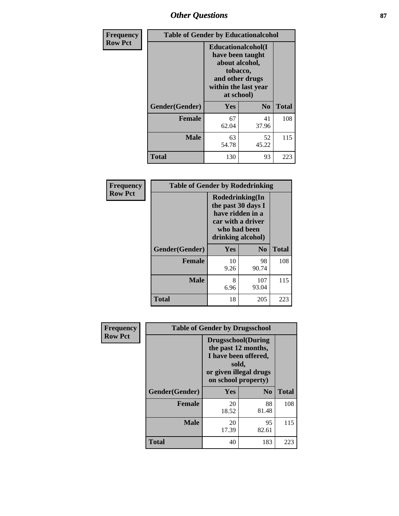# *Other Questions* **87**

| <b>Frequency</b> | <b>Table of Gender by Educationalcohol</b> |                                                                                                                                       |                |              |
|------------------|--------------------------------------------|---------------------------------------------------------------------------------------------------------------------------------------|----------------|--------------|
| <b>Row Pct</b>   |                                            | <b>Educationalcohol</b> (I<br>have been taught<br>about alcohol,<br>tobacco,<br>and other drugs<br>within the last year<br>at school) |                |              |
|                  | Gender(Gender)                             | <b>Yes</b>                                                                                                                            | N <sub>0</sub> | <b>Total</b> |
|                  | <b>Female</b>                              | 67<br>62.04                                                                                                                           | 41<br>37.96    | 108          |
|                  | <b>Male</b>                                | 63<br>54.78                                                                                                                           | 52<br>45.22    | 115          |
|                  | <b>Total</b>                               | 130                                                                                                                                   | 93             | 223          |

| Frequency      | <b>Table of Gender by Rodedrinking</b> |                                                                                                                     |              |              |  |
|----------------|----------------------------------------|---------------------------------------------------------------------------------------------------------------------|--------------|--------------|--|
| <b>Row Pct</b> |                                        | Rodedrinking(In<br>the past 30 days I<br>have ridden in a<br>car with a driver<br>who had been<br>drinking alcohol) |              |              |  |
|                | Gender(Gender)                         | Yes                                                                                                                 | $\bf N_0$    | <b>Total</b> |  |
|                | <b>Female</b>                          | 10<br>9.26                                                                                                          | 98<br>90.74  | 108          |  |
|                | <b>Male</b>                            | 8<br>6.96                                                                                                           | 107<br>93.04 | 115          |  |
|                | <b>Total</b>                           | 18                                                                                                                  | 205          | 223          |  |

| Frequency      | <b>Table of Gender by Drugsschool</b> |                                                                                                                                     |                |              |  |
|----------------|---------------------------------------|-------------------------------------------------------------------------------------------------------------------------------------|----------------|--------------|--|
| <b>Row Pct</b> |                                       | <b>Drugsschool</b> (During<br>the past 12 months,<br>I have been offered,<br>sold,<br>or given illegal drugs<br>on school property) |                |              |  |
|                | Gender(Gender)                        | Yes                                                                                                                                 | N <sub>0</sub> | <b>Total</b> |  |
|                | <b>Female</b>                         | 20<br>18.52                                                                                                                         | 88<br>81.48    | 108          |  |
|                | <b>Male</b>                           | 20<br>17.39                                                                                                                         | 95<br>82.61    | 115          |  |
|                | <b>Total</b>                          | 40                                                                                                                                  | 183            | 223          |  |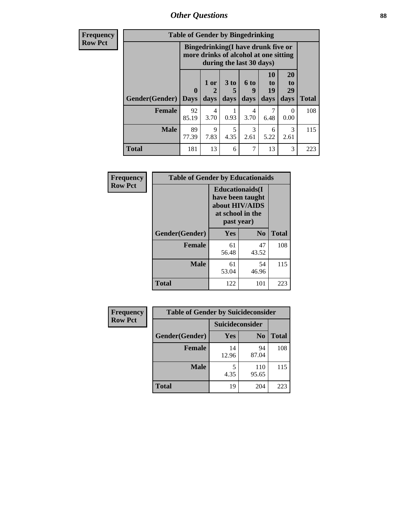*Other Questions* **88**

**Frequency Row Pct**

| <b>Table of Gender by Bingedrinking</b> |              |                                                                                                         |           |           |                            |                |              |
|-----------------------------------------|--------------|---------------------------------------------------------------------------------------------------------|-----------|-----------|----------------------------|----------------|--------------|
|                                         |              | Bingedrinking(I have drunk five or<br>more drinks of alcohol at one sitting<br>during the last 30 days) |           |           |                            |                |              |
| Gender(Gender)                          | $\mathbf{0}$ | 1 or<br>2                                                                                               | 3 to<br>5 | 6 to<br>9 | 10<br>t <sub>0</sub><br>19 | 20<br>to<br>29 |              |
|                                         | <b>Days</b>  | days                                                                                                    | days      | days      | days                       | days           | <b>Total</b> |
| <b>Female</b>                           | 92<br>85.19  | 4<br>3.70                                                                                               | 0.93      | 4<br>3.70 | 6.48                       | 0<br>0.00      | 108          |
| <b>Male</b>                             | 89<br>77.39  | 9<br>7.83                                                                                               | 5<br>4.35 | 3<br>2.61 | 6<br>5.22                  | 3<br>2.61      | 115          |

| Frequency      | <b>Table of Gender by Educationaids</b> |                                                                                                 |             |              |
|----------------|-----------------------------------------|-------------------------------------------------------------------------------------------------|-------------|--------------|
| <b>Row Pct</b> |                                         | <b>Educationaids</b> (I<br>have been taught<br>about HIV/AIDS<br>at school in the<br>past year) |             |              |
|                | Gender(Gender)                          | Yes                                                                                             | $\bf N_0$   | <b>Total</b> |
|                | <b>Female</b>                           | 61<br>56.48                                                                                     | 47<br>43.52 | 108          |
|                | <b>Male</b>                             | 61<br>53.04                                                                                     | 54<br>46.96 | 115          |
|                | <b>Total</b>                            | 122                                                                                             | 101         | 223          |

| <b>Frequency</b> | <b>Table of Gender by Suicideconsider</b> |                 |                |              |
|------------------|-------------------------------------------|-----------------|----------------|--------------|
| <b>Row Pct</b>   |                                           | Suicideconsider |                |              |
|                  | Gender(Gender)                            | Yes             | N <sub>0</sub> | <b>Total</b> |
|                  | <b>Female</b>                             | 14<br>12.96     | 94<br>87.04    | 108          |
|                  | <b>Male</b>                               | 4.35            | 110<br>95.65   | 115          |
|                  | <b>Total</b>                              | 19              | 204            | 223          |